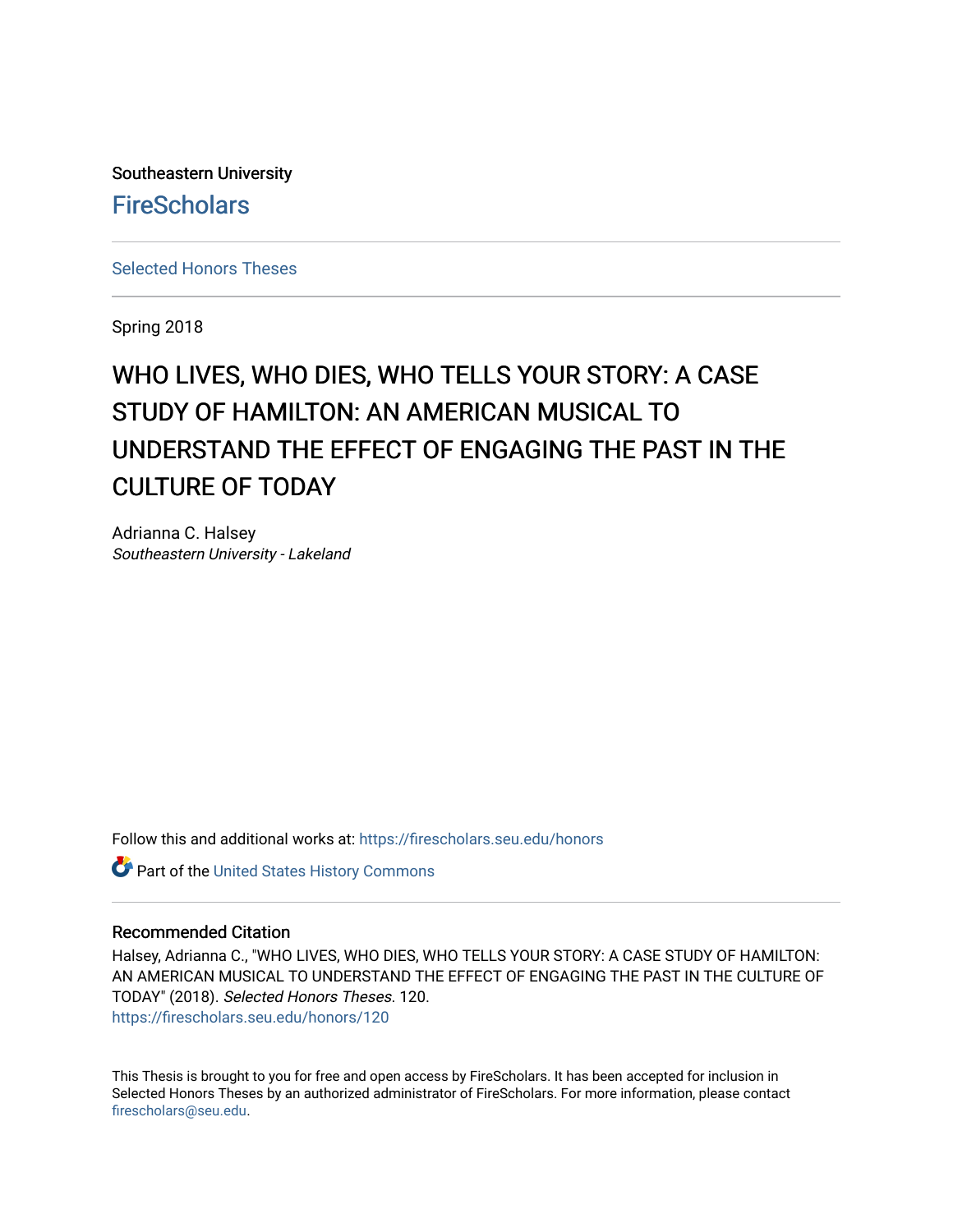Southeastern University **FireScholars** 

[Selected Honors Theses](https://firescholars.seu.edu/honors)

Spring 2018

# WHO LIVES, WHO DIES, WHO TELLS YOUR STORY: A CASE STUDY OF HAMILTON: AN AMERICAN MUSICAL TO UNDERSTAND THE EFFECT OF ENGAGING THE PAST IN THE CULTURE OF TODAY

Adrianna C. Halsey Southeastern University - Lakeland

Follow this and additional works at: [https://firescholars.seu.edu/honors](https://firescholars.seu.edu/honors?utm_source=firescholars.seu.edu%2Fhonors%2F120&utm_medium=PDF&utm_campaign=PDFCoverPages)

Part of the [United States History Commons](http://network.bepress.com/hgg/discipline/495?utm_source=firescholars.seu.edu%2Fhonors%2F120&utm_medium=PDF&utm_campaign=PDFCoverPages) 

#### Recommended Citation

Halsey, Adrianna C., "WHO LIVES, WHO DIES, WHO TELLS YOUR STORY: A CASE STUDY OF HAMILTON: AN AMERICAN MUSICAL TO UNDERSTAND THE EFFECT OF ENGAGING THE PAST IN THE CULTURE OF TODAY" (2018). Selected Honors Theses. 120. [https://firescholars.seu.edu/honors/120](https://firescholars.seu.edu/honors/120?utm_source=firescholars.seu.edu%2Fhonors%2F120&utm_medium=PDF&utm_campaign=PDFCoverPages)

This Thesis is brought to you for free and open access by FireScholars. It has been accepted for inclusion in Selected Honors Theses by an authorized administrator of FireScholars. For more information, please contact [firescholars@seu.edu.](mailto:firescholars@seu.edu)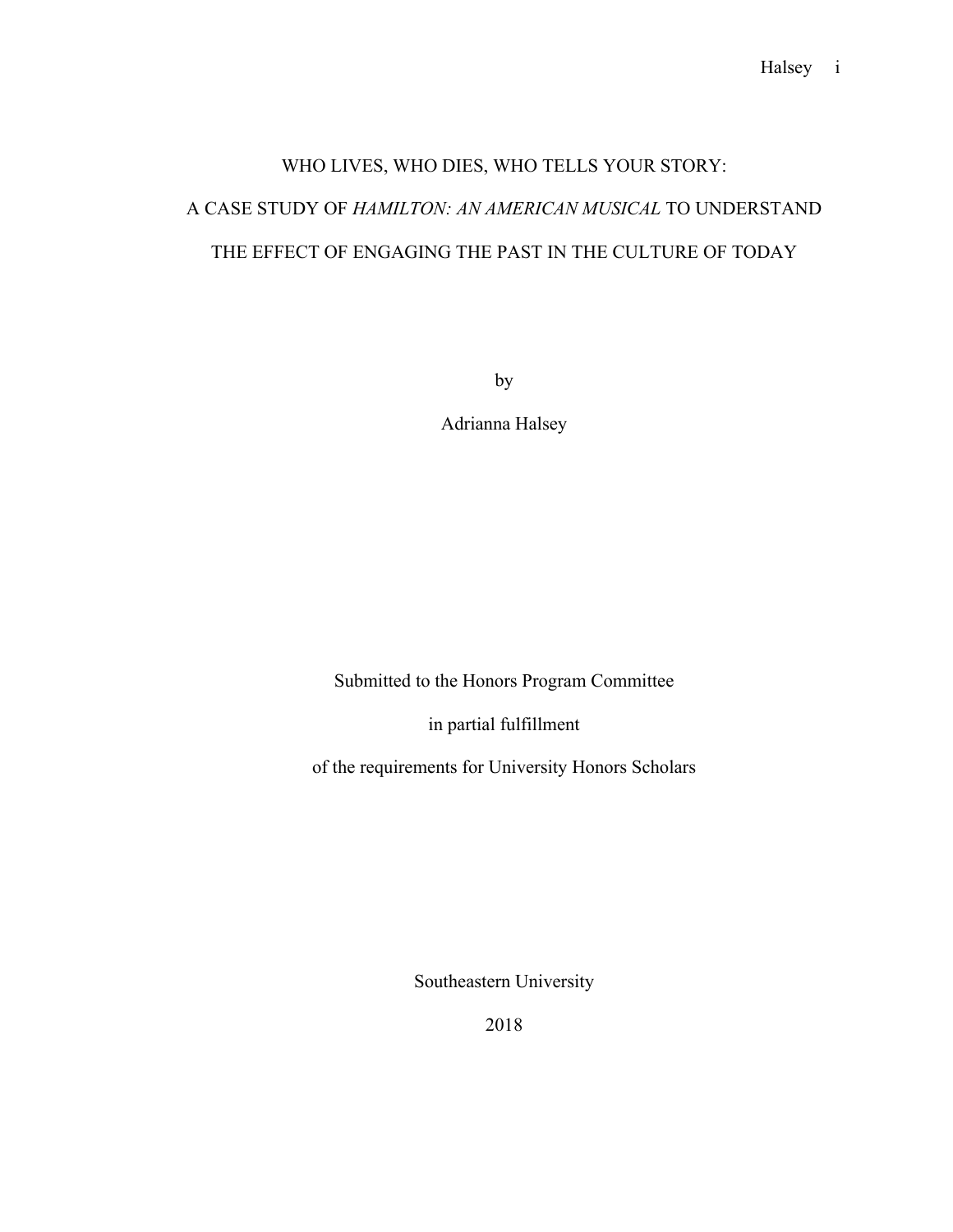# WHO LIVES, WHO DIES, WHO TELLS YOUR STORY: A CASE STUDY OF *HAMILTON: AN AMERICAN MUSICAL* TO UNDERSTAND THE EFFECT OF ENGAGING THE PAST IN THE CULTURE OF TODAY

by

Adrianna Halsey

Submitted to the Honors Program Committee

in partial fulfillment

of the requirements for University Honors Scholars

Southeastern University

2018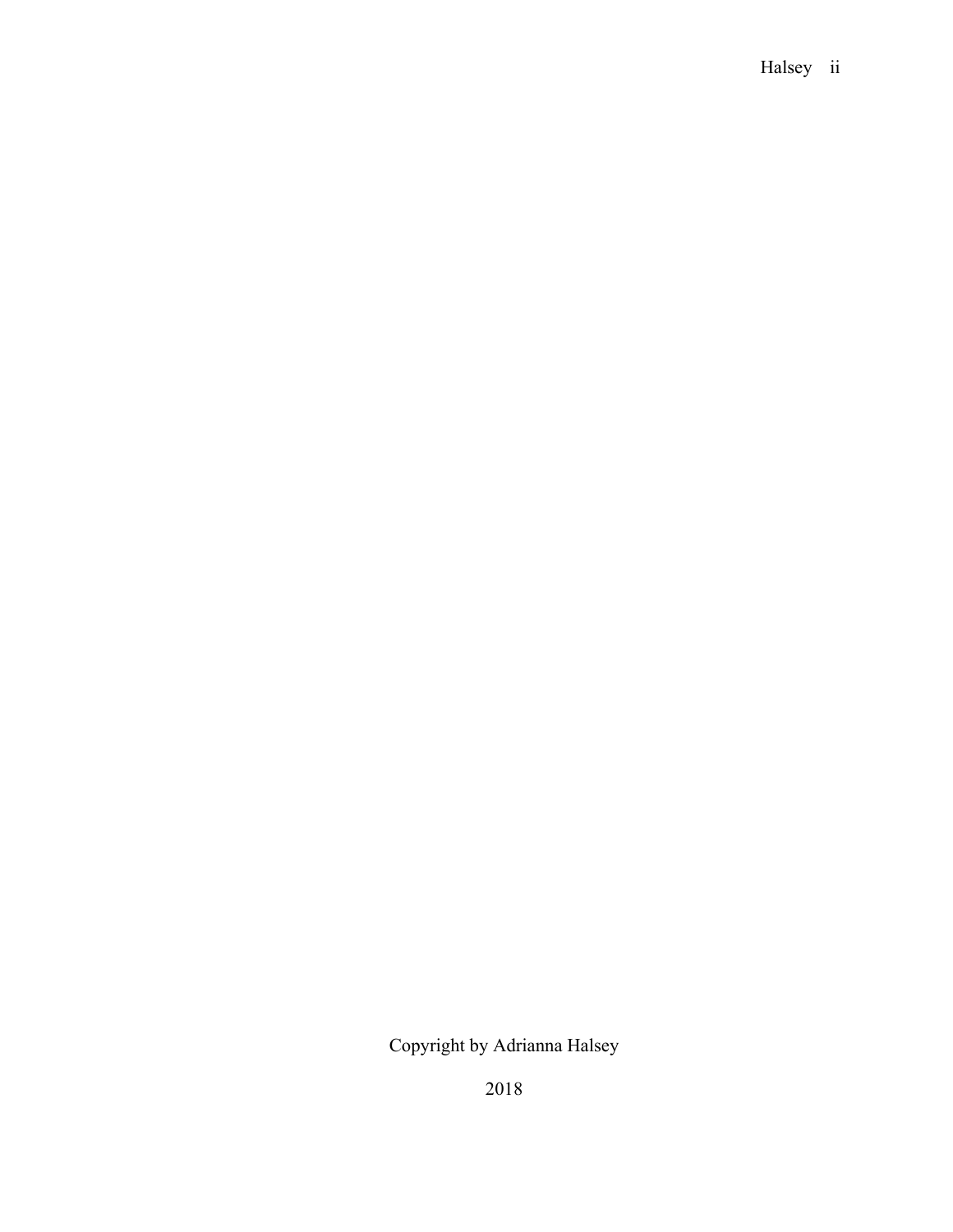### Halsey ii

## Copyright by Adrianna Halsey

2018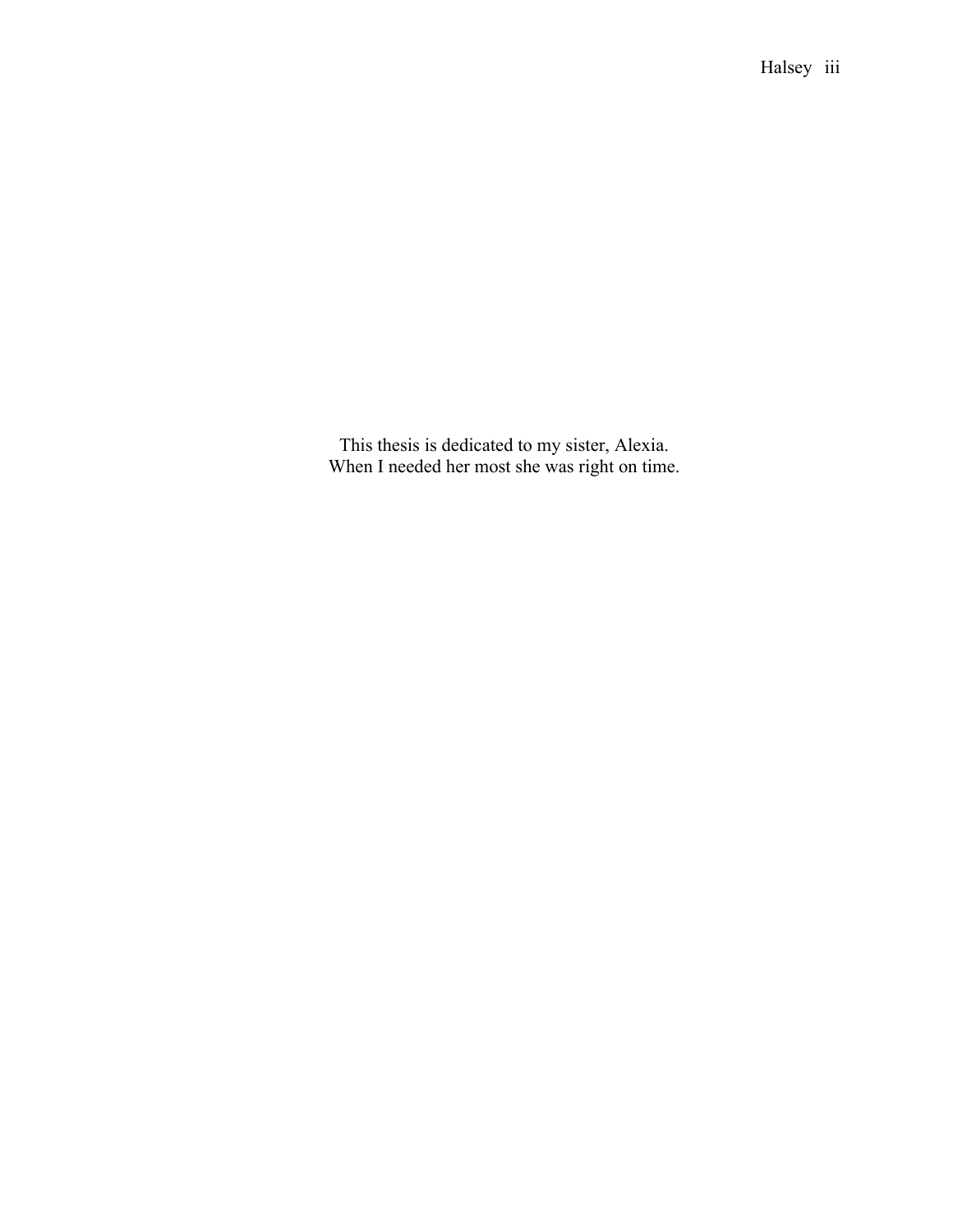This thesis is dedicated to my sister, Alexia. When I needed her most she was right on time.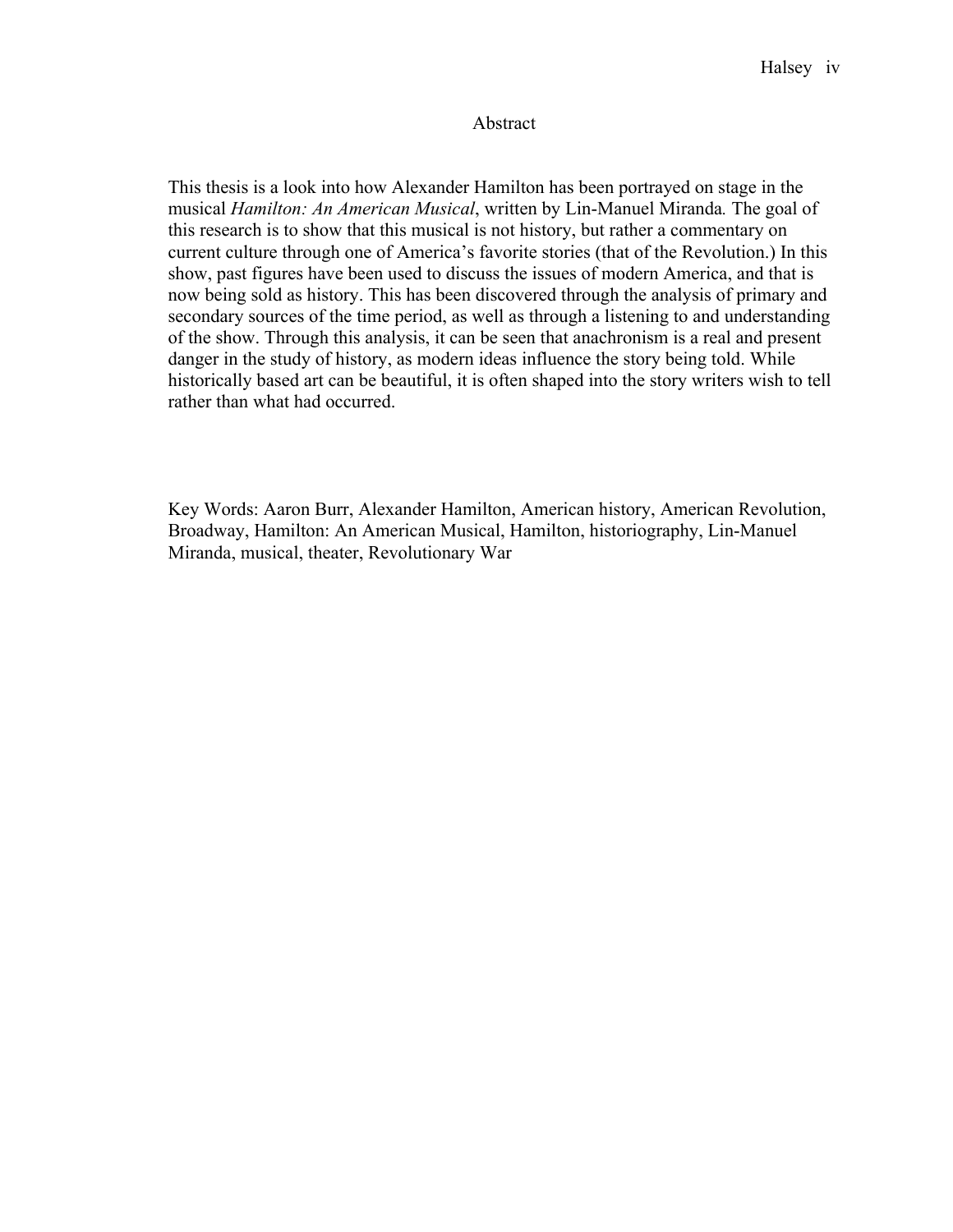#### Abstract

This thesis is a look into how Alexander Hamilton has been portrayed on stage in the musical *Hamilton: An American Musical*, written by Lin-Manuel Miranda*.* The goal of this research is to show that this musical is not history, but rather a commentary on current culture through one of America's favorite stories (that of the Revolution.) In this show, past figures have been used to discuss the issues of modern America, and that is now being sold as history. This has been discovered through the analysis of primary and secondary sources of the time period, as well as through a listening to and understanding of the show. Through this analysis, it can be seen that anachronism is a real and present danger in the study of history, as modern ideas influence the story being told. While historically based art can be beautiful, it is often shaped into the story writers wish to tell rather than what had occurred.

Key Words: Aaron Burr, Alexander Hamilton, American history, American Revolution, Broadway, Hamilton: An American Musical, Hamilton, historiography, Lin-Manuel Miranda, musical, theater, Revolutionary War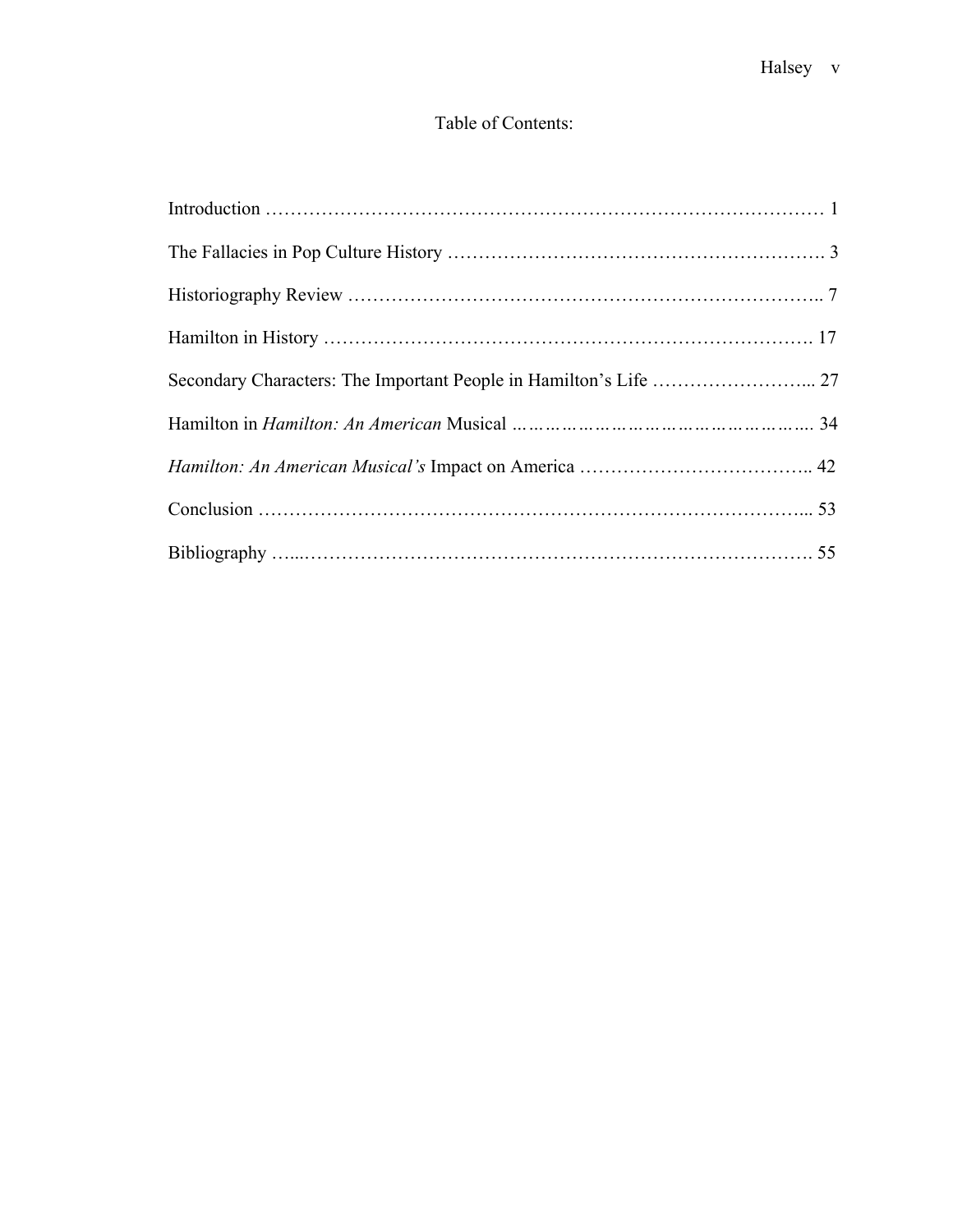### Table of Contents:

| Secondary Characters: The Important People in Hamilton's Life  27 |  |
|-------------------------------------------------------------------|--|
|                                                                   |  |
|                                                                   |  |
|                                                                   |  |
|                                                                   |  |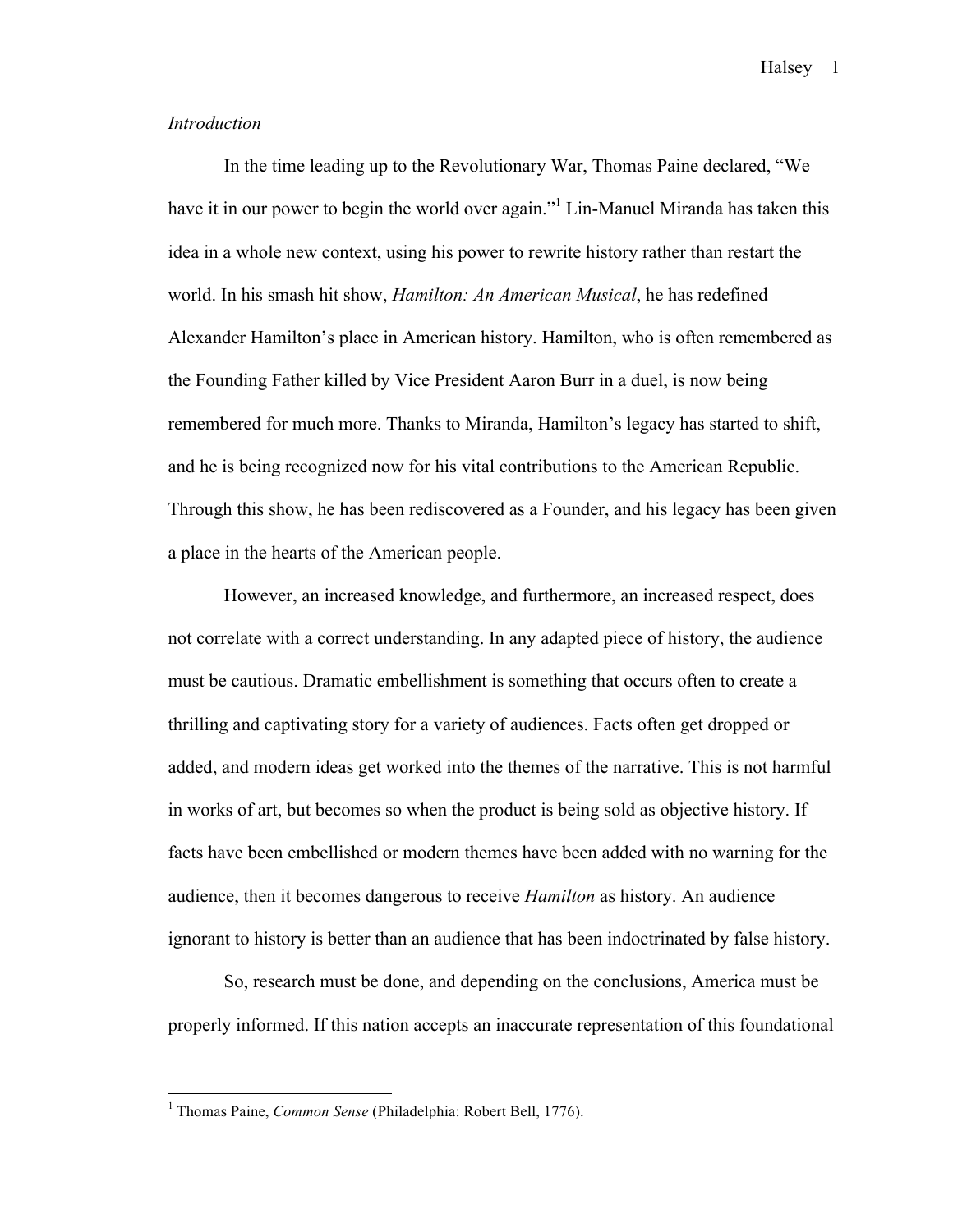#### *Introduction*

In the time leading up to the Revolutionary War, Thomas Paine declared, "We have it in our power to begin the world over again.<sup>" L</sup>in-Manuel Miranda has taken this idea in a whole new context, using his power to rewrite history rather than restart the world. In his smash hit show, *Hamilton: An American Musical*, he has redefined Alexander Hamilton's place in American history. Hamilton, who is often remembered as the Founding Father killed by Vice President Aaron Burr in a duel, is now being remembered for much more. Thanks to Miranda, Hamilton's legacy has started to shift, and he is being recognized now for his vital contributions to the American Republic. Through this show, he has been rediscovered as a Founder, and his legacy has been given a place in the hearts of the American people.

However, an increased knowledge, and furthermore, an increased respect, does not correlate with a correct understanding. In any adapted piece of history, the audience must be cautious. Dramatic embellishment is something that occurs often to create a thrilling and captivating story for a variety of audiences. Facts often get dropped or added, and modern ideas get worked into the themes of the narrative. This is not harmful in works of art, but becomes so when the product is being sold as objective history. If facts have been embellished or modern themes have been added with no warning for the audience, then it becomes dangerous to receive *Hamilton* as history. An audience ignorant to history is better than an audience that has been indoctrinated by false history.

So, research must be done, and depending on the conclusions, America must be properly informed. If this nation accepts an inaccurate representation of this foundational

 <sup>1</sup> Thomas Paine, *Common Sense* (Philadelphia: Robert Bell, 1776).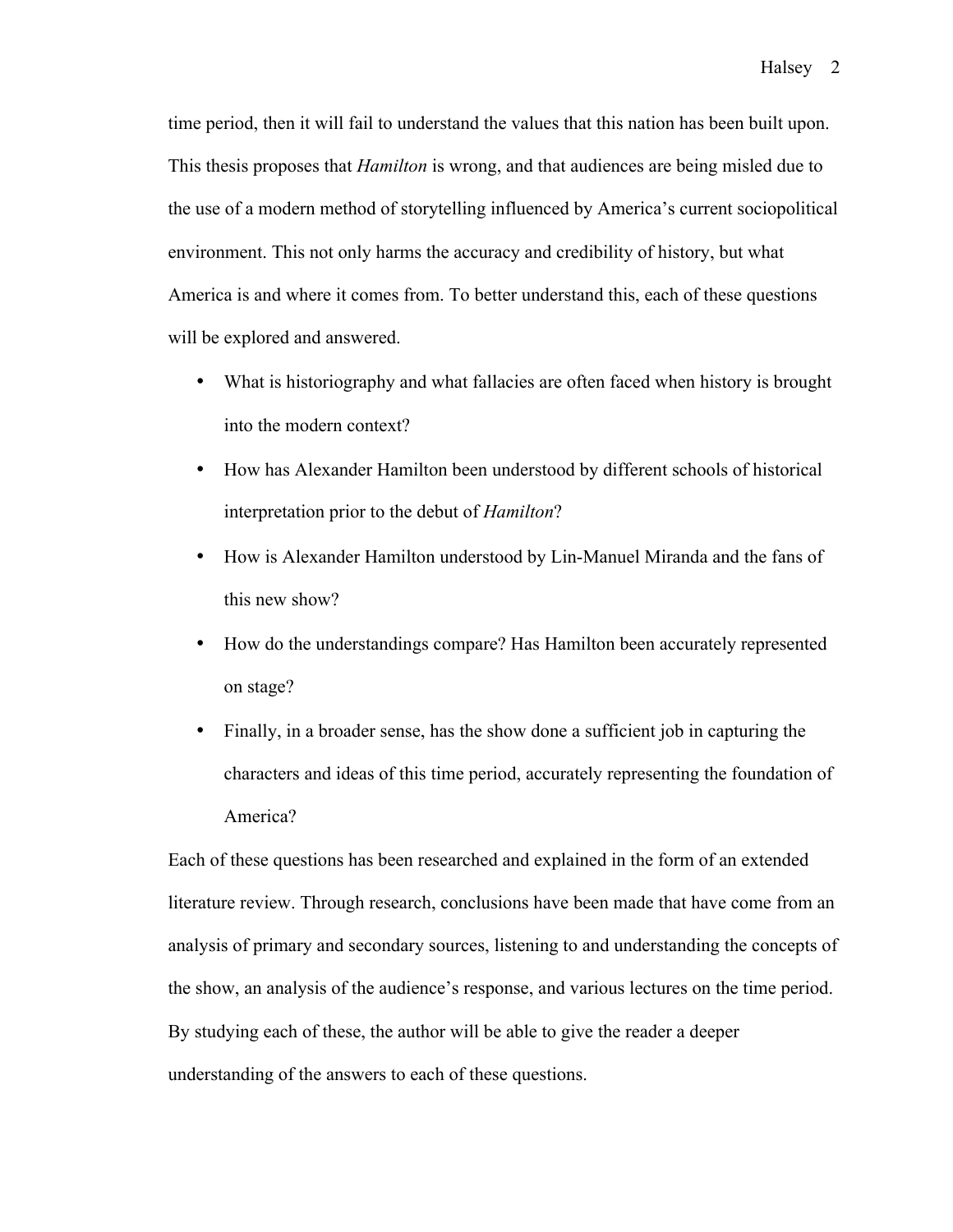time period, then it will fail to understand the values that this nation has been built upon. This thesis proposes that *Hamilton* is wrong, and that audiences are being misled due to the use of a modern method of storytelling influenced by America's current sociopolitical environment. This not only harms the accuracy and credibility of history, but what America is and where it comes from. To better understand this, each of these questions will be explored and answered.

- What is historiography and what fallacies are often faced when history is brought into the modern context?
- How has Alexander Hamilton been understood by different schools of historical interpretation prior to the debut of *Hamilton*?
- How is Alexander Hamilton understood by Lin-Manuel Miranda and the fans of this new show?
- How do the understandings compare? Has Hamilton been accurately represented on stage?
- Finally, in a broader sense, has the show done a sufficient job in capturing the characters and ideas of this time period, accurately representing the foundation of America?

Each of these questions has been researched and explained in the form of an extended literature review. Through research, conclusions have been made that have come from an analysis of primary and secondary sources, listening to and understanding the concepts of the show, an analysis of the audience's response, and various lectures on the time period. By studying each of these, the author will be able to give the reader a deeper understanding of the answers to each of these questions.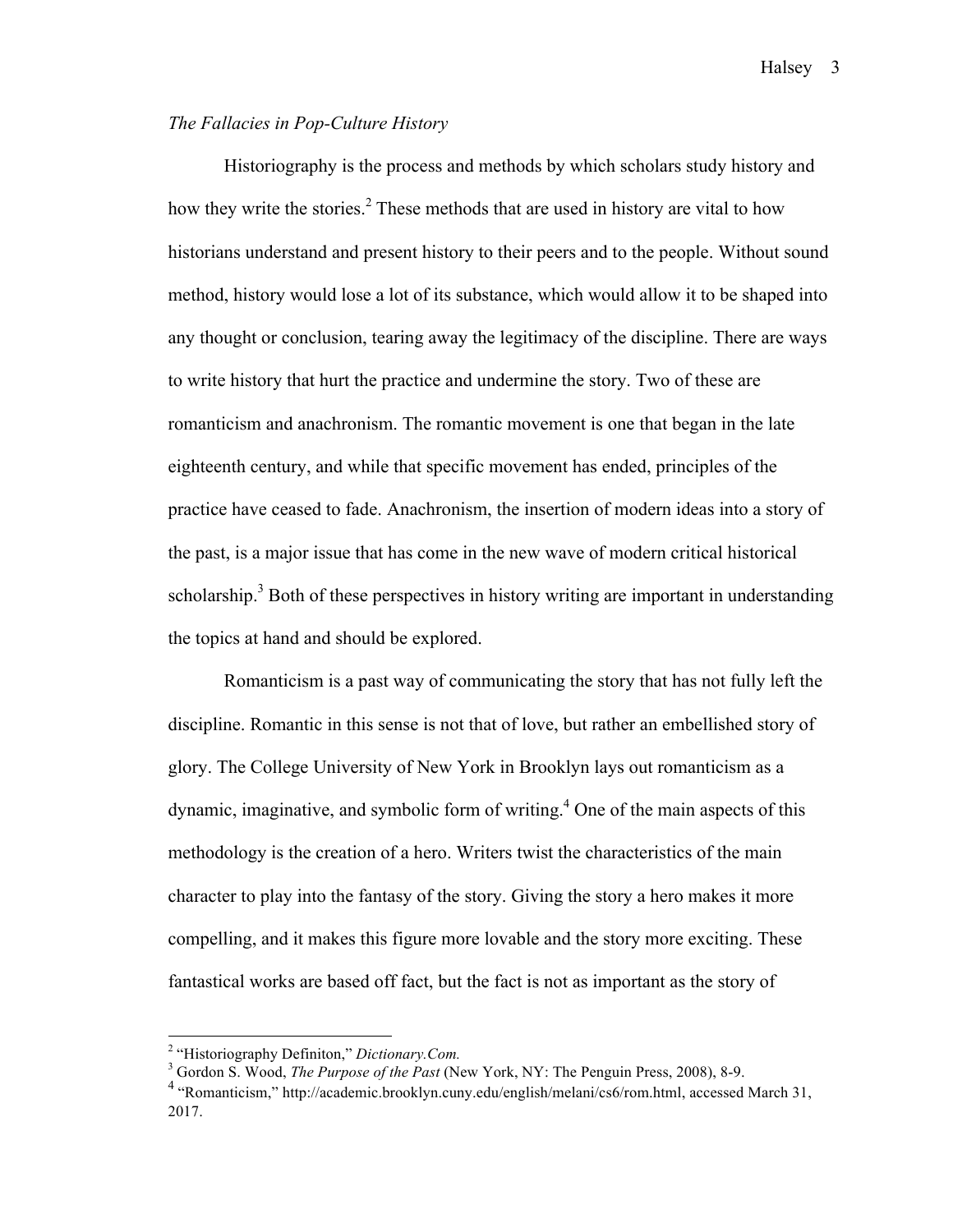#### *The Fallacies in Pop-Culture History*

Historiography is the process and methods by which scholars study history and how they write the stories.<sup>2</sup> These methods that are used in history are vital to how historians understand and present history to their peers and to the people. Without sound method, history would lose a lot of its substance, which would allow it to be shaped into any thought or conclusion, tearing away the legitimacy of the discipline. There are ways to write history that hurt the practice and undermine the story. Two of these are romanticism and anachronism. The romantic movement is one that began in the late eighteenth century, and while that specific movement has ended, principles of the practice have ceased to fade. Anachronism, the insertion of modern ideas into a story of the past, is a major issue that has come in the new wave of modern critical historical scholarship.<sup>3</sup> Both of these perspectives in history writing are important in understanding the topics at hand and should be explored.

Romanticism is a past way of communicating the story that has not fully left the discipline. Romantic in this sense is not that of love, but rather an embellished story of glory. The College University of New York in Brooklyn lays out romanticism as a dynamic, imaginative, and symbolic form of writing.4 One of the main aspects of this methodology is the creation of a hero. Writers twist the characteristics of the main character to play into the fantasy of the story. Giving the story a hero makes it more compelling, and it makes this figure more lovable and the story more exciting. These fantastical works are based off fact, but the fact is not as important as the story of

<sup>&</sup>lt;sup>2</sup> "Historiography Definiton," *Dictionary.Com.*<br><sup>3</sup> Gordon S. Wood, *The Purpose of the Past* (New York, NY: The Penguin Press, 2008), 8-9.

<sup>4</sup> "Romanticism," http://academic.brooklyn.cuny.edu/english/melani/cs6/rom.html, accessed March 31, 2017.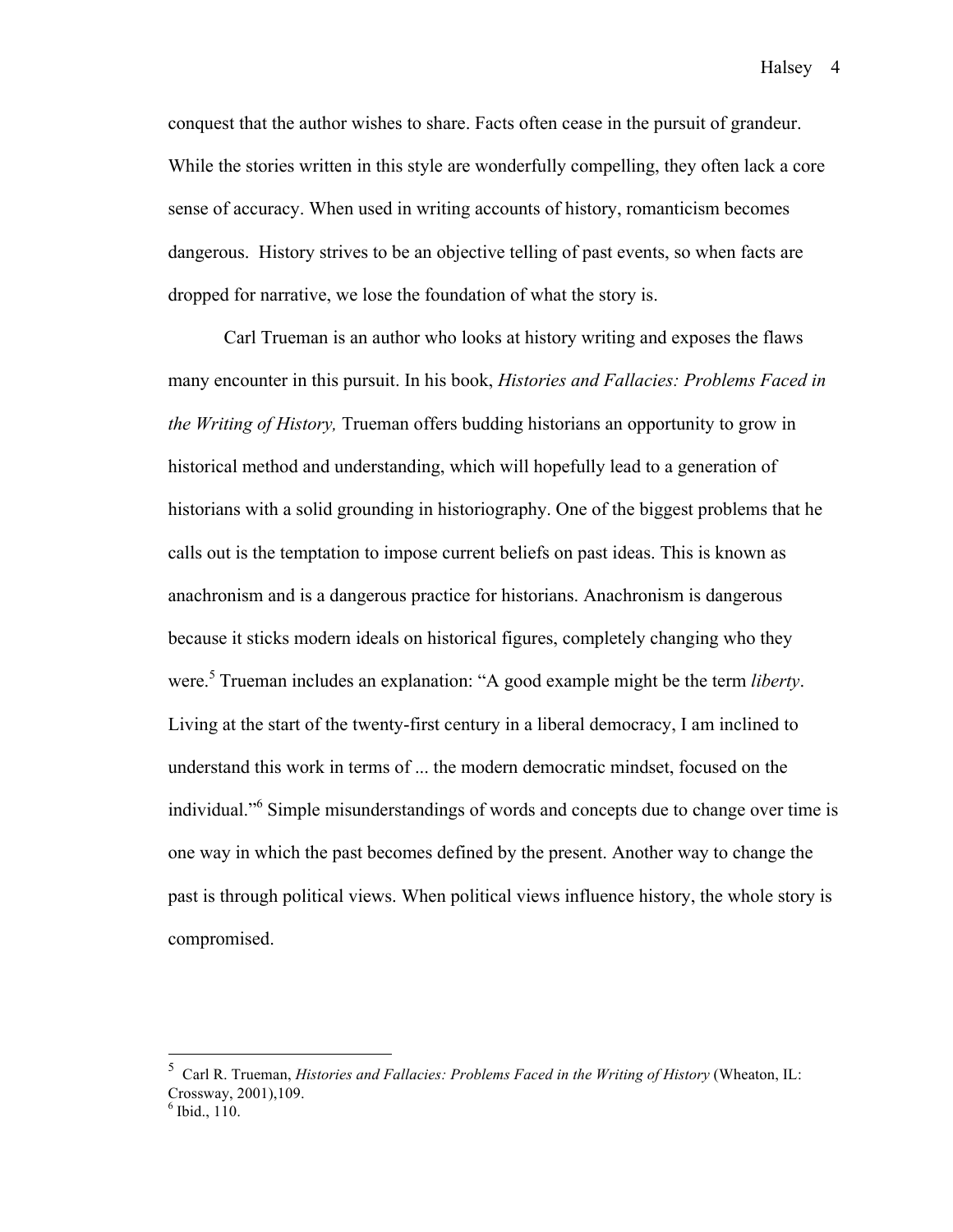conquest that the author wishes to share. Facts often cease in the pursuit of grandeur. While the stories written in this style are wonderfully compelling, they often lack a core sense of accuracy. When used in writing accounts of history, romanticism becomes dangerous. History strives to be an objective telling of past events, so when facts are dropped for narrative, we lose the foundation of what the story is.

Carl Trueman is an author who looks at history writing and exposes the flaws many encounter in this pursuit. In his book, *Histories and Fallacies: Problems Faced in the Writing of History,* Trueman offers budding historians an opportunity to grow in historical method and understanding, which will hopefully lead to a generation of historians with a solid grounding in historiography. One of the biggest problems that he calls out is the temptation to impose current beliefs on past ideas. This is known as anachronism and is a dangerous practice for historians. Anachronism is dangerous because it sticks modern ideals on historical figures, completely changing who they were.<sup>5</sup> Trueman includes an explanation: "A good example might be the term *liberty*. Living at the start of the twenty-first century in a liberal democracy, I am inclined to understand this work in terms of ... the modern democratic mindset, focused on the individual."<sup>6</sup> Simple misunderstandings of words and concepts due to change over time is one way in which the past becomes defined by the present. Another way to change the past is through political views. When political views influence history, the whole story is compromised.

 <sup>5</sup> Carl R. Trueman, *Histories and Fallacies: Problems Faced in the Writing of History* (Wheaton, IL: Crossway, 2001), 109.<br><sup>6</sup> Ibid., 110.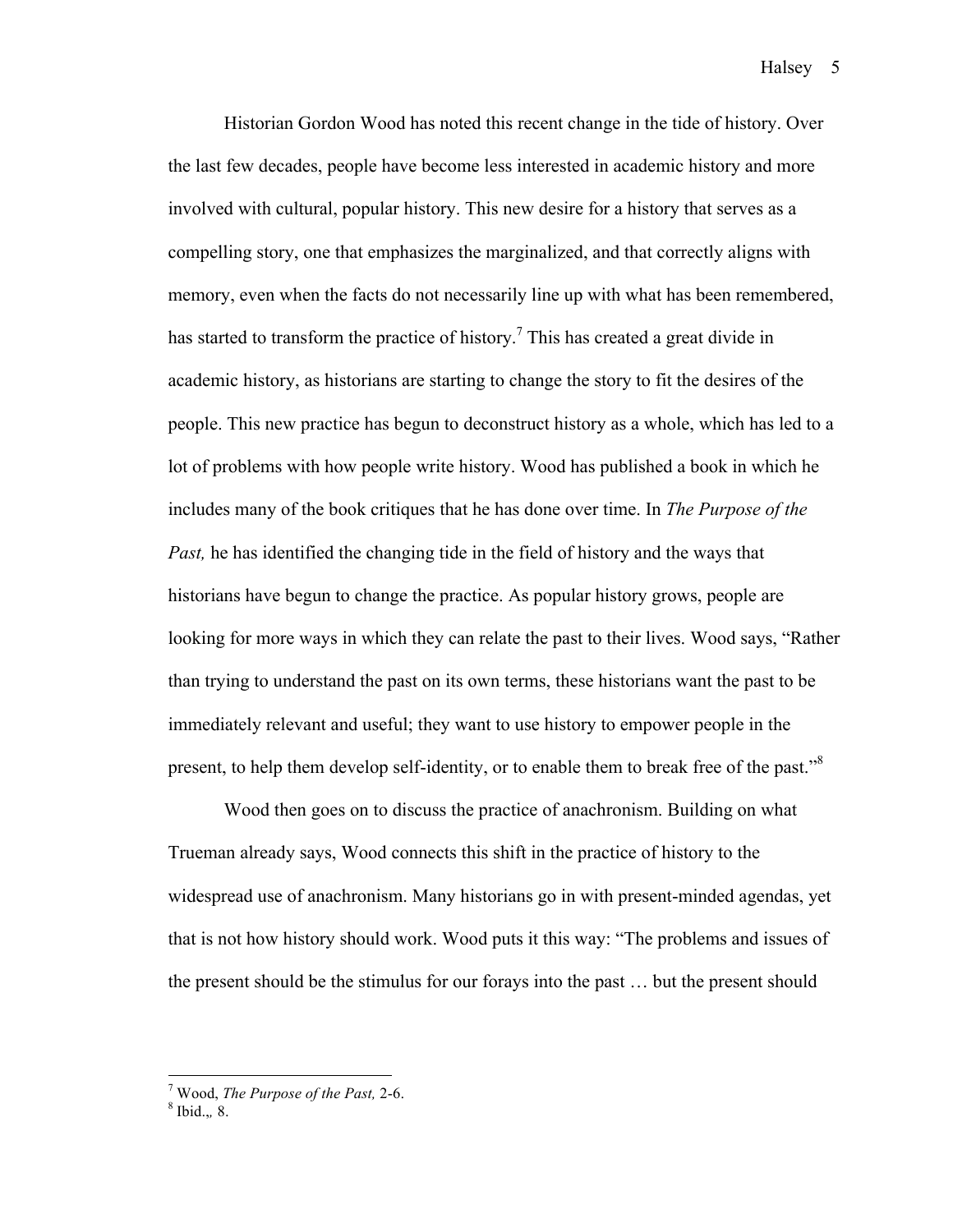Historian Gordon Wood has noted this recent change in the tide of history. Over the last few decades, people have become less interested in academic history and more involved with cultural, popular history. This new desire for a history that serves as a compelling story, one that emphasizes the marginalized, and that correctly aligns with memory, even when the facts do not necessarily line up with what has been remembered, has started to transform the practice of history.<sup>7</sup> This has created a great divide in academic history, as historians are starting to change the story to fit the desires of the people. This new practice has begun to deconstruct history as a whole, which has led to a lot of problems with how people write history. Wood has published a book in which he includes many of the book critiques that he has done over time. In *The Purpose of the Past,* he has identified the changing tide in the field of history and the ways that historians have begun to change the practice. As popular history grows, people are looking for more ways in which they can relate the past to their lives. Wood says, "Rather than trying to understand the past on its own terms, these historians want the past to be immediately relevant and useful; they want to use history to empower people in the present, to help them develop self-identity, or to enable them to break free of the past."<sup>8</sup>

Wood then goes on to discuss the practice of anachronism. Building on what Trueman already says, Wood connects this shift in the practice of history to the widespread use of anachronism. Many historians go in with present-minded agendas, yet that is not how history should work. Wood puts it this way: "The problems and issues of the present should be the stimulus for our forays into the past … but the present should

<sup>&</sup>lt;sup>7</sup> Wood, *The Purpose of the Past*, 2-6.  $^8$  Ibid.., 8.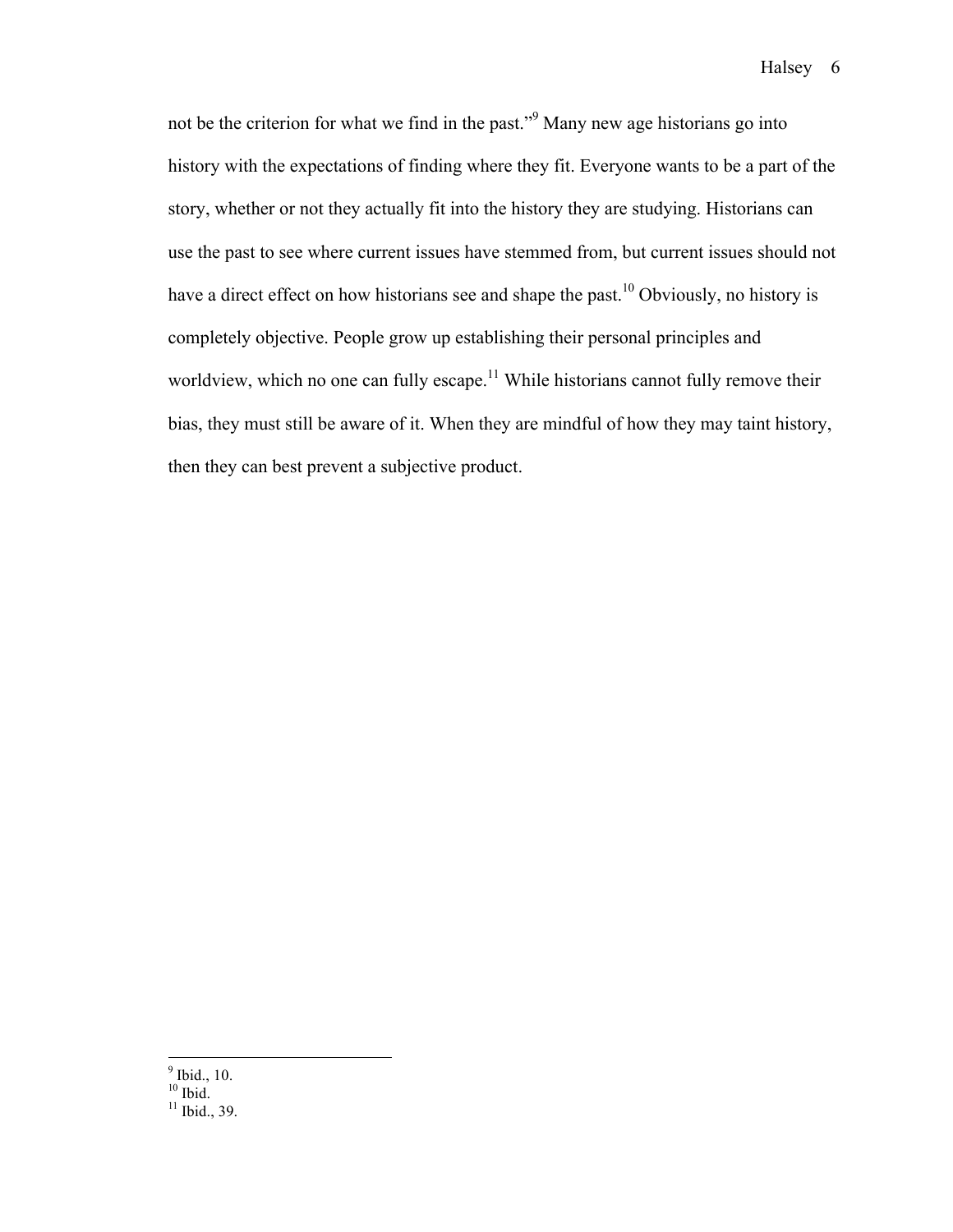not be the criterion for what we find in the past."<sup>9</sup> Many new age historians go into history with the expectations of finding where they fit. Everyone wants to be a part of the story, whether or not they actually fit into the history they are studying. Historians can use the past to see where current issues have stemmed from, but current issues should not have a direct effect on how historians see and shape the past.<sup>10</sup> Obviously, no history is completely objective. People grow up establishing their personal principles and worldview, which no one can fully escape.<sup>11</sup> While historians cannot fully remove their bias, they must still be aware of it. When they are mindful of how they may taint history, then they can best prevent a subjective product.

 $<sup>9</sup>$  Ibid., 10.<br> $<sup>10</sup>$  Ibid.</sup></sup>

 $\frac{11 \text{}}{11 \text{}}$  Ibid., 39.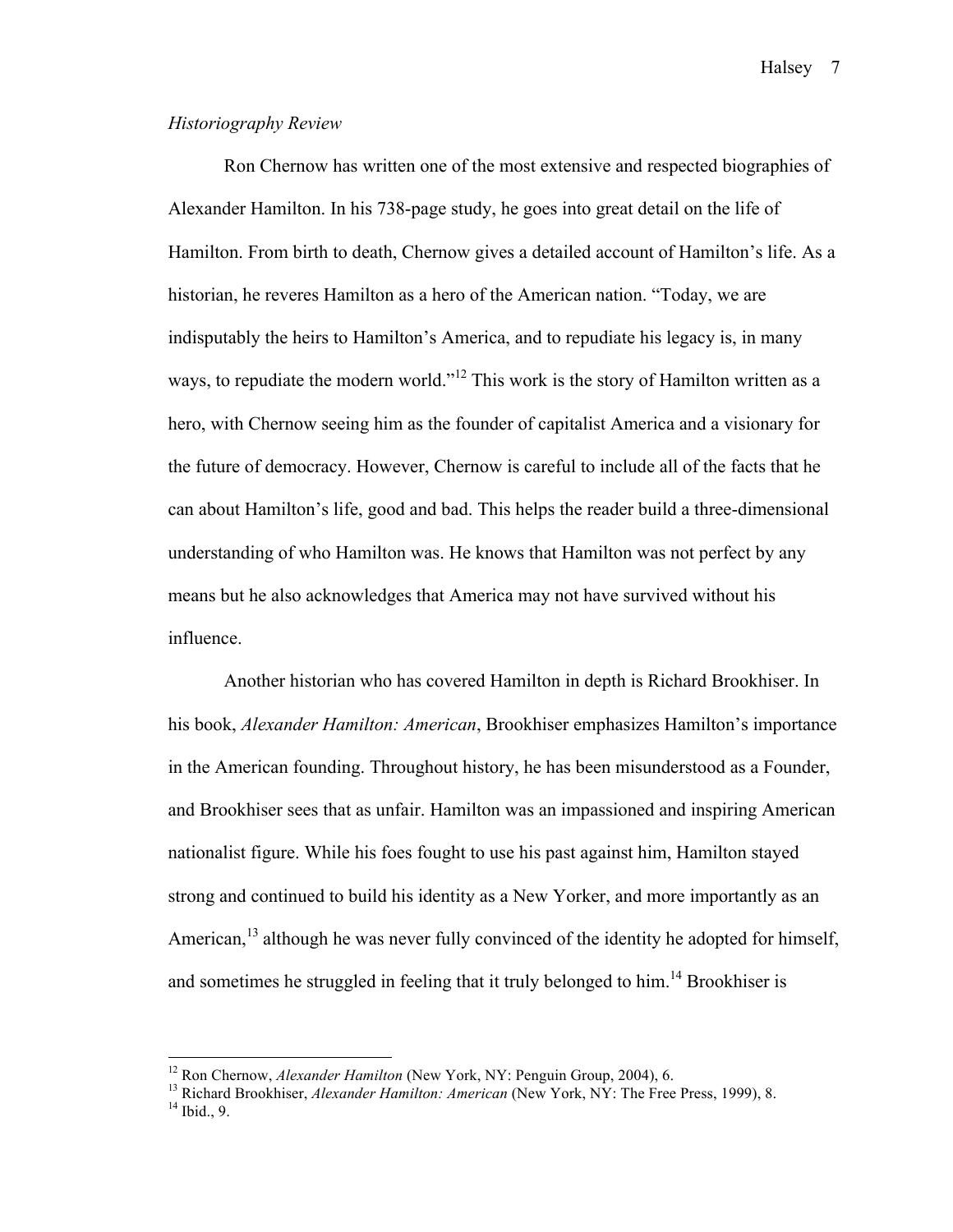#### *Historiography Review*

Ron Chernow has written one of the most extensive and respected biographies of Alexander Hamilton. In his 738-page study, he goes into great detail on the life of Hamilton. From birth to death, Chernow gives a detailed account of Hamilton's life. As a historian, he reveres Hamilton as a hero of the American nation. "Today, we are indisputably the heirs to Hamilton's America, and to repudiate his legacy is, in many ways, to repudiate the modern world."<sup>12</sup> This work is the story of Hamilton written as a hero, with Chernow seeing him as the founder of capitalist America and a visionary for the future of democracy. However, Chernow is careful to include all of the facts that he can about Hamilton's life, good and bad. This helps the reader build a three-dimensional understanding of who Hamilton was. He knows that Hamilton was not perfect by any means but he also acknowledges that America may not have survived without his influence.

Another historian who has covered Hamilton in depth is Richard Brookhiser. In his book, *Alexander Hamilton: American*, Brookhiser emphasizes Hamilton's importance in the American founding. Throughout history, he has been misunderstood as a Founder, and Brookhiser sees that as unfair. Hamilton was an impassioned and inspiring American nationalist figure. While his foes fought to use his past against him, Hamilton stayed strong and continued to build his identity as a New Yorker, and more importantly as an American,<sup>13</sup> although he was never fully convinced of the identity he adopted for himself, and sometimes he struggled in feeling that it truly belonged to him.<sup>14</sup> Brookhiser is

<sup>&</sup>lt;sup>12</sup> Ron Chernow, *Alexander Hamilton* (New York, NY: Penguin Group, 2004), 6.<br><sup>13</sup> Richard Brookhiser, *Alexander Hamilton: American* (New York, NY: The Free Press, 1999), 8.<br><sup>14</sup> Ibid., 9.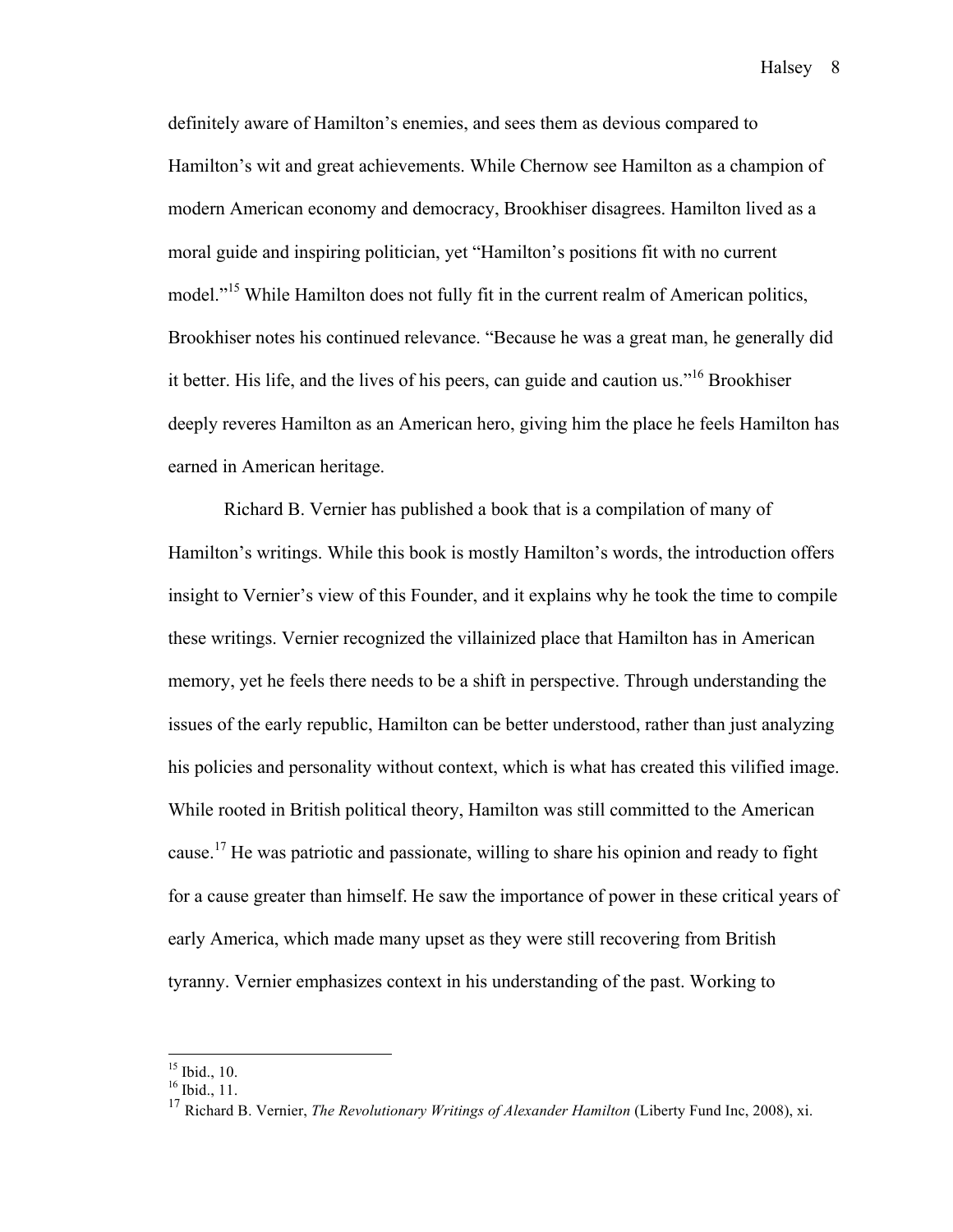definitely aware of Hamilton's enemies, and sees them as devious compared to Hamilton's wit and great achievements. While Chernow see Hamilton as a champion of modern American economy and democracy, Brookhiser disagrees. Hamilton lived as a moral guide and inspiring politician, yet "Hamilton's positions fit with no current model."<sup>15</sup> While Hamilton does not fully fit in the current realm of American politics, Brookhiser notes his continued relevance. "Because he was a great man, he generally did it better. His life, and the lives of his peers, can guide and caution us."16 Brookhiser deeply reveres Hamilton as an American hero, giving him the place he feels Hamilton has earned in American heritage.

Richard B. Vernier has published a book that is a compilation of many of Hamilton's writings. While this book is mostly Hamilton's words, the introduction offers insight to Vernier's view of this Founder, and it explains why he took the time to compile these writings. Vernier recognized the villainized place that Hamilton has in American memory, yet he feels there needs to be a shift in perspective. Through understanding the issues of the early republic, Hamilton can be better understood, rather than just analyzing his policies and personality without context, which is what has created this vilified image. While rooted in British political theory, Hamilton was still committed to the American cause.<sup>17</sup> He was patriotic and passionate, willing to share his opinion and ready to fight for a cause greater than himself. He saw the importance of power in these critical years of early America, which made many upset as they were still recovering from British tyranny. Vernier emphasizes context in his understanding of the past. Working to

 $^{15}$  Ibid., 10.<br> $^{16}$  Ibid., 11.

<sup>&</sup>lt;sup>17</sup> Richard B. Vernier, *The Revolutionary Writings of Alexander Hamilton* (Liberty Fund Inc, 2008), xi.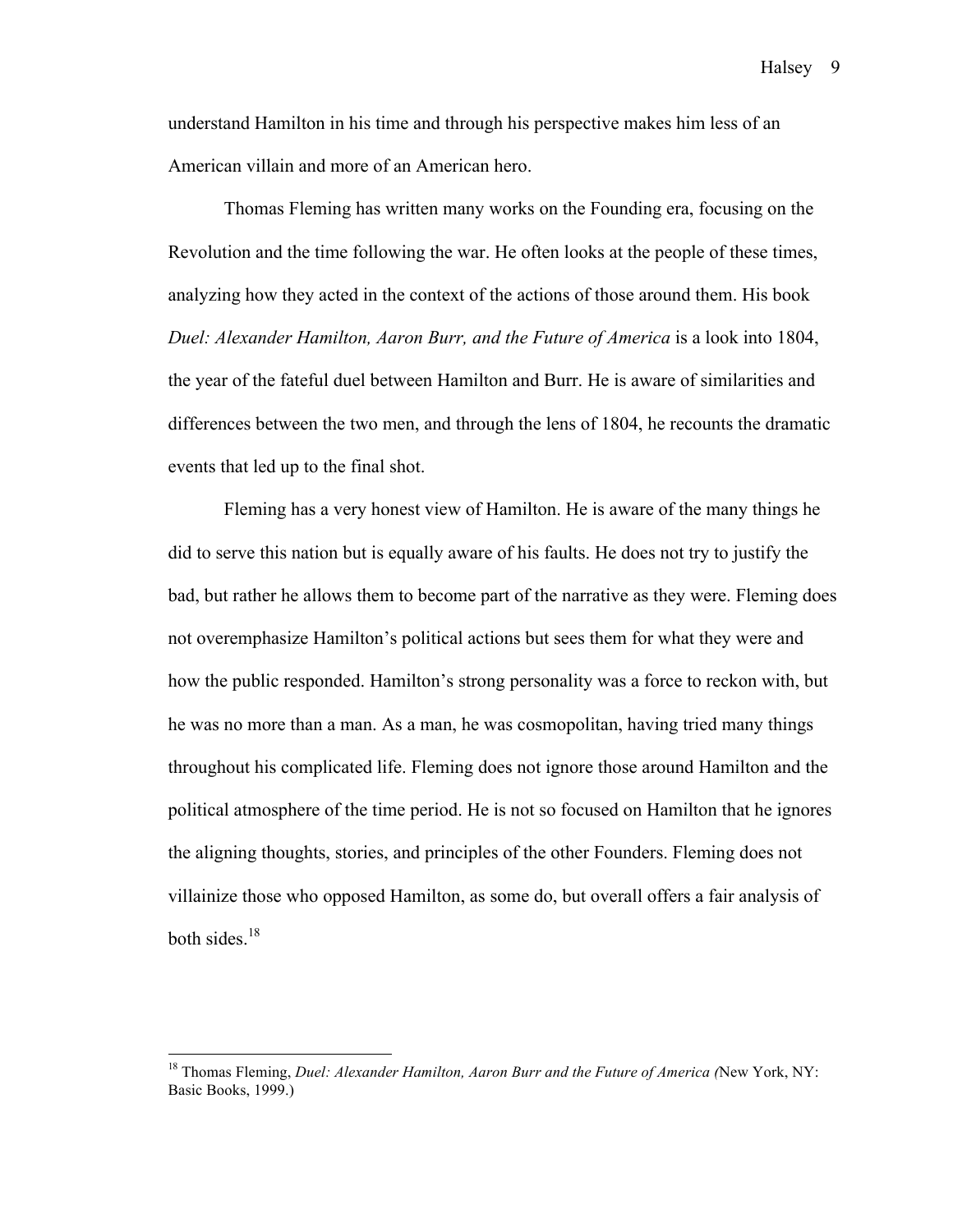understand Hamilton in his time and through his perspective makes him less of an American villain and more of an American hero.

Thomas Fleming has written many works on the Founding era, focusing on the Revolution and the time following the war. He often looks at the people of these times, analyzing how they acted in the context of the actions of those around them. His book *Duel: Alexander Hamilton, Aaron Burr, and the Future of America* is a look into 1804, the year of the fateful duel between Hamilton and Burr. He is aware of similarities and differences between the two men, and through the lens of 1804, he recounts the dramatic events that led up to the final shot.

Fleming has a very honest view of Hamilton. He is aware of the many things he did to serve this nation but is equally aware of his faults. He does not try to justify the bad, but rather he allows them to become part of the narrative as they were. Fleming does not overemphasize Hamilton's political actions but sees them for what they were and how the public responded. Hamilton's strong personality was a force to reckon with, but he was no more than a man. As a man, he was cosmopolitan, having tried many things throughout his complicated life. Fleming does not ignore those around Hamilton and the political atmosphere of the time period. He is not so focused on Hamilton that he ignores the aligning thoughts, stories, and principles of the other Founders. Fleming does not villainize those who opposed Hamilton, as some do, but overall offers a fair analysis of both sides. $18$ 

 <sup>18</sup> Thomas Fleming, *Duel: Alexander Hamilton, Aaron Burr and the Future of America (*New York, NY: Basic Books, 1999.)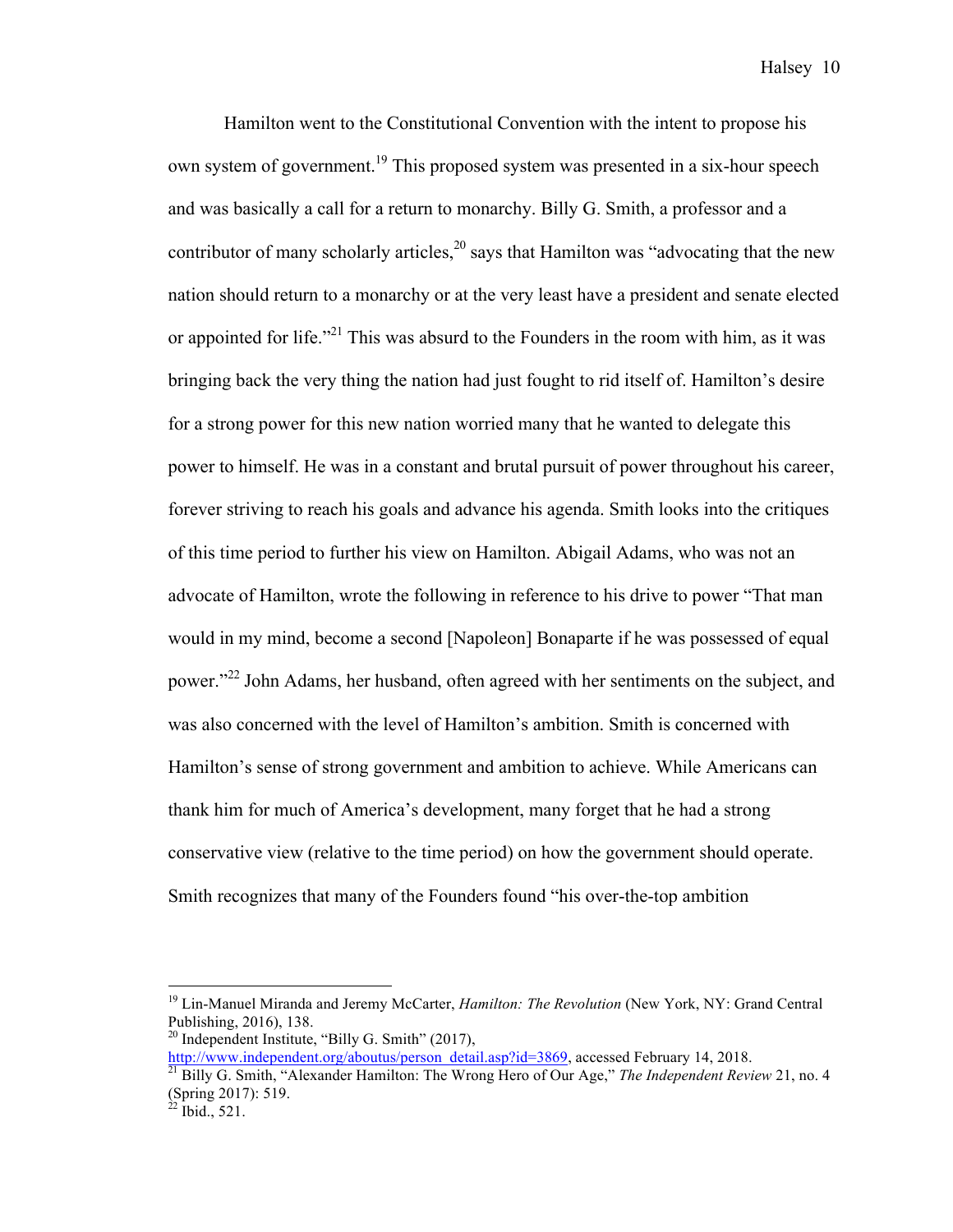Hamilton went to the Constitutional Convention with the intent to propose his own system of government.<sup>19</sup> This proposed system was presented in a six-hour speech and was basically a call for a return to monarchy. Billy G. Smith, a professor and a contributor of many scholarly articles, $^{20}$  says that Hamilton was "advocating that the new nation should return to a monarchy or at the very least have a president and senate elected or appointed for life."<sup>21</sup> This was absurd to the Founders in the room with him, as it was bringing back the very thing the nation had just fought to rid itself of. Hamilton's desire for a strong power for this new nation worried many that he wanted to delegate this power to himself. He was in a constant and brutal pursuit of power throughout his career, forever striving to reach his goals and advance his agenda. Smith looks into the critiques of this time period to further his view on Hamilton. Abigail Adams, who was not an advocate of Hamilton, wrote the following in reference to his drive to power "That man would in my mind, become a second [Napoleon] Bonaparte if he was possessed of equal power."<sup>22</sup> John Adams, her husband, often agreed with her sentiments on the subject, and was also concerned with the level of Hamilton's ambition. Smith is concerned with Hamilton's sense of strong government and ambition to achieve. While Americans can thank him for much of America's development, many forget that he had a strong conservative view (relative to the time period) on how the government should operate. Smith recognizes that many of the Founders found "his over-the-top ambition

 <sup>19</sup> Lin-Manuel Miranda and Jeremy McCarter, *Hamilton: The Revolution* (New York, NY: Grand Central Publishing, 2016), 138.

 $20$  Independent Institute, "Billy G. Smith" (2017),

http://www.independent.org/aboutus/person\_detail.asp?id=3869, accessed February 14, 2018. <sup>21</sup> Billy G. Smith, "Alexander Hamilton: The Wrong Hero of Our Age," *The Independent Review* 21, no. 4 (Spring 2017): 519.<br><sup>22</sup> Ibid., 521.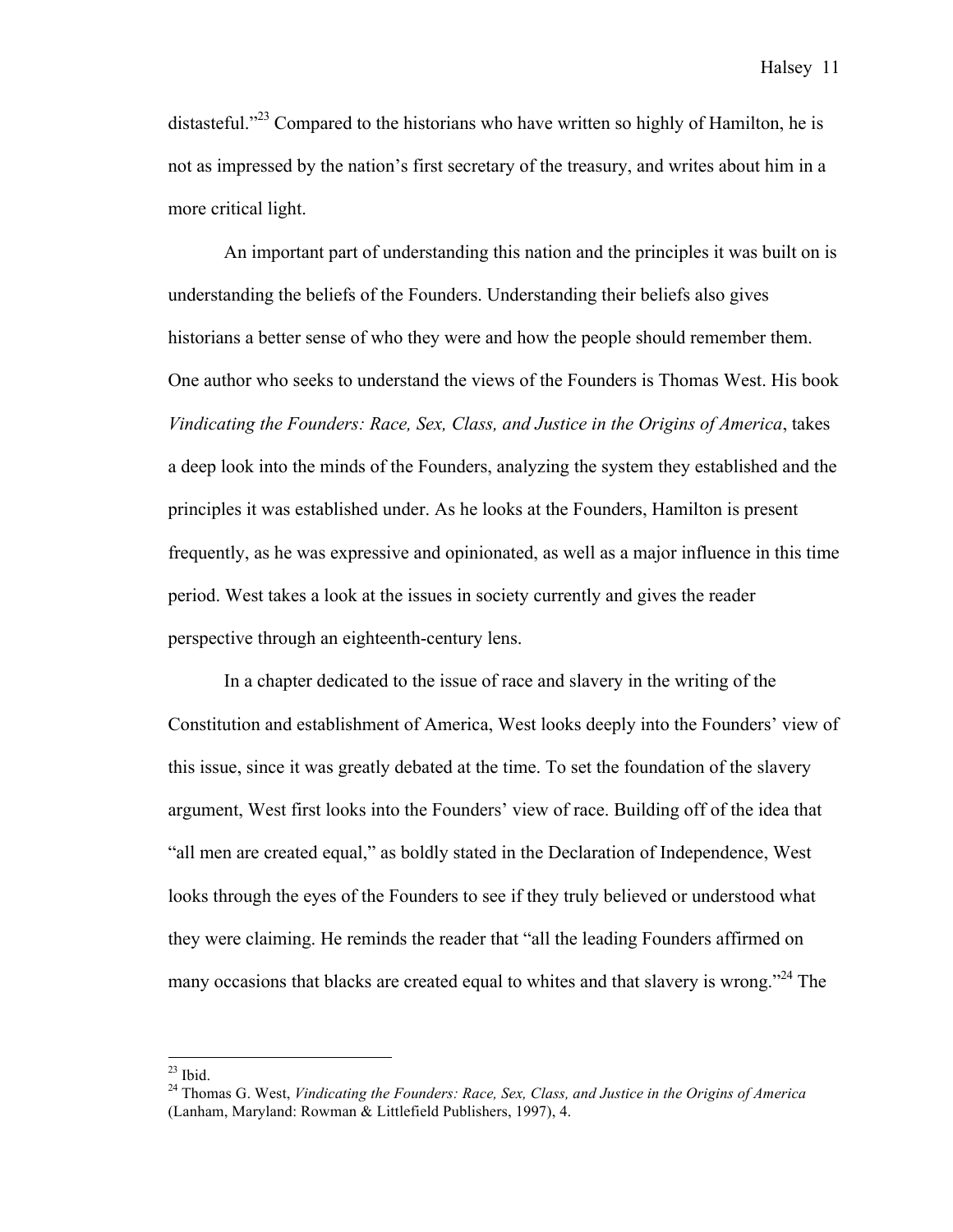distasteful."<sup>23</sup> Compared to the historians who have written so highly of Hamilton, he is not as impressed by the nation's first secretary of the treasury, and writes about him in a more critical light.

An important part of understanding this nation and the principles it was built on is understanding the beliefs of the Founders. Understanding their beliefs also gives historians a better sense of who they were and how the people should remember them. One author who seeks to understand the views of the Founders is Thomas West. His book *Vindicating the Founders: Race, Sex, Class, and Justice in the Origins of America*, takes a deep look into the minds of the Founders, analyzing the system they established and the principles it was established under. As he looks at the Founders, Hamilton is present frequently, as he was expressive and opinionated, as well as a major influence in this time period. West takes a look at the issues in society currently and gives the reader perspective through an eighteenth-century lens.

In a chapter dedicated to the issue of race and slavery in the writing of the Constitution and establishment of America, West looks deeply into the Founders' view of this issue, since it was greatly debated at the time. To set the foundation of the slavery argument, West first looks into the Founders' view of race. Building off of the idea that "all men are created equal," as boldly stated in the Declaration of Independence, West looks through the eyes of the Founders to see if they truly believed or understood what they were claiming. He reminds the reader that "all the leading Founders affirmed on many occasions that blacks are created equal to whites and that slavery is wrong.<sup>224</sup> The

<sup>&</sup>lt;sup>23</sup> Ibid.<br><sup>24</sup> Thomas G. West, *Vindicating the Founders: Race, Sex, Class, and Justice in the Origins of America* (Lanham, Maryland: Rowman & Littlefield Publishers, 1997), 4.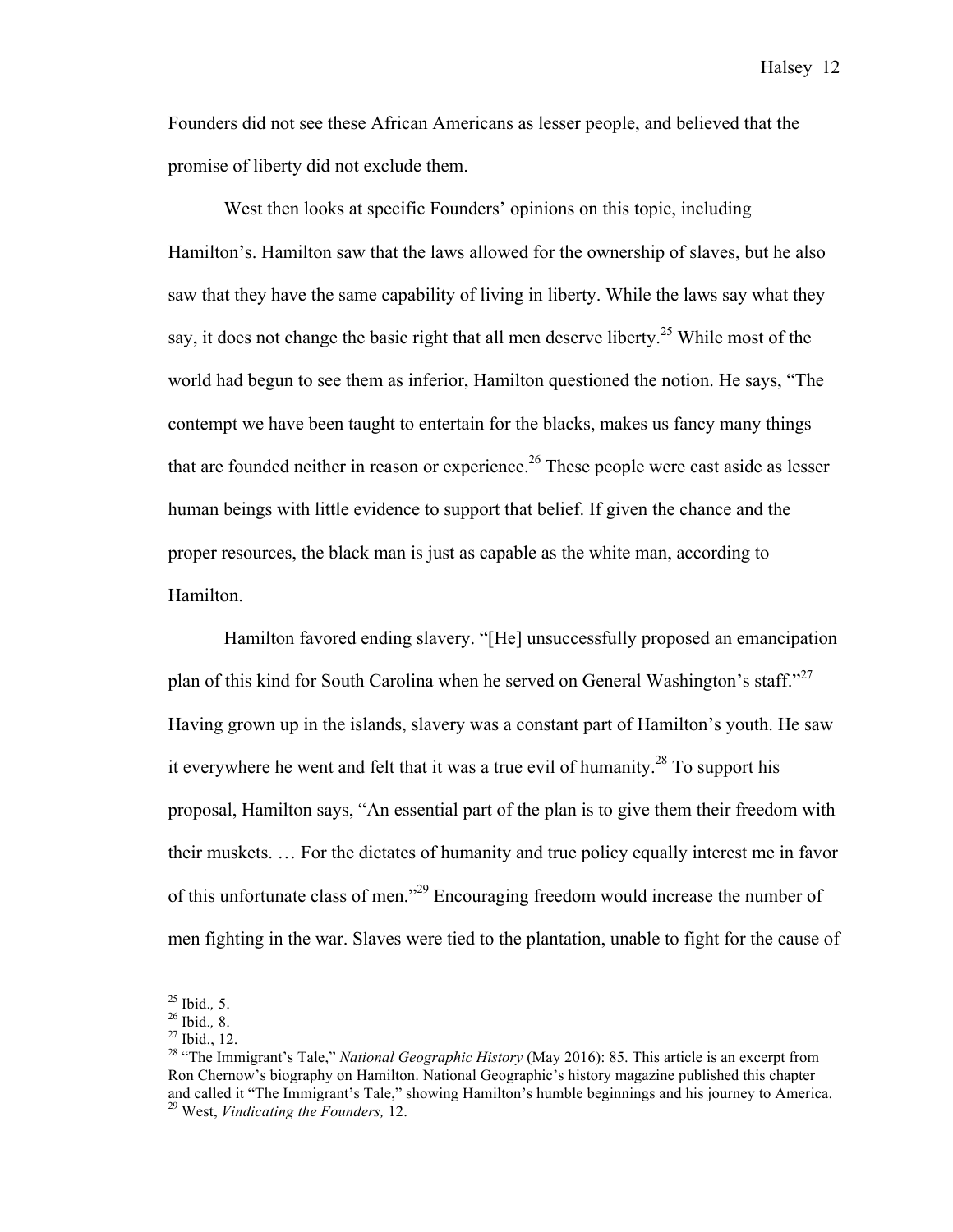Founders did not see these African Americans as lesser people, and believed that the promise of liberty did not exclude them.

West then looks at specific Founders' opinions on this topic, including Hamilton's. Hamilton saw that the laws allowed for the ownership of slaves, but he also saw that they have the same capability of living in liberty. While the laws say what they say, it does not change the basic right that all men deserve liberty.<sup>25</sup> While most of the world had begun to see them as inferior, Hamilton questioned the notion. He says, "The contempt we have been taught to entertain for the blacks, makes us fancy many things that are founded neither in reason or experience.<sup>26</sup> These people were cast aside as lesser human beings with little evidence to support that belief. If given the chance and the proper resources, the black man is just as capable as the white man, according to Hamilton.

Hamilton favored ending slavery. "[He] unsuccessfully proposed an emancipation plan of this kind for South Carolina when he served on General Washington's staff."<sup>27</sup> Having grown up in the islands, slavery was a constant part of Hamilton's youth. He saw it everywhere he went and felt that it was a true evil of humanity.<sup>28</sup> To support his proposal, Hamilton says, "An essential part of the plan is to give them their freedom with their muskets. … For the dictates of humanity and true policy equally interest me in favor of this unfortunate class of men."29 Encouraging freedom would increase the number of men fighting in the war. Slaves were tied to the plantation, unable to fight for the cause of

<sup>&</sup>lt;sup>25</sup> Ibid., 5.<br><sup>26</sup> Ibid., 8.<br><sup>27</sup> Ibid., 12.<br><sup>28</sup> "The Immigrant's Tale," *National Geographic History* (May 2016): 85. This article is an excerpt from Ron Chernow's biography on Hamilton. National Geographic's history magazine published this chapter and called it "The Immigrant's Tale," showing Hamilton's humble beginnings and his journey to America. <sup>29</sup> West, *Vindicating the Founders,* 12.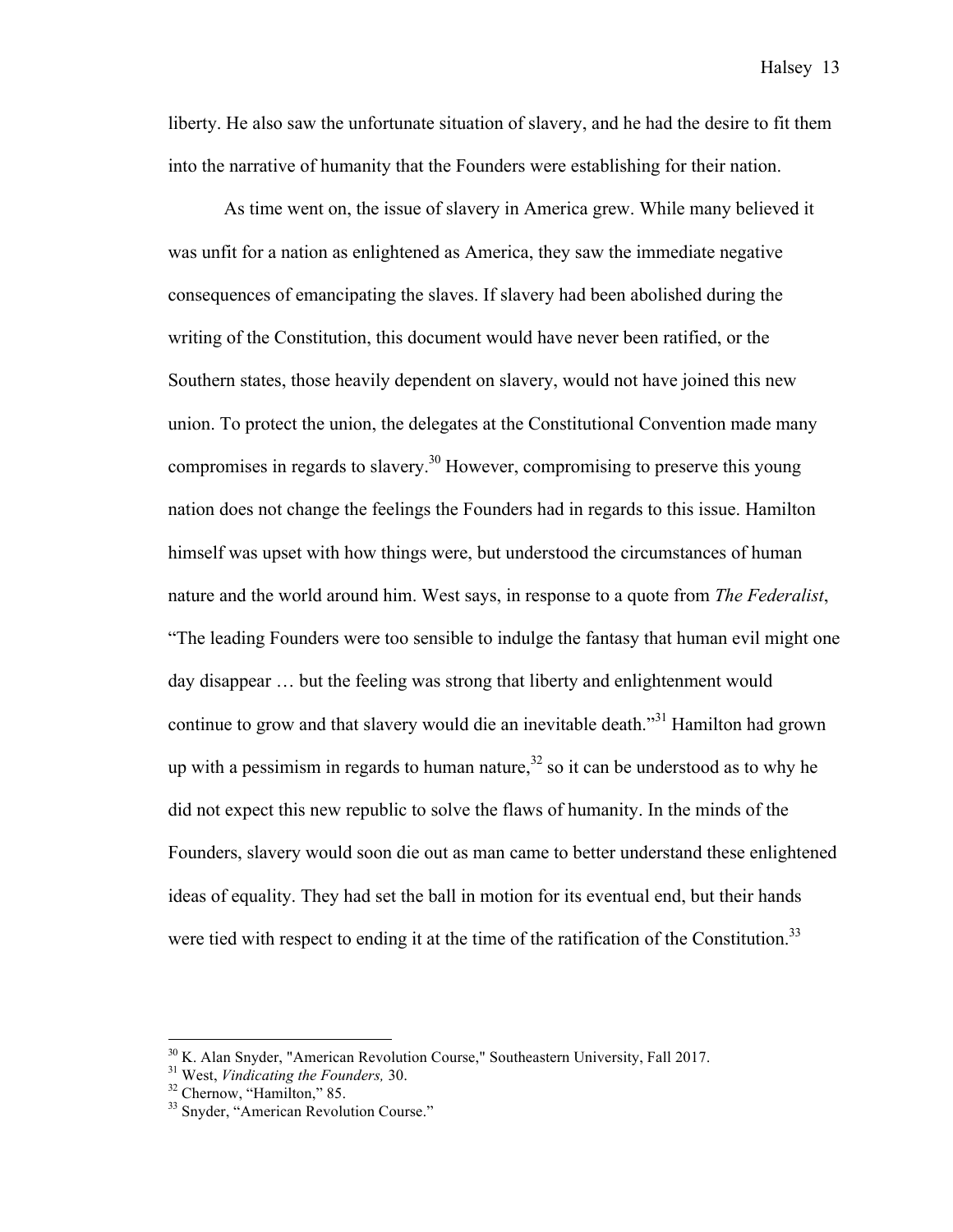liberty. He also saw the unfortunate situation of slavery, and he had the desire to fit them into the narrative of humanity that the Founders were establishing for their nation.

As time went on, the issue of slavery in America grew. While many believed it was unfit for a nation as enlightened as America, they saw the immediate negative consequences of emancipating the slaves. If slavery had been abolished during the writing of the Constitution, this document would have never been ratified, or the Southern states, those heavily dependent on slavery, would not have joined this new union. To protect the union, the delegates at the Constitutional Convention made many compromises in regards to slavery.<sup>30</sup> However, compromising to preserve this young nation does not change the feelings the Founders had in regards to this issue. Hamilton himself was upset with how things were, but understood the circumstances of human nature and the world around him. West says, in response to a quote from *The Federalist*, "The leading Founders were too sensible to indulge the fantasy that human evil might one day disappear … but the feeling was strong that liberty and enlightenment would continue to grow and that slavery would die an inevitable death.<sup>331</sup> Hamilton had grown up with a pessimism in regards to human nature,  $32$  so it can be understood as to why he did not expect this new republic to solve the flaws of humanity. In the minds of the Founders, slavery would soon die out as man came to better understand these enlightened ideas of equality. They had set the ball in motion for its eventual end, but their hands were tied with respect to ending it at the time of the ratification of the Constitution.<sup>33</sup>

<sup>&</sup>lt;sup>30</sup> K. Alan Snyder, "American Revolution Course," Southeastern University, Fall 2017.<br><sup>31</sup> West, *Vindicating the Founders*, 30.<br><sup>32</sup> Chernow, "Hamilton," 85.<br><sup>33</sup> Snyder, "American Revolution Course."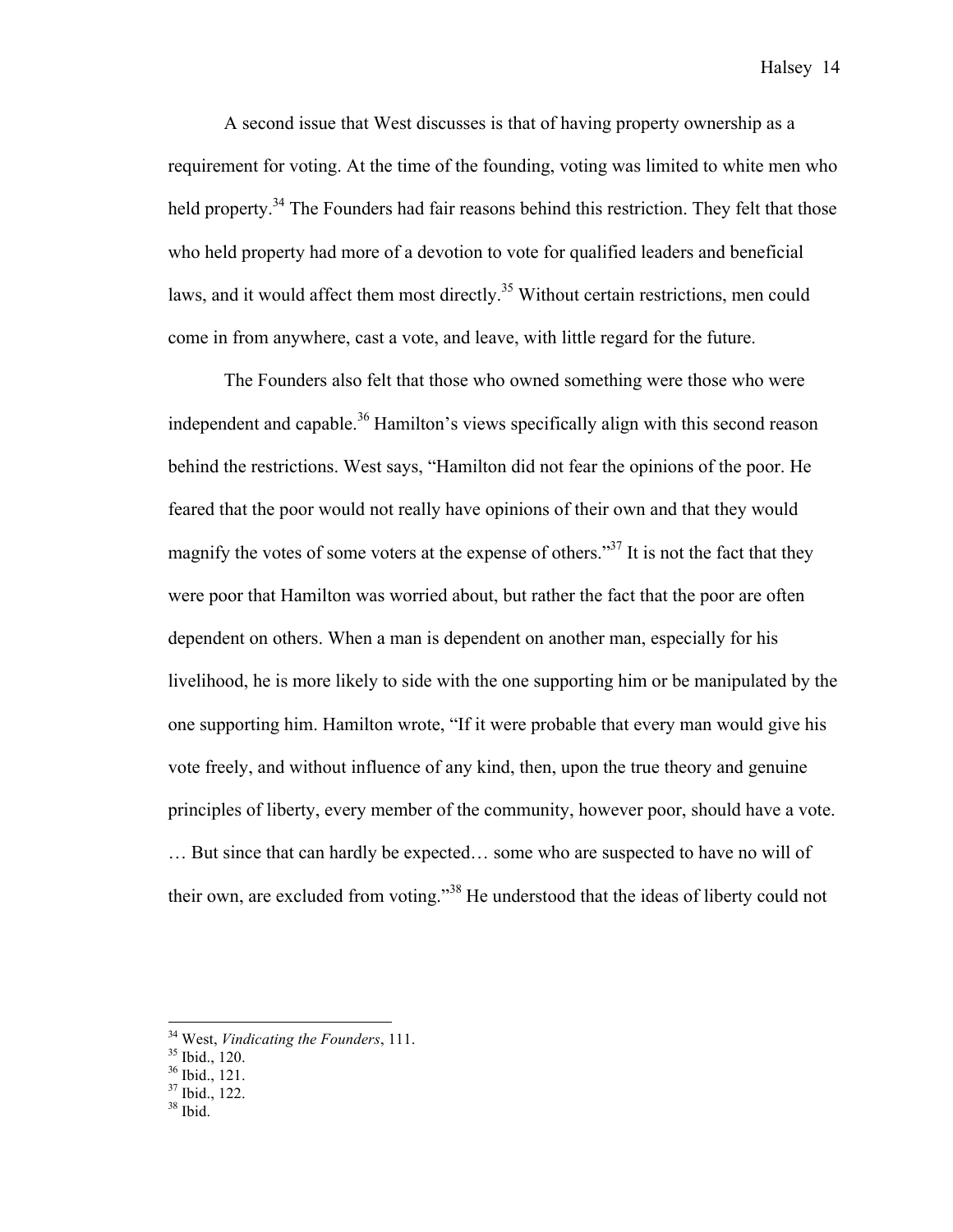A second issue that West discusses is that of having property ownership as a requirement for voting. At the time of the founding, voting was limited to white men who held property.<sup>34</sup> The Founders had fair reasons behind this restriction. They felt that those who held property had more of a devotion to vote for qualified leaders and beneficial laws, and it would affect them most directly.<sup>35</sup> Without certain restrictions, men could come in from anywhere, cast a vote, and leave, with little regard for the future.

The Founders also felt that those who owned something were those who were independent and capable.<sup>36</sup> Hamilton's views specifically align with this second reason behind the restrictions. West says, "Hamilton did not fear the opinions of the poor. He feared that the poor would not really have opinions of their own and that they would magnify the votes of some voters at the expense of others."<sup>37</sup> It is not the fact that they were poor that Hamilton was worried about, but rather the fact that the poor are often dependent on others. When a man is dependent on another man, especially for his livelihood, he is more likely to side with the one supporting him or be manipulated by the one supporting him. Hamilton wrote, "If it were probable that every man would give his vote freely, and without influence of any kind, then, upon the true theory and genuine principles of liberty, every member of the community, however poor, should have a vote. … But since that can hardly be expected… some who are suspected to have no will of their own, are excluded from voting."<sup>38</sup> He understood that the ideas of liberty could not

<sup>&</sup>lt;sup>34</sup> West, *Vindicating the Founders*, 111.<br><sup>35</sup> Ibid., 120.<br><sup>36</sup> Ibid., 121.<br><sup>37</sup> Ibid., 122.<br><sup>38</sup> Ibid.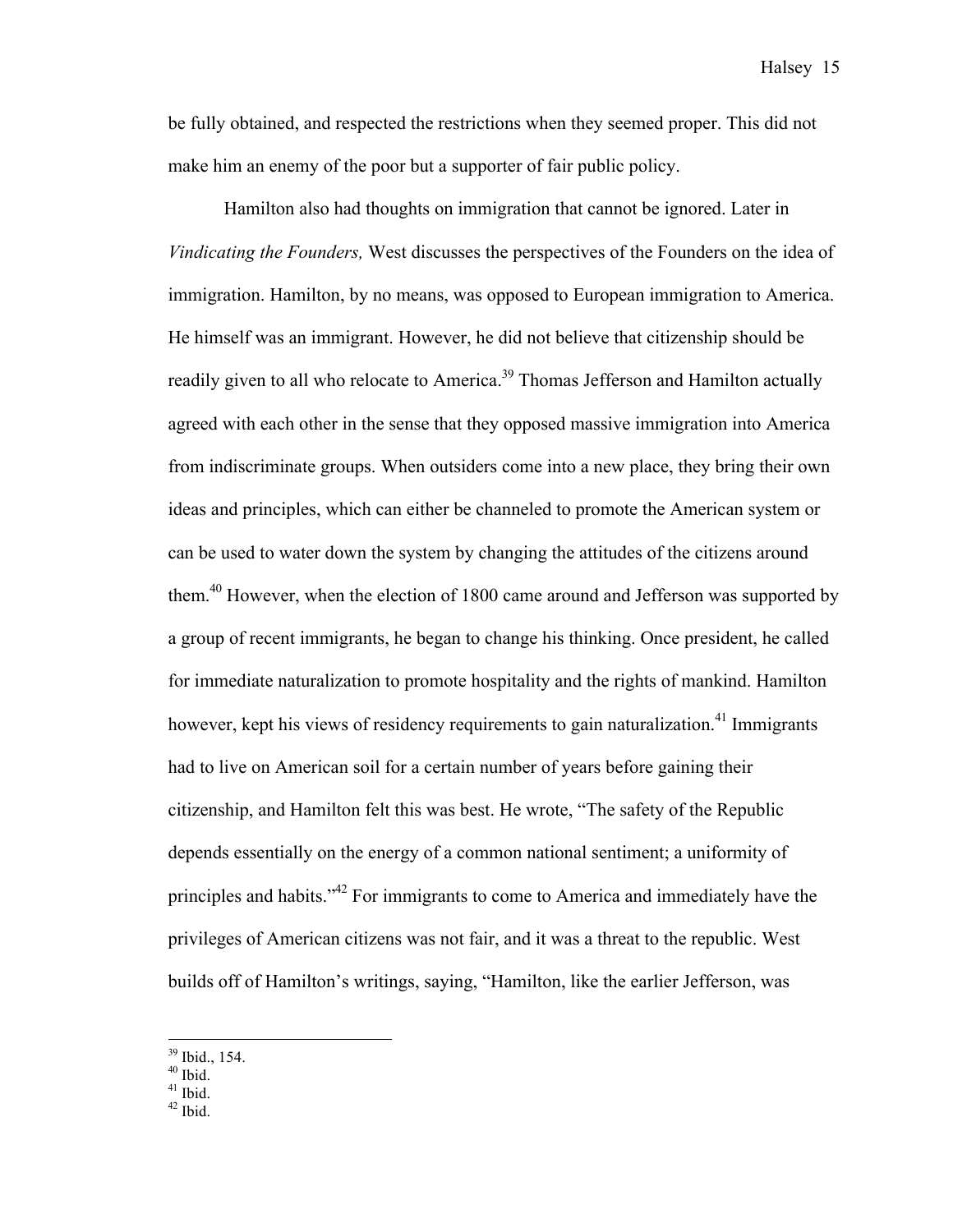be fully obtained, and respected the restrictions when they seemed proper. This did not make him an enemy of the poor but a supporter of fair public policy.

Hamilton also had thoughts on immigration that cannot be ignored. Later in *Vindicating the Founders,* West discusses the perspectives of the Founders on the idea of immigration. Hamilton, by no means, was opposed to European immigration to America. He himself was an immigrant. However, he did not believe that citizenship should be readily given to all who relocate to America.<sup>39</sup> Thomas Jefferson and Hamilton actually agreed with each other in the sense that they opposed massive immigration into America from indiscriminate groups. When outsiders come into a new place, they bring their own ideas and principles, which can either be channeled to promote the American system or can be used to water down the system by changing the attitudes of the citizens around them.<sup>40</sup> However, when the election of 1800 came around and Jefferson was supported by a group of recent immigrants, he began to change his thinking. Once president, he called for immediate naturalization to promote hospitality and the rights of mankind. Hamilton however, kept his views of residency requirements to gain naturalization.<sup>41</sup> Immigrants had to live on American soil for a certain number of years before gaining their citizenship, and Hamilton felt this was best. He wrote, "The safety of the Republic depends essentially on the energy of a common national sentiment; a uniformity of principles and habits."42 For immigrants to come to America and immediately have the privileges of American citizens was not fair, and it was a threat to the republic. West builds off of Hamilton's writings, saying, "Hamilton, like the earlier Jefferson, was

 $\frac{39}{40}$  Ibid., 154.<br>  $\frac{40}{41}$  Ibid.<br>  $\frac{42}{41}$  Ibid.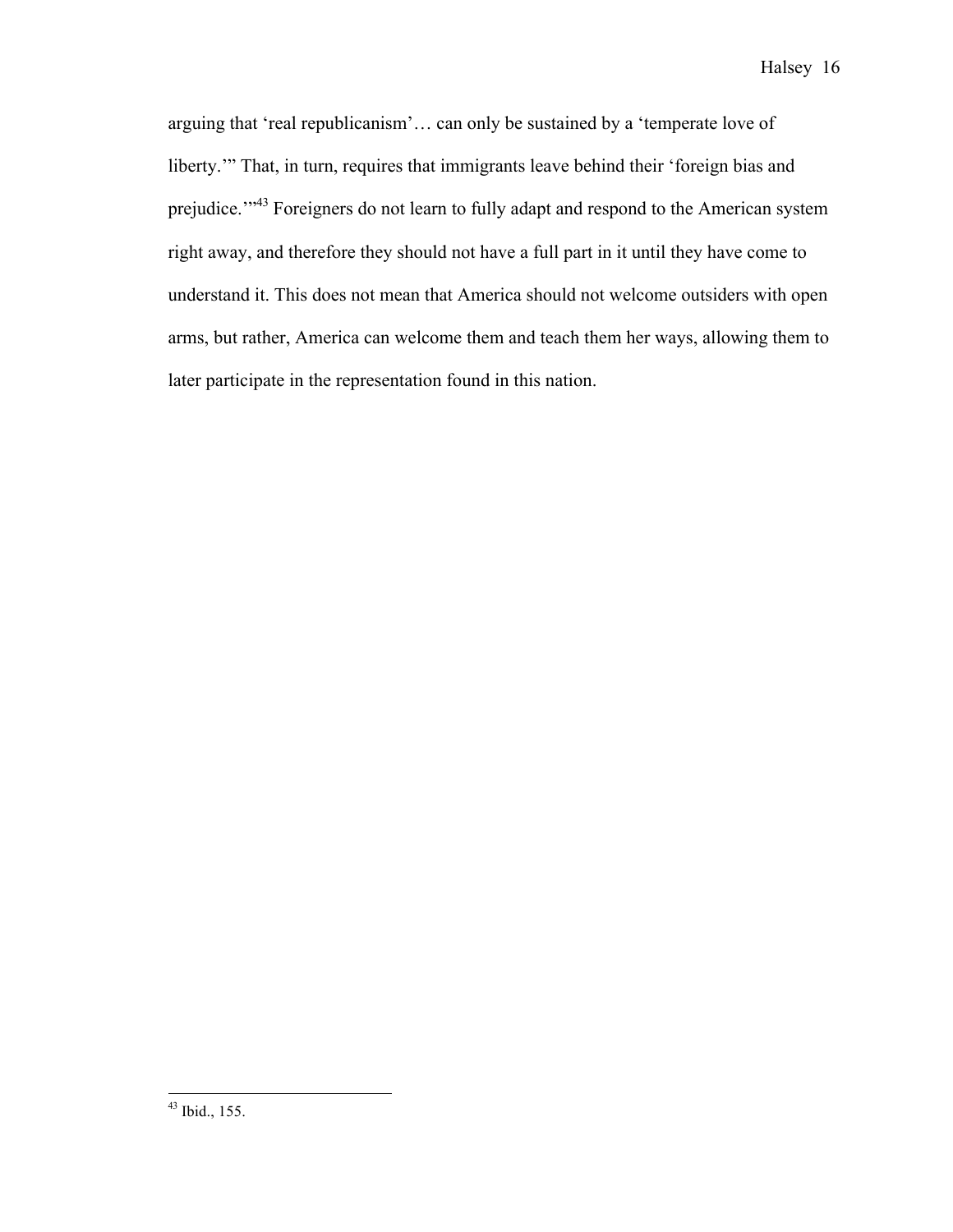arguing that 'real republicanism'… can only be sustained by a 'temperate love of liberty." That, in turn, requires that immigrants leave behind their 'foreign bias and prejudice.'"43 Foreigners do not learn to fully adapt and respond to the American system right away, and therefore they should not have a full part in it until they have come to understand it. This does not mean that America should not welcome outsiders with open arms, but rather, America can welcome them and teach them her ways, allowing them to later participate in the representation found in this nation.

 <sup>43</sup> Ibid., 155.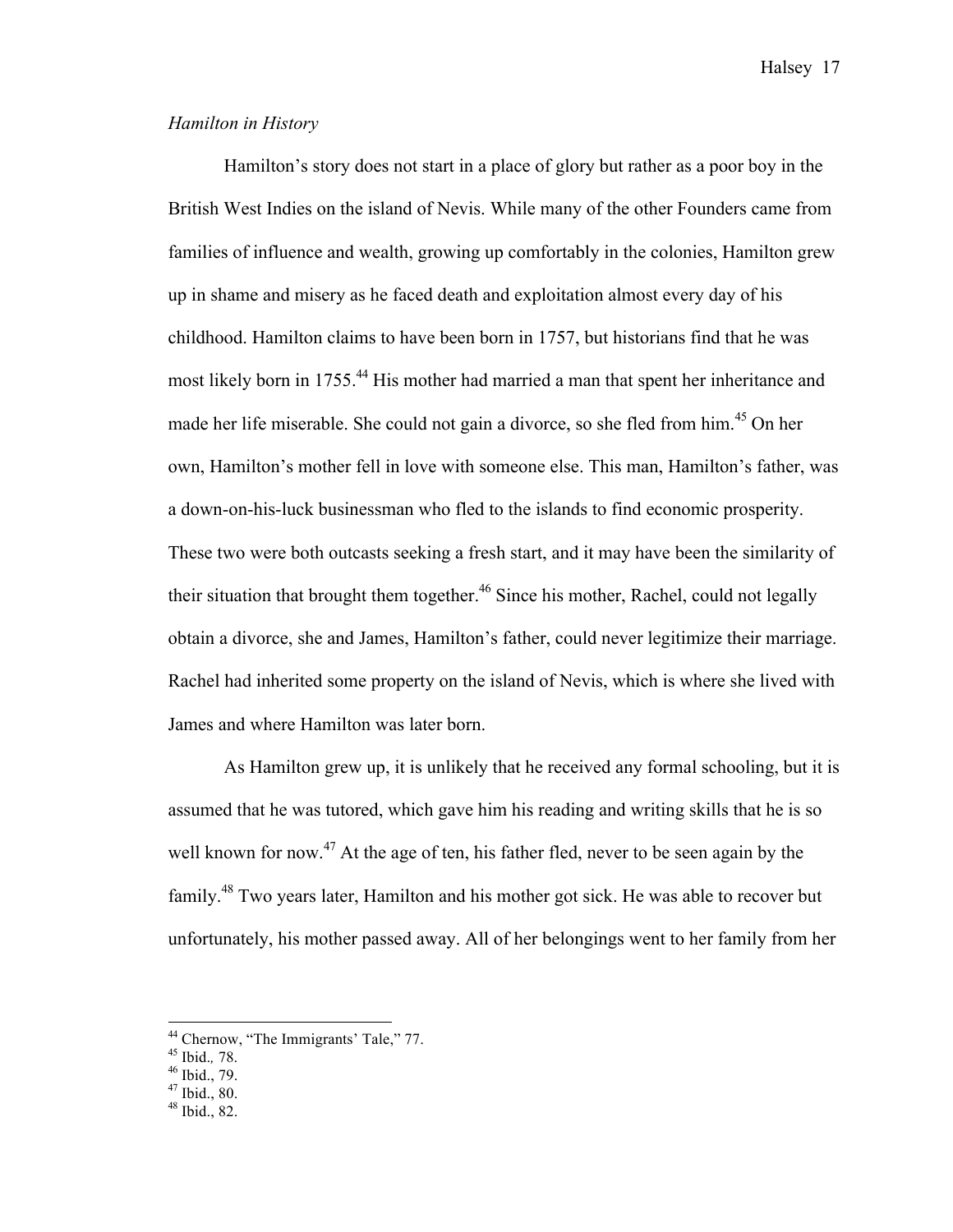#### *Hamilton in History*

Hamilton's story does not start in a place of glory but rather as a poor boy in the British West Indies on the island of Nevis. While many of the other Founders came from families of influence and wealth, growing up comfortably in the colonies, Hamilton grew up in shame and misery as he faced death and exploitation almost every day of his childhood. Hamilton claims to have been born in 1757, but historians find that he was most likely born in 1755.<sup>44</sup> His mother had married a man that spent her inheritance and made her life miserable. She could not gain a divorce, so she fled from him.<sup>45</sup> On her own, Hamilton's mother fell in love with someone else. This man, Hamilton's father, was a down-on-his-luck businessman who fled to the islands to find economic prosperity. These two were both outcasts seeking a fresh start, and it may have been the similarity of their situation that brought them together.<sup>46</sup> Since his mother, Rachel, could not legally obtain a divorce, she and James, Hamilton's father, could never legitimize their marriage. Rachel had inherited some property on the island of Nevis, which is where she lived with James and where Hamilton was later born.

As Hamilton grew up, it is unlikely that he received any formal schooling, but it is assumed that he was tutored, which gave him his reading and writing skills that he is so well known for now.<sup>47</sup> At the age of ten, his father fled, never to be seen again by the family.48 Two years later, Hamilton and his mother got sick. He was able to recover but unfortunately, his mother passed away. All of her belongings went to her family from her

<sup>&</sup>lt;sup>44</sup> Chernow, "The Immigrants' Tale," 77.<br><sup>45</sup> Ibid., 78.<br><sup>46</sup> Ibid., 79.<br><sup>47</sup> Ibid., 80.<br><sup>48</sup> Ibid., 82.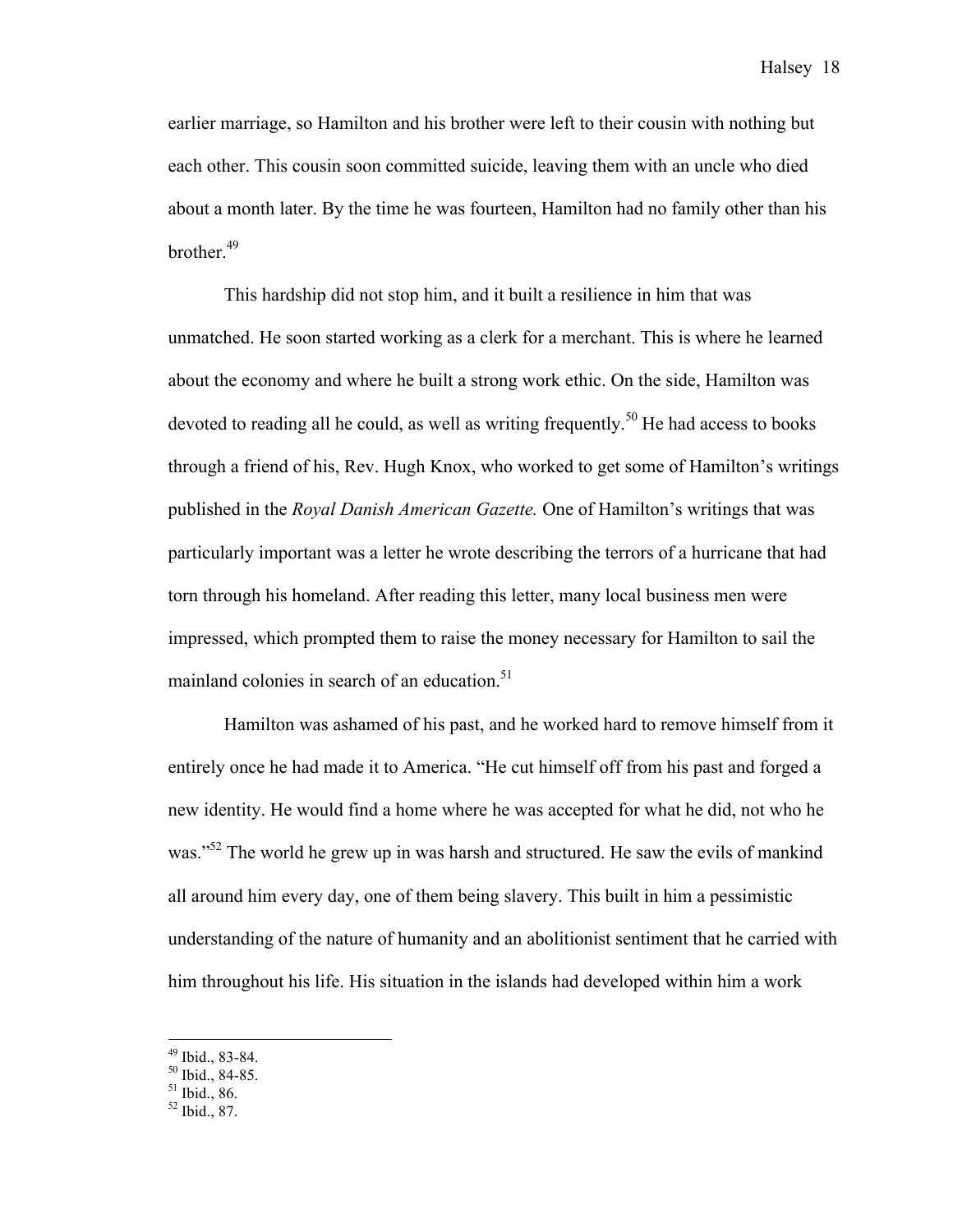earlier marriage, so Hamilton and his brother were left to their cousin with nothing but each other. This cousin soon committed suicide, leaving them with an uncle who died about a month later. By the time he was fourteen, Hamilton had no family other than his brother.<sup>49</sup>

This hardship did not stop him, and it built a resilience in him that was unmatched. He soon started working as a clerk for a merchant. This is where he learned about the economy and where he built a strong work ethic. On the side, Hamilton was devoted to reading all he could, as well as writing frequently.<sup>50</sup> He had access to books through a friend of his, Rev. Hugh Knox, who worked to get some of Hamilton's writings published in the *Royal Danish American Gazette.* One of Hamilton's writings that was particularly important was a letter he wrote describing the terrors of a hurricane that had torn through his homeland. After reading this letter, many local business men were impressed, which prompted them to raise the money necessary for Hamilton to sail the mainland colonies in search of an education.<sup>51</sup>

Hamilton was ashamed of his past, and he worked hard to remove himself from it entirely once he had made it to America. "He cut himself off from his past and forged a new identity. He would find a home where he was accepted for what he did, not who he was."<sup>52</sup> The world he grew up in was harsh and structured. He saw the evils of mankind all around him every day, one of them being slavery. This built in him a pessimistic understanding of the nature of humanity and an abolitionist sentiment that he carried with him throughout his life. His situation in the islands had developed within him a work

<sup>&</sup>lt;sup>49</sup> Ibid., 83-84.<br><sup>50</sup> Ibid., 84-85.<br><sup>51</sup> Ibid., 86.<br><sup>52</sup> Ibid., 87.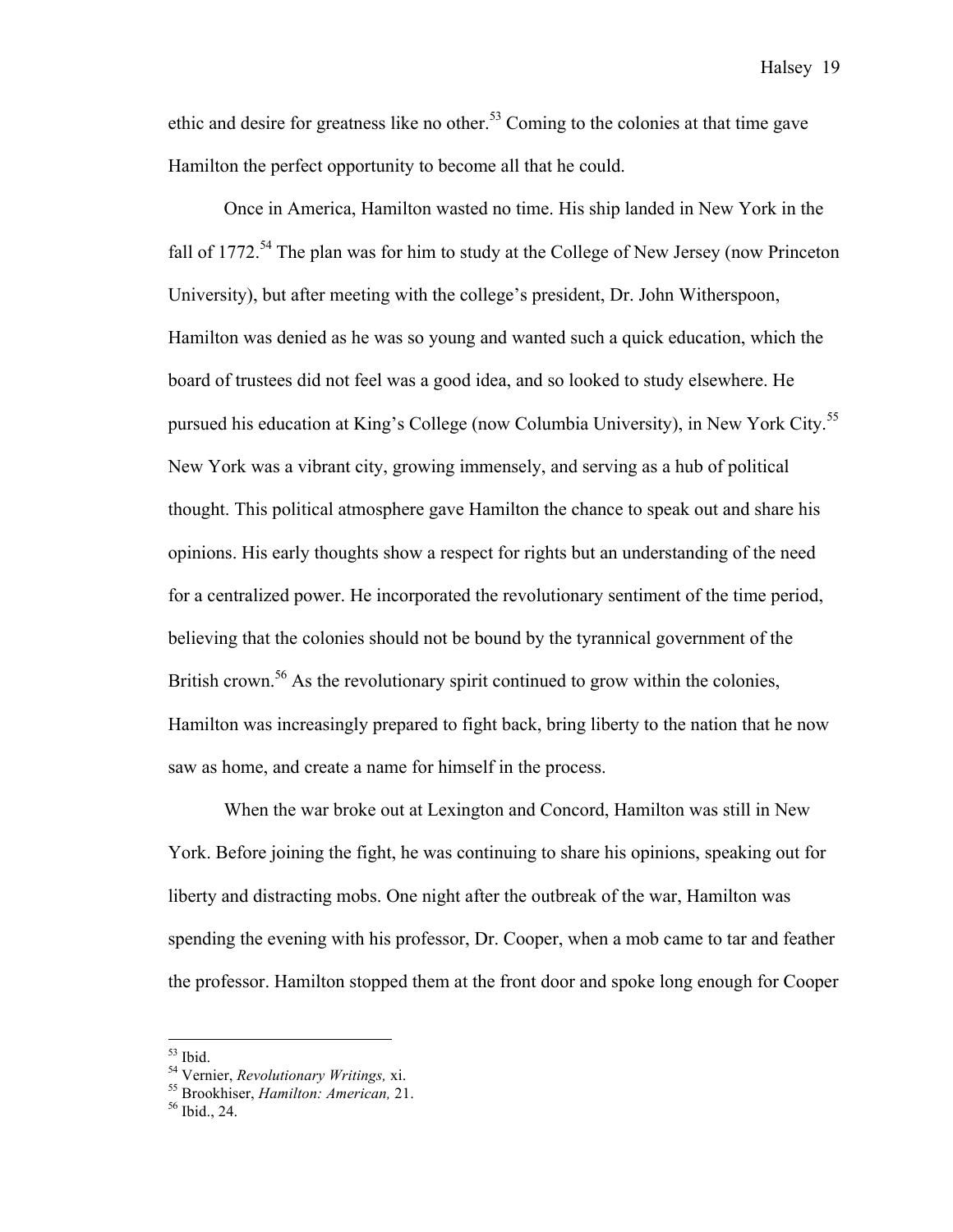ethic and desire for greatness like no other.<sup>53</sup> Coming to the colonies at that time gave Hamilton the perfect opportunity to become all that he could.

Once in America, Hamilton wasted no time. His ship landed in New York in the fall of 1772.<sup>54</sup> The plan was for him to study at the College of New Jersey (now Princeton University), but after meeting with the college's president, Dr. John Witherspoon, Hamilton was denied as he was so young and wanted such a quick education, which the board of trustees did not feel was a good idea, and so looked to study elsewhere. He pursued his education at King's College (now Columbia University), in New York City.<sup>55</sup> New York was a vibrant city, growing immensely, and serving as a hub of political thought. This political atmosphere gave Hamilton the chance to speak out and share his opinions. His early thoughts show a respect for rights but an understanding of the need for a centralized power. He incorporated the revolutionary sentiment of the time period, believing that the colonies should not be bound by the tyrannical government of the British crown.<sup>56</sup> As the revolutionary spirit continued to grow within the colonies, Hamilton was increasingly prepared to fight back, bring liberty to the nation that he now saw as home, and create a name for himself in the process.

When the war broke out at Lexington and Concord, Hamilton was still in New York. Before joining the fight, he was continuing to share his opinions, speaking out for liberty and distracting mobs. One night after the outbreak of the war, Hamilton was spending the evening with his professor, Dr. Cooper, when a mob came to tar and feather the professor. Hamilton stopped them at the front door and spoke long enough for Cooper

<sup>53</sup> Ibid. <sup>54</sup> Vernier, *Revolutionary Writings,* xi. <sup>55</sup> Brookhiser, *Hamilton: American,* 21. <sup>56</sup> Ibid., 24.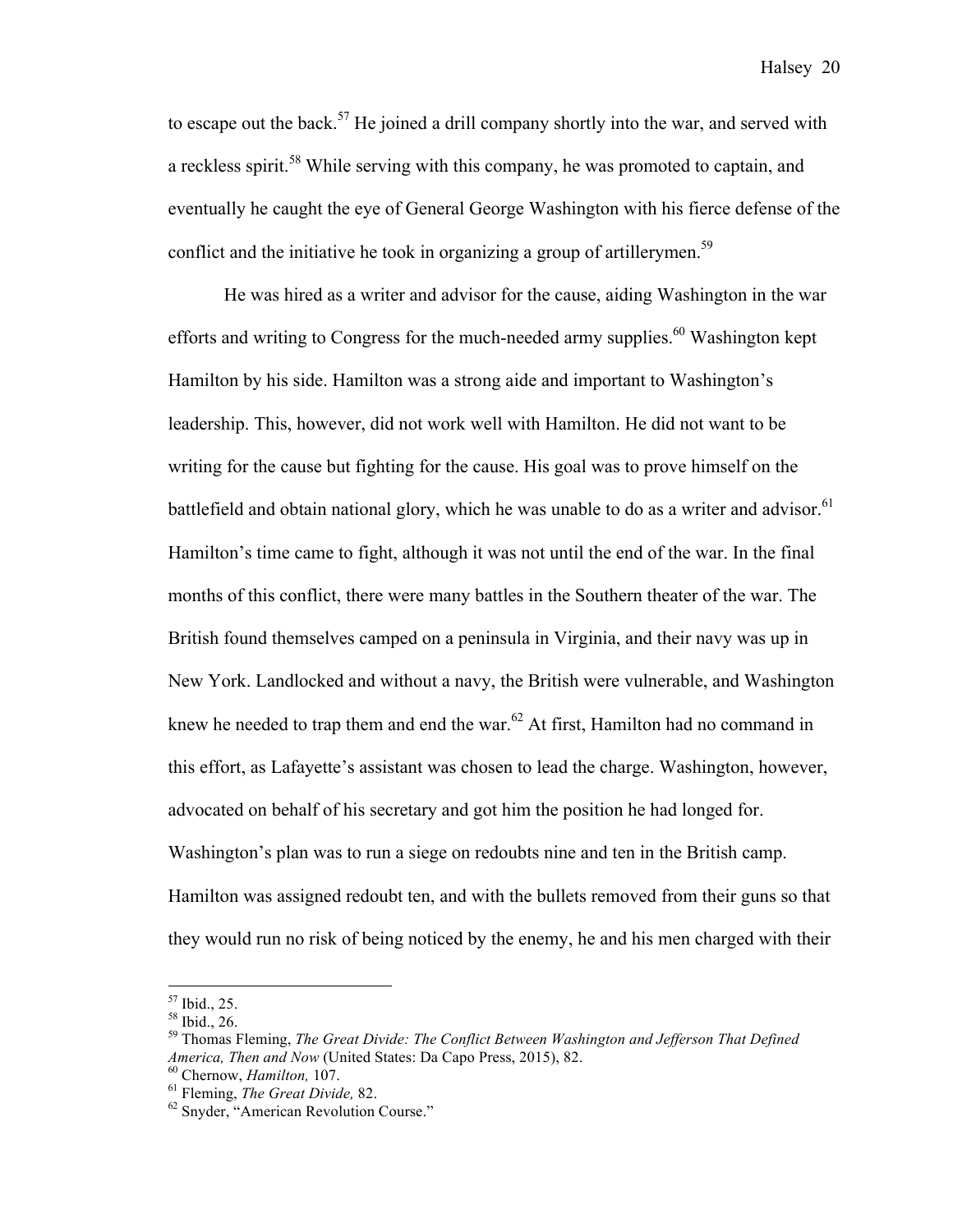to escape out the back.<sup>57</sup> He joined a drill company shortly into the war, and served with a reckless spirit.<sup>58</sup> While serving with this company, he was promoted to captain, and eventually he caught the eye of General George Washington with his fierce defense of the conflict and the initiative he took in organizing a group of artillerymen.<sup>59</sup>

He was hired as a writer and advisor for the cause, aiding Washington in the war efforts and writing to Congress for the much-needed army supplies.<sup>60</sup> Washington kept Hamilton by his side. Hamilton was a strong aide and important to Washington's leadership. This, however, did not work well with Hamilton. He did not want to be writing for the cause but fighting for the cause. His goal was to prove himself on the battlefield and obtain national glory, which he was unable to do as a writer and advisor.<sup>61</sup> Hamilton's time came to fight, although it was not until the end of the war. In the final months of this conflict, there were many battles in the Southern theater of the war. The British found themselves camped on a peninsula in Virginia, and their navy was up in New York. Landlocked and without a navy, the British were vulnerable, and Washington knew he needed to trap them and end the war.<sup>62</sup> At first, Hamilton had no command in this effort, as Lafayette's assistant was chosen to lead the charge. Washington, however, advocated on behalf of his secretary and got him the position he had longed for. Washington's plan was to run a siege on redoubts nine and ten in the British camp. Hamilton was assigned redoubt ten, and with the bullets removed from their guns so that they would run no risk of being noticed by the enemy, he and his men charged with their

<sup>&</sup>lt;sup>57</sup> Ibid., 25.<br><sup>58</sup> Ibid., 26.<br><sup>59</sup> Thomas Fleming, *The Great Divide: The Conflict Between Washington and Jefferson That Defined America, Then and Now (United States: Da Capo Press, 2015), 82.*<br><sup>60</sup> Chernow, *Hamilton, 107.*<br><sup>61</sup> Fleming, *The Great Divide, 82.* 62 Snyder, "American Revolution Course."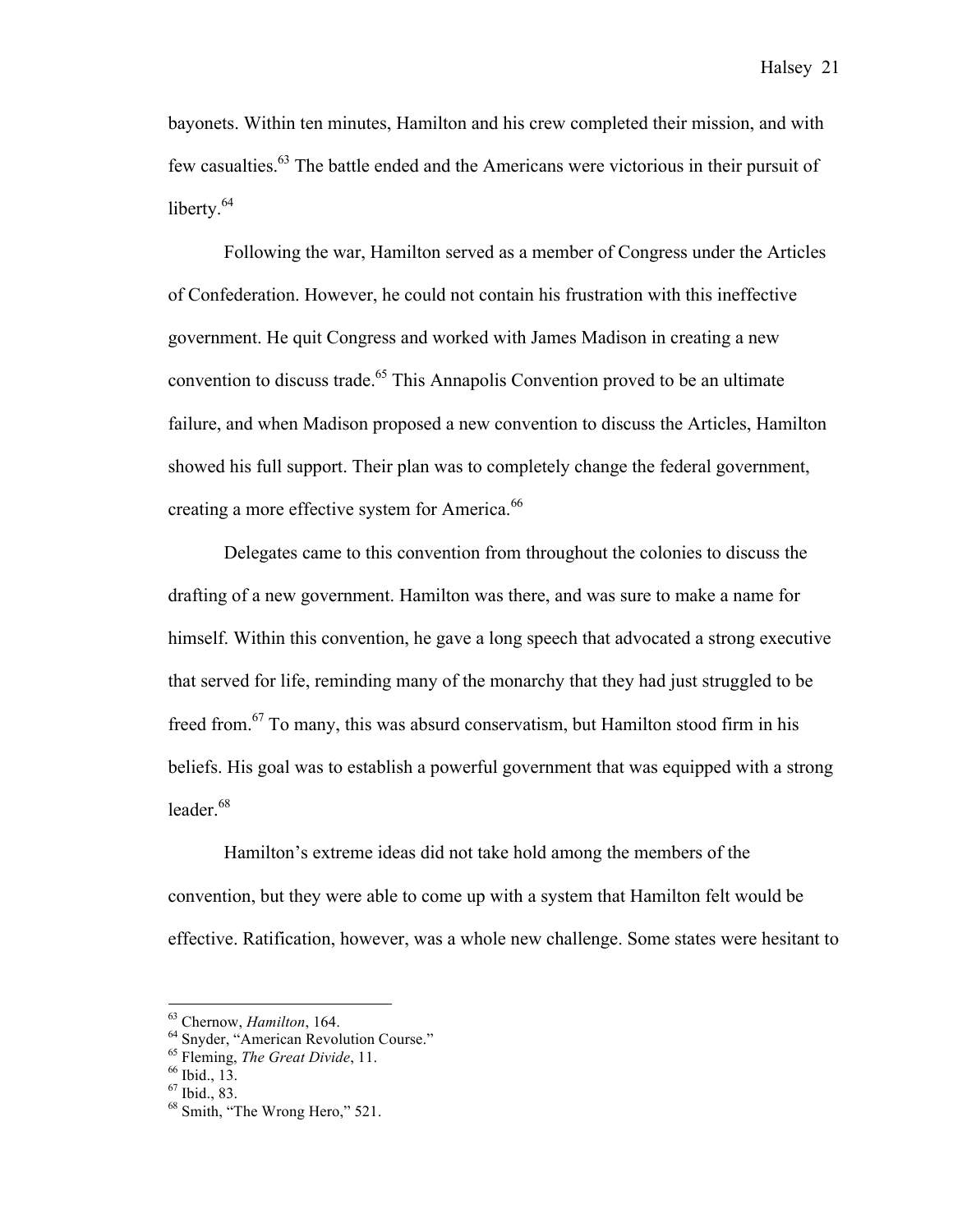bayonets. Within ten minutes, Hamilton and his crew completed their mission, and with few casualties.<sup>63</sup> The battle ended and the Americans were victorious in their pursuit of liberty.<sup>64</sup>

Following the war, Hamilton served as a member of Congress under the Articles of Confederation. However, he could not contain his frustration with this ineffective government. He quit Congress and worked with James Madison in creating a new convention to discuss trade.<sup>65</sup> This Annapolis Convention proved to be an ultimate failure, and when Madison proposed a new convention to discuss the Articles, Hamilton showed his full support. Their plan was to completely change the federal government, creating a more effective system for America.<sup>66</sup>

Delegates came to this convention from throughout the colonies to discuss the drafting of a new government. Hamilton was there, and was sure to make a name for himself. Within this convention, he gave a long speech that advocated a strong executive that served for life, reminding many of the monarchy that they had just struggled to be freed from.<sup>67</sup> To many, this was absurd conservatism, but Hamilton stood firm in his beliefs. His goal was to establish a powerful government that was equipped with a strong leader. 68

Hamilton's extreme ideas did not take hold among the members of the convention, but they were able to come up with a system that Hamilton felt would be effective. Ratification, however, was a whole new challenge. Some states were hesitant to

<sup>&</sup>lt;sup>63</sup> Chernow, *Hamilton*, 164.<br>
<sup>64</sup> Snyder, "American Revolution Course."<br>
<sup>65</sup> Fleming, *The Great Divide*, 11.<br>
<sup>66</sup> Ibid., 13.<br>
<sup>67</sup> Ibid., 83.<br>
<sup>68</sup> Smith, "The Wrong Hero," 521.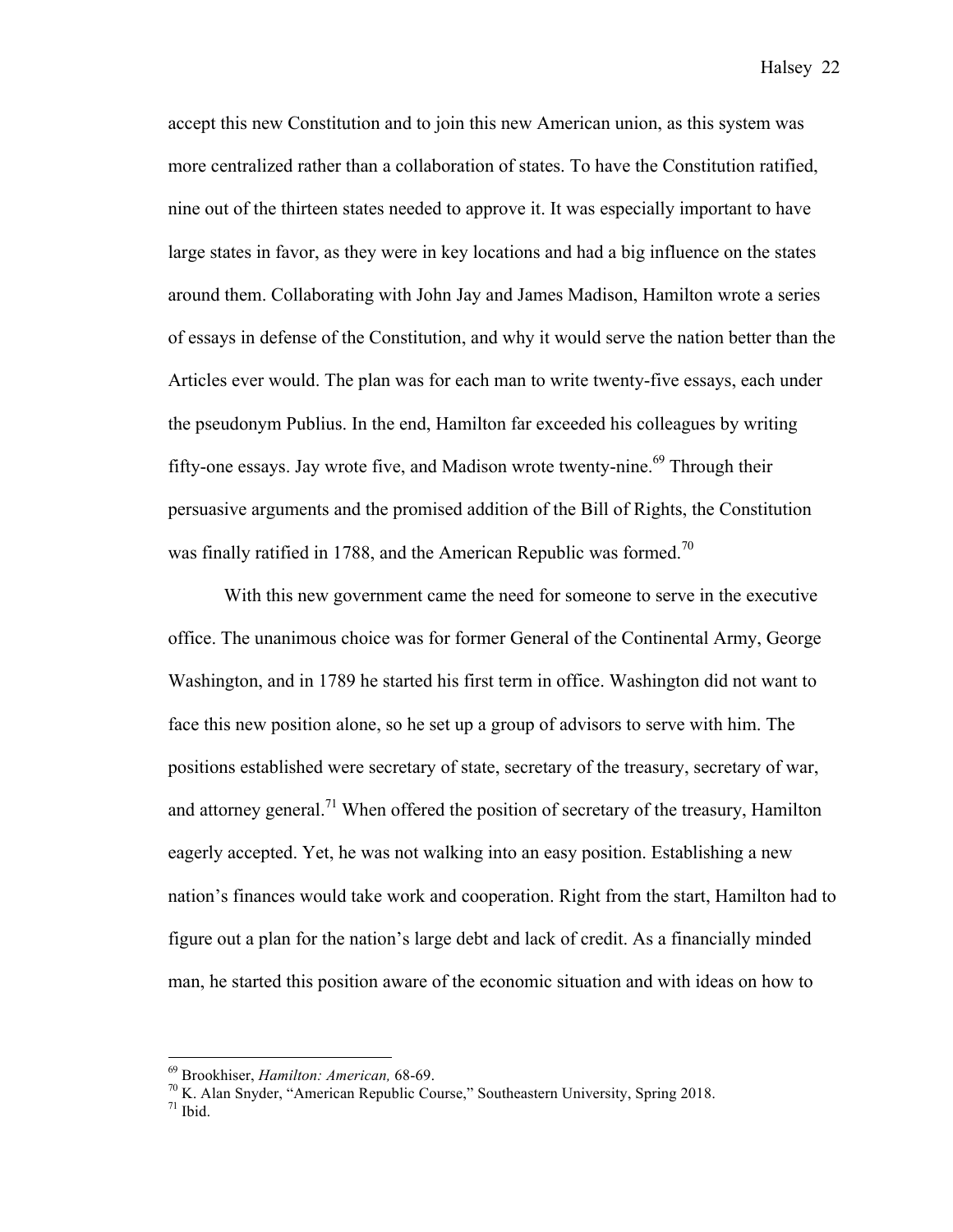accept this new Constitution and to join this new American union, as this system was more centralized rather than a collaboration of states. To have the Constitution ratified, nine out of the thirteen states needed to approve it. It was especially important to have large states in favor, as they were in key locations and had a big influence on the states around them. Collaborating with John Jay and James Madison, Hamilton wrote a series of essays in defense of the Constitution, and why it would serve the nation better than the Articles ever would. The plan was for each man to write twenty-five essays, each under the pseudonym Publius. In the end, Hamilton far exceeded his colleagues by writing fifty-one essays. Jay wrote five, and Madison wrote twenty-nine.<sup>69</sup> Through their persuasive arguments and the promised addition of the Bill of Rights, the Constitution was finally ratified in 1788, and the American Republic was formed.<sup>70</sup>

With this new government came the need for someone to serve in the executive office. The unanimous choice was for former General of the Continental Army, George Washington, and in 1789 he started his first term in office. Washington did not want to face this new position alone, so he set up a group of advisors to serve with him. The positions established were secretary of state, secretary of the treasury, secretary of war, and attorney general.<sup>71</sup> When offered the position of secretary of the treasury, Hamilton eagerly accepted. Yet, he was not walking into an easy position. Establishing a new nation's finances would take work and cooperation. Right from the start, Hamilton had to figure out a plan for the nation's large debt and lack of credit. As a financially minded man, he started this position aware of the economic situation and with ideas on how to

<sup>&</sup>lt;sup>69</sup> Brookhiser, *Hamilton: American*, 68-69.<br><sup>70</sup> K. Alan Snyder, "American Republic Course," Southeastern University, Spring 2018.<br><sup>71</sup> Ibid.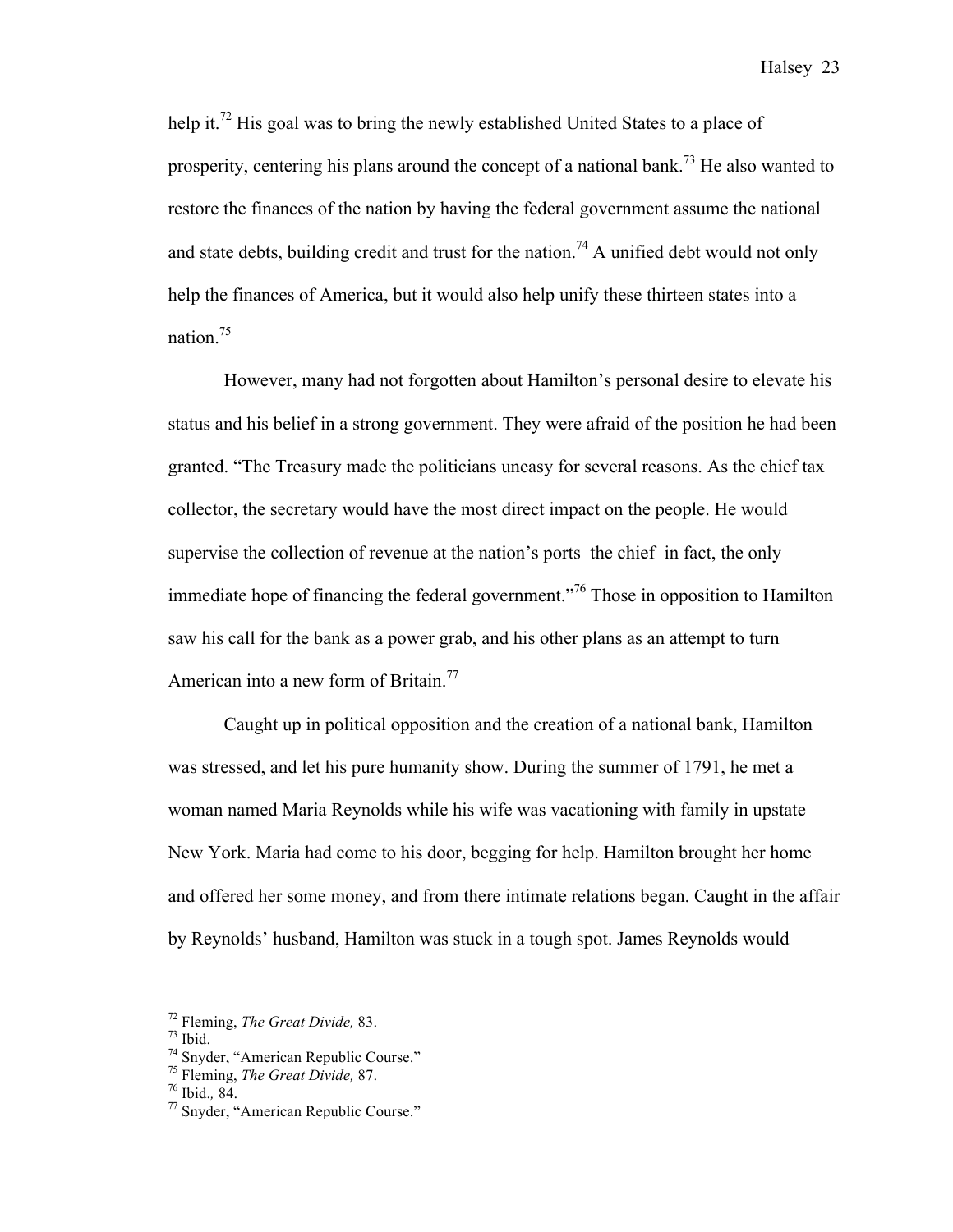help it.<sup>72</sup> His goal was to bring the newly established United States to a place of prosperity, centering his plans around the concept of a national bank.<sup>73</sup> He also wanted to restore the finances of the nation by having the federal government assume the national and state debts, building credit and trust for the nation.<sup>74</sup> A unified debt would not only help the finances of America, but it would also help unify these thirteen states into a nation.<sup>75</sup>

However, many had not forgotten about Hamilton's personal desire to elevate his status and his belief in a strong government. They were afraid of the position he had been granted. "The Treasury made the politicians uneasy for several reasons. As the chief tax collector, the secretary would have the most direct impact on the people. He would supervise the collection of revenue at the nation's ports–the chief–in fact, the only– immediate hope of financing the federal government.<sup>776</sup> Those in opposition to Hamilton saw his call for the bank as a power grab, and his other plans as an attempt to turn American into a new form of Britain.<sup>77</sup>

Caught up in political opposition and the creation of a national bank, Hamilton was stressed, and let his pure humanity show. During the summer of 1791, he met a woman named Maria Reynolds while his wife was vacationing with family in upstate New York. Maria had come to his door, begging for help. Hamilton brought her home and offered her some money, and from there intimate relations began. Caught in the affair by Reynolds' husband, Hamilton was stuck in a tough spot. James Reynolds would

<sup>&</sup>lt;sup>72</sup> Fleming, *The Great Divide*, 83.<br><sup>73</sup> Ibid.<br><sup>74</sup> Snyder, "American Republic Course."<br><sup>75</sup> Fleming, *The Great Divide*, 87.<br><sup>76</sup> Ibid., 84.<br><sup>77</sup> Snyder, "American Republic Course."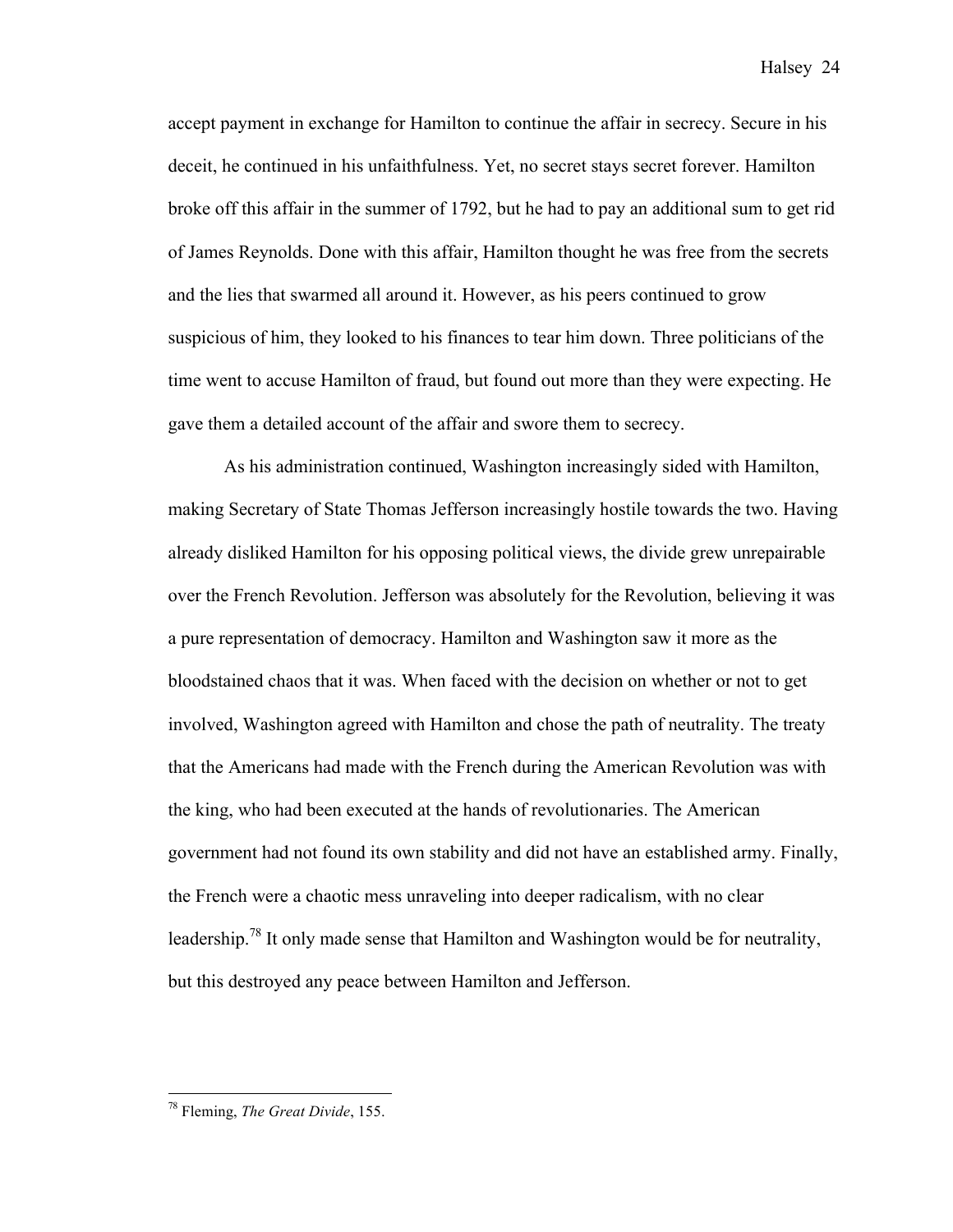accept payment in exchange for Hamilton to continue the affair in secrecy. Secure in his deceit, he continued in his unfaithfulness. Yet, no secret stays secret forever. Hamilton broke off this affair in the summer of 1792, but he had to pay an additional sum to get rid of James Reynolds. Done with this affair, Hamilton thought he was free from the secrets and the lies that swarmed all around it. However, as his peers continued to grow suspicious of him, they looked to his finances to tear him down. Three politicians of the time went to accuse Hamilton of fraud, but found out more than they were expecting. He gave them a detailed account of the affair and swore them to secrecy.

As his administration continued, Washington increasingly sided with Hamilton, making Secretary of State Thomas Jefferson increasingly hostile towards the two. Having already disliked Hamilton for his opposing political views, the divide grew unrepairable over the French Revolution. Jefferson was absolutely for the Revolution, believing it was a pure representation of democracy. Hamilton and Washington saw it more as the bloodstained chaos that it was. When faced with the decision on whether or not to get involved, Washington agreed with Hamilton and chose the path of neutrality. The treaty that the Americans had made with the French during the American Revolution was with the king, who had been executed at the hands of revolutionaries. The American government had not found its own stability and did not have an established army. Finally, the French were a chaotic mess unraveling into deeper radicalism, with no clear leadership.<sup>78</sup> It only made sense that Hamilton and Washington would be for neutrality, but this destroyed any peace between Hamilton and Jefferson.

 <sup>78</sup> Fleming, *The Great Divide*, 155.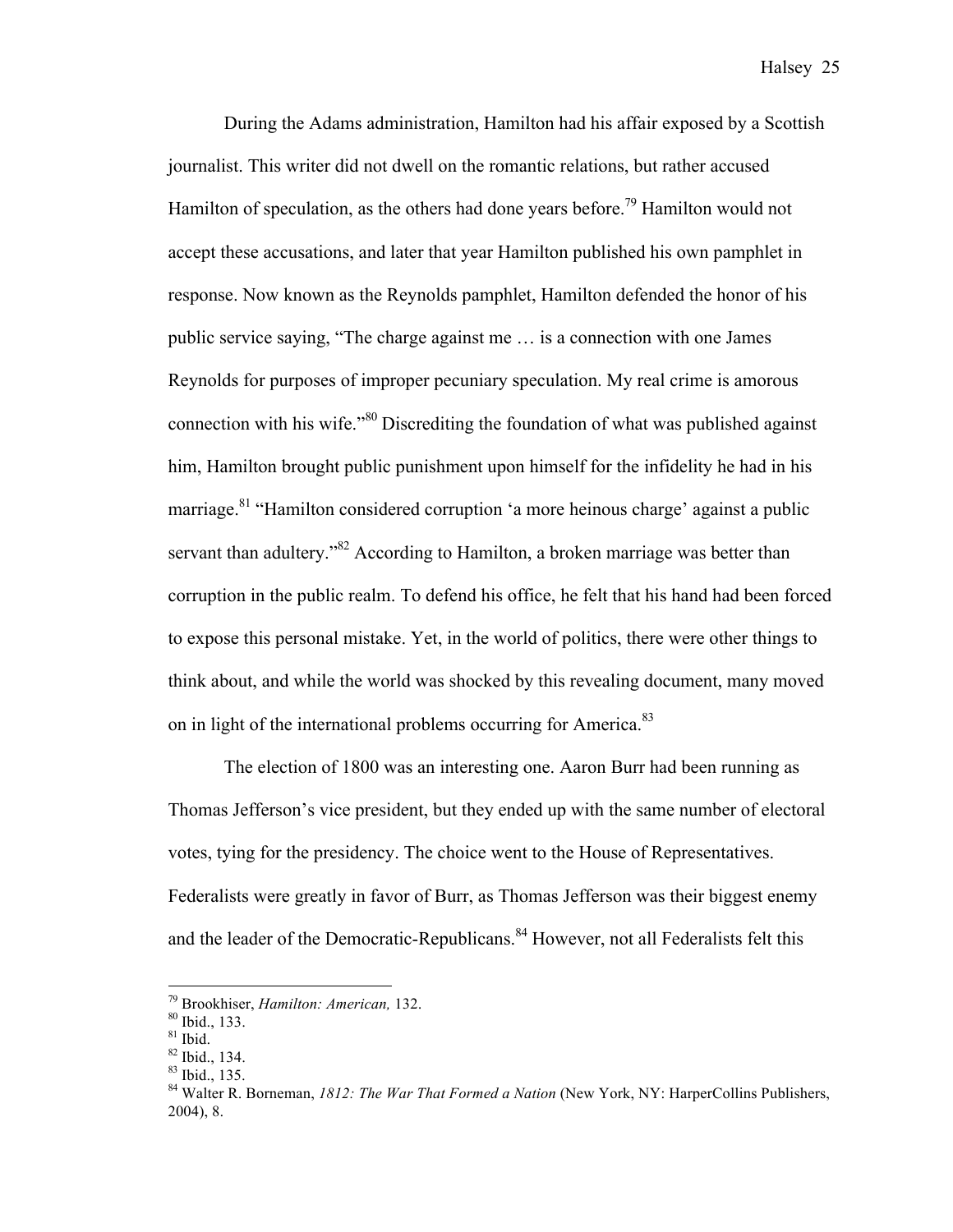During the Adams administration, Hamilton had his affair exposed by a Scottish journalist. This writer did not dwell on the romantic relations, but rather accused Hamilton of speculation, as the others had done years before.<sup>79</sup> Hamilton would not accept these accusations, and later that year Hamilton published his own pamphlet in response. Now known as the Reynolds pamphlet, Hamilton defended the honor of his public service saying, "The charge against me … is a connection with one James Reynolds for purposes of improper pecuniary speculation. My real crime is amorous connection with his wife."<sup>80</sup> Discrediting the foundation of what was published against him, Hamilton brought public punishment upon himself for the infidelity he had in his marriage.<sup>81</sup> "Hamilton considered corruption 'a more heinous charge' against a public servant than adultery."<sup>82</sup> According to Hamilton, a broken marriage was better than corruption in the public realm. To defend his office, he felt that his hand had been forced to expose this personal mistake. Yet, in the world of politics, there were other things to think about, and while the world was shocked by this revealing document, many moved on in light of the international problems occurring for America.<sup>83</sup>

The election of 1800 was an interesting one. Aaron Burr had been running as Thomas Jefferson's vice president, but they ended up with the same number of electoral votes, tying for the presidency. The choice went to the House of Representatives. Federalists were greatly in favor of Burr, as Thomas Jefferson was their biggest enemy and the leader of the Democratic-Republicans.<sup>84</sup> However, not all Federalists felt this

<sup>&</sup>lt;sup>79</sup> Brookhiser, *Hamilton: American*, 132.<br><sup>80</sup> Ibid., 133.<br><sup>81</sup> Ibid., 134.<br><sup>83</sup> Ibid., 135.<br><sup>84</sup> Walter R. Borneman, *1812: The War That Formed a Nation* (New York, NY: HarperCollins Publishers, 2004), 8.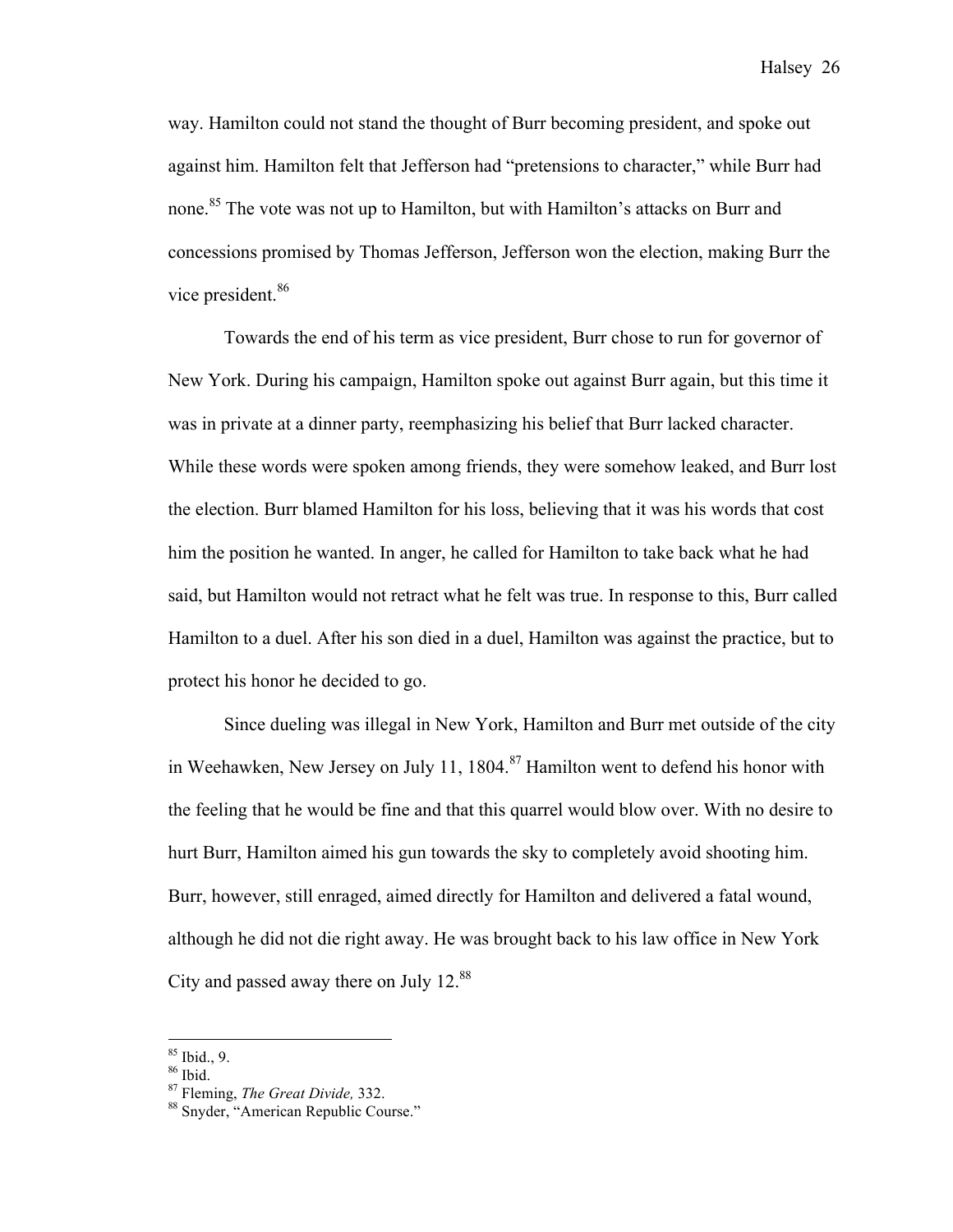way. Hamilton could not stand the thought of Burr becoming president, and spoke out against him. Hamilton felt that Jefferson had "pretensions to character," while Burr had none.<sup>85</sup> The vote was not up to Hamilton, but with Hamilton's attacks on Burr and concessions promised by Thomas Jefferson, Jefferson won the election, making Burr the vice president.<sup>86</sup>

Towards the end of his term as vice president, Burr chose to run for governor of New York. During his campaign, Hamilton spoke out against Burr again, but this time it was in private at a dinner party, reemphasizing his belief that Burr lacked character. While these words were spoken among friends, they were somehow leaked, and Burr lost the election. Burr blamed Hamilton for his loss, believing that it was his words that cost him the position he wanted. In anger, he called for Hamilton to take back what he had said, but Hamilton would not retract what he felt was true. In response to this, Burr called Hamilton to a duel. After his son died in a duel, Hamilton was against the practice, but to protect his honor he decided to go.

Since dueling was illegal in New York, Hamilton and Burr met outside of the city in Weehawken, New Jersey on July 11, 1804. <sup>87</sup> Hamilton went to defend his honor with the feeling that he would be fine and that this quarrel would blow over. With no desire to hurt Burr, Hamilton aimed his gun towards the sky to completely avoid shooting him. Burr, however, still enraged, aimed directly for Hamilton and delivered a fatal wound, although he did not die right away. He was brought back to his law office in New York City and passed away there on July  $12^{88}$ .

<sup>&</sup>lt;sup>85</sup> Ibid., 9.<br><sup>86</sup> Ibid.<br><sup>87</sup> Fleming, *The Great Divide*, 332.<br><sup>88</sup> Snyder, "American Republic Course."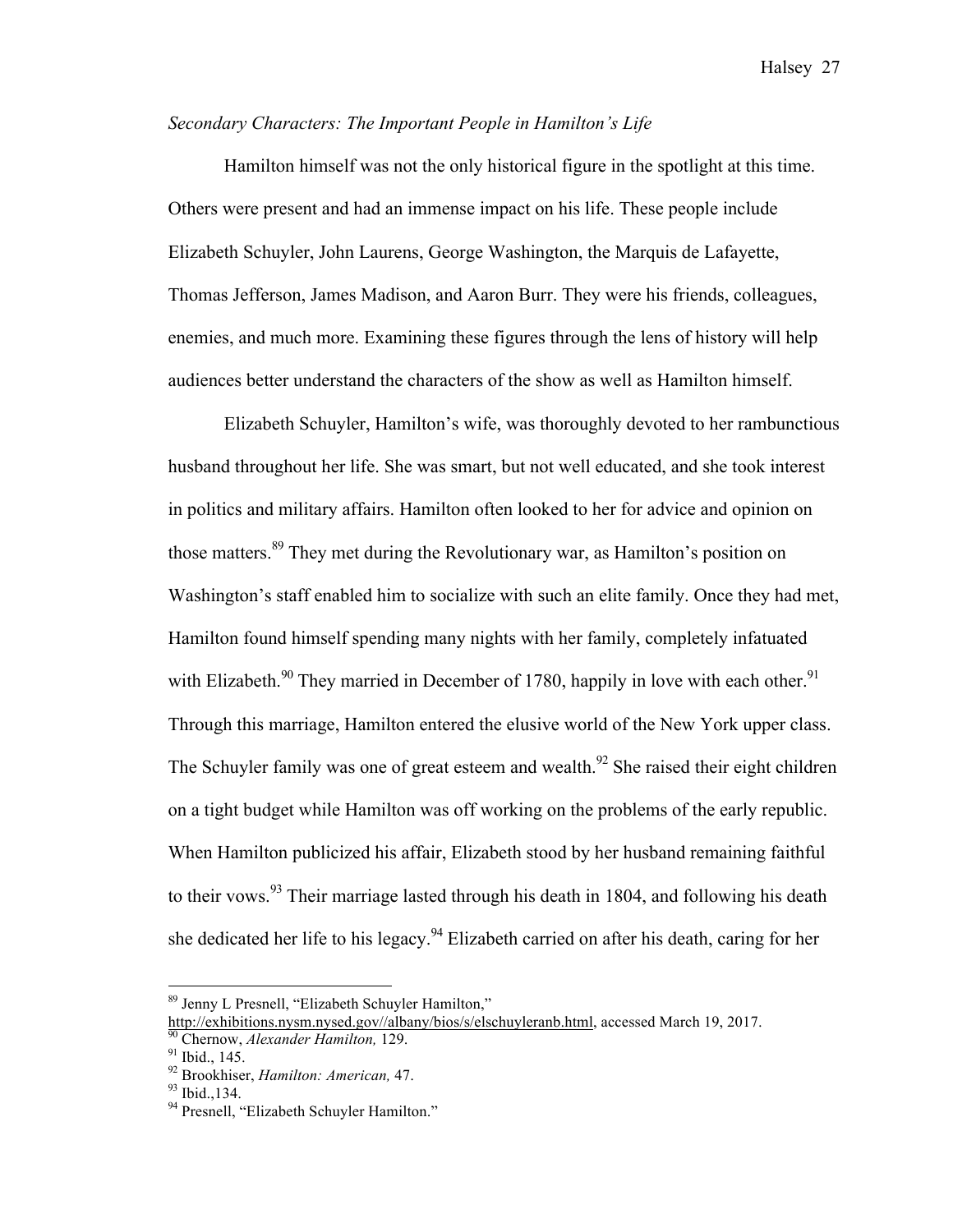#### *Secondary Characters: The Important People in Hamilton's Life*

Hamilton himself was not the only historical figure in the spotlight at this time. Others were present and had an immense impact on his life. These people include Elizabeth Schuyler, John Laurens, George Washington, the Marquis de Lafayette, Thomas Jefferson, James Madison, and Aaron Burr. They were his friends, colleagues, enemies, and much more. Examining these figures through the lens of history will help audiences better understand the characters of the show as well as Hamilton himself.

Elizabeth Schuyler, Hamilton's wife, was thoroughly devoted to her rambunctious husband throughout her life. She was smart, but not well educated, and she took interest in politics and military affairs. Hamilton often looked to her for advice and opinion on those matters.<sup>89</sup> They met during the Revolutionary war, as Hamilton's position on Washington's staff enabled him to socialize with such an elite family. Once they had met, Hamilton found himself spending many nights with her family, completely infatuated with Elizabeth.<sup>90</sup> They married in December of 1780, happily in love with each other.<sup>91</sup> Through this marriage, Hamilton entered the elusive world of the New York upper class. The Schuyler family was one of great esteem and wealth.<sup>92</sup> She raised their eight children on a tight budget while Hamilton was off working on the problems of the early republic. When Hamilton publicized his affair, Elizabeth stood by her husband remaining faithful to their vows.<sup>93</sup> Their marriage lasted through his death in 1804, and following his death she dedicated her life to his legacy.<sup>94</sup> Elizabeth carried on after his death, caring for her

 <sup>89</sup> Jenny L Presnell, "Elizabeth Schuyler Hamilton,"

http://exhibitions.nysm.nysed.gov//albany/bios/s/elschuyleranb.html, accessed March 19, 2017.<br>
<sup>90</sup> Chernow, *Alexander Hamilton*, 129.<br>
<sup>91</sup> Ibid., 145.<br>
<sup>92</sup> Brookhiser, *Hamilton: American*, 47.<br>
<sup>93</sup> Ibid., 134.<br>
<sup>94</sup>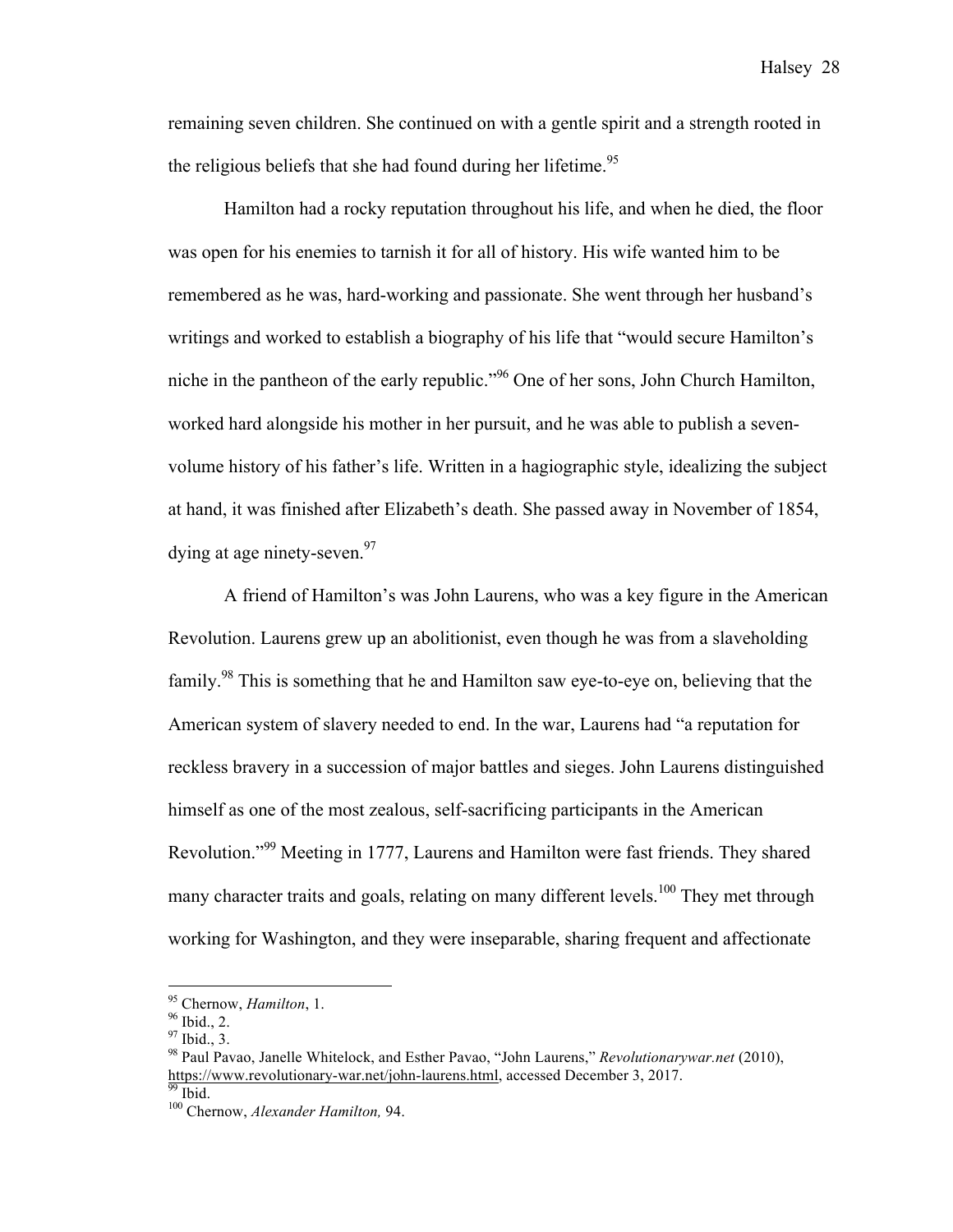remaining seven children. She continued on with a gentle spirit and a strength rooted in the religious beliefs that she had found during her lifetime.<sup>95</sup>

Hamilton had a rocky reputation throughout his life, and when he died, the floor was open for his enemies to tarnish it for all of history. His wife wanted him to be remembered as he was, hard-working and passionate. She went through her husband's writings and worked to establish a biography of his life that "would secure Hamilton's niche in the pantheon of the early republic."96 One of her sons, John Church Hamilton, worked hard alongside his mother in her pursuit, and he was able to publish a sevenvolume history of his father's life. Written in a hagiographic style, idealizing the subject at hand, it was finished after Elizabeth's death. She passed away in November of 1854, dying at age ninety-seven.<sup>97</sup>

A friend of Hamilton's was John Laurens, who was a key figure in the American Revolution. Laurens grew up an abolitionist, even though he was from a slaveholding family.<sup>98</sup> This is something that he and Hamilton saw eye-to-eye on, believing that the American system of slavery needed to end. In the war, Laurens had "a reputation for reckless bravery in a succession of major battles and sieges. John Laurens distinguished himself as one of the most zealous, self-sacrificing participants in the American Revolution."<sup>99</sup> Meeting in 1777, Laurens and Hamilton were fast friends. They shared many character traits and goals, relating on many different levels.<sup>100</sup> They met through working for Washington, and they were inseparable, sharing frequent and affectionate

<sup>&</sup>lt;sup>95</sup> Chernow, *Hamilton*, 1.<br><sup>96</sup> Ibid., 2.<br><sup>97</sup> Ibid., 3.<br><sup>98</sup> Paul Pavao, Janelle Whitelock, and Esther Pavao, "John Laurens," *Revolutionarywar.net* (2010), https://www.revolutionary-war.net/john-laurens.html, accessed December 3, 2017.<br><sup>99</sup> Ibid. <sup>100</sup> Chernow, *Alexander Hamilton*, 94.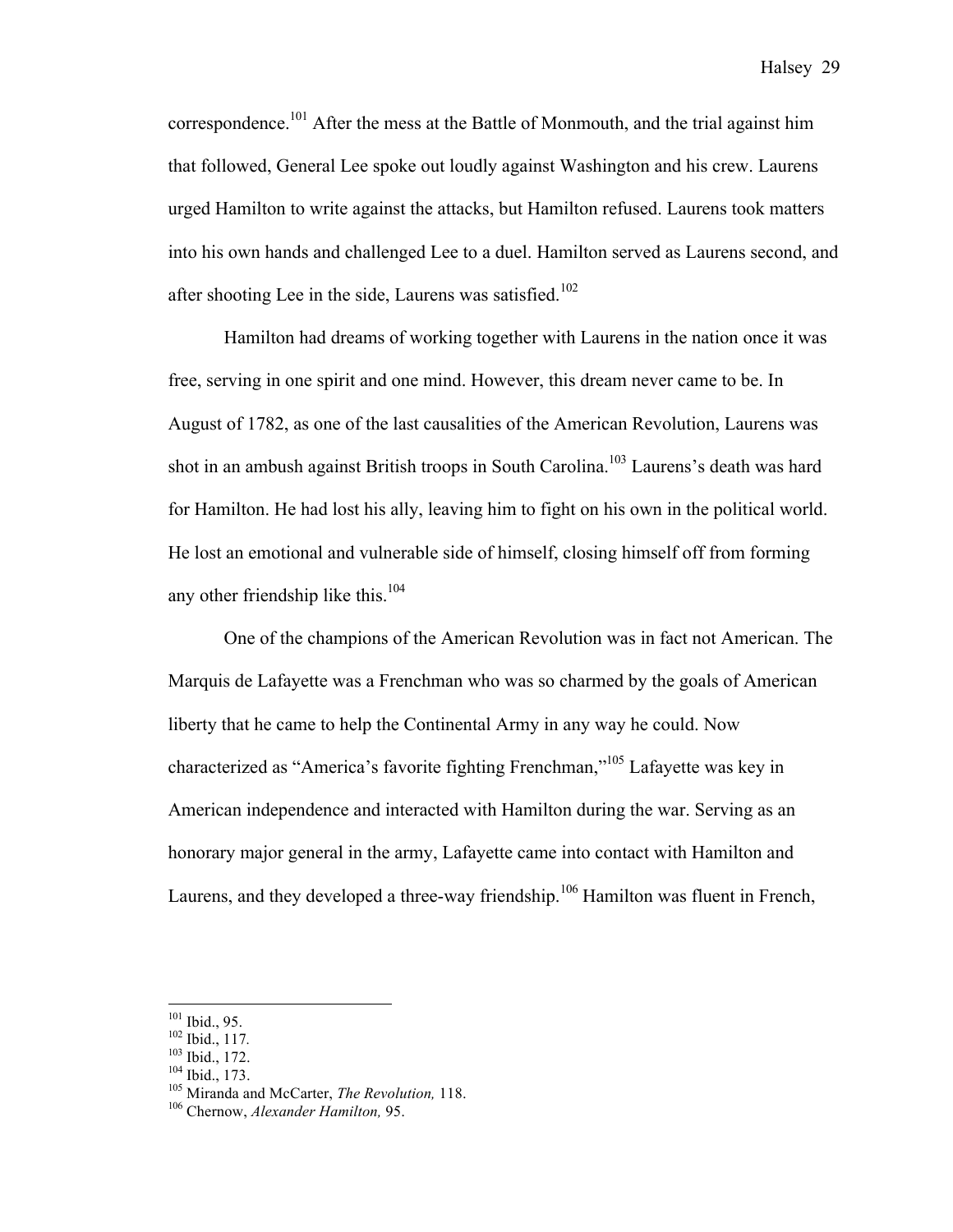correspondence.101 After the mess at the Battle of Monmouth, and the trial against him that followed, General Lee spoke out loudly against Washington and his crew. Laurens urged Hamilton to write against the attacks, but Hamilton refused. Laurens took matters into his own hands and challenged Lee to a duel. Hamilton served as Laurens second, and after shooting Lee in the side, Laurens was satisfied.<sup>102</sup>

Hamilton had dreams of working together with Laurens in the nation once it was free, serving in one spirit and one mind. However, this dream never came to be. In August of 1782, as one of the last causalities of the American Revolution, Laurens was shot in an ambush against British troops in South Carolina.<sup>103</sup> Laurens's death was hard for Hamilton. He had lost his ally, leaving him to fight on his own in the political world. He lost an emotional and vulnerable side of himself, closing himself off from forming any other friendship like this. $104$ 

One of the champions of the American Revolution was in fact not American. The Marquis de Lafayette was a Frenchman who was so charmed by the goals of American liberty that he came to help the Continental Army in any way he could. Now characterized as "America's favorite fighting Frenchman,"105 Lafayette was key in American independence and interacted with Hamilton during the war. Serving as an honorary major general in the army, Lafayette came into contact with Hamilton and Laurens, and they developed a three-way friendship.<sup>106</sup> Hamilton was fluent in French,

<sup>102</sup> Ibid., 95.<br><sup>102</sup> Ibid., 117.<br><sup>103</sup> Ibid., 172.<br><sup>104</sup> Ibid., 173.<br><sup>105</sup> Miranda and McCarter, *The Revolution*, 118.<br><sup>106</sup> Chernow, *Alexander Hamilton*, 95.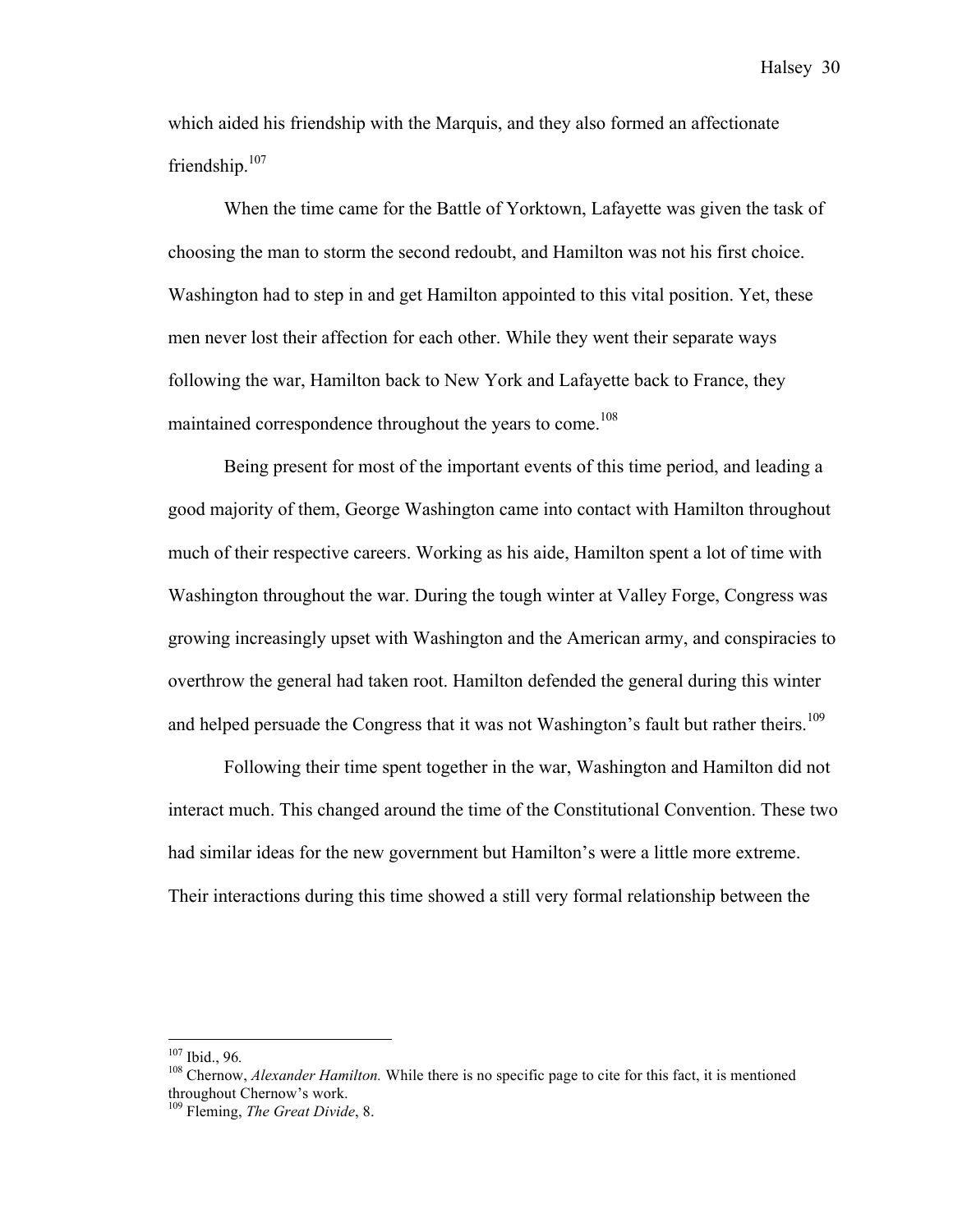which aided his friendship with the Marquis, and they also formed an affectionate friendship.<sup>107</sup>

When the time came for the Battle of Yorktown, Lafayette was given the task of choosing the man to storm the second redoubt, and Hamilton was not his first choice. Washington had to step in and get Hamilton appointed to this vital position. Yet, these men never lost their affection for each other. While they went their separate ways following the war, Hamilton back to New York and Lafayette back to France, they maintained correspondence throughout the years to come.<sup>108</sup>

Being present for most of the important events of this time period, and leading a good majority of them, George Washington came into contact with Hamilton throughout much of their respective careers. Working as his aide, Hamilton spent a lot of time with Washington throughout the war. During the tough winter at Valley Forge, Congress was growing increasingly upset with Washington and the American army, and conspiracies to overthrow the general had taken root. Hamilton defended the general during this winter and helped persuade the Congress that it was not Washington's fault but rather theirs.<sup>109</sup>

Following their time spent together in the war, Washington and Hamilton did not interact much. This changed around the time of the Constitutional Convention. These two had similar ideas for the new government but Hamilton's were a little more extreme. Their interactions during this time showed a still very formal relationship between the

<sup>&</sup>lt;sup>107</sup> Ibid., 96.<br><sup>108</sup> Chernow, *Alexander Hamilton*. While there is no specific page to cite for this fact, it is mentioned throughout Chernow's work.

<sup>109</sup> Fleming, *The Great Divide*, 8.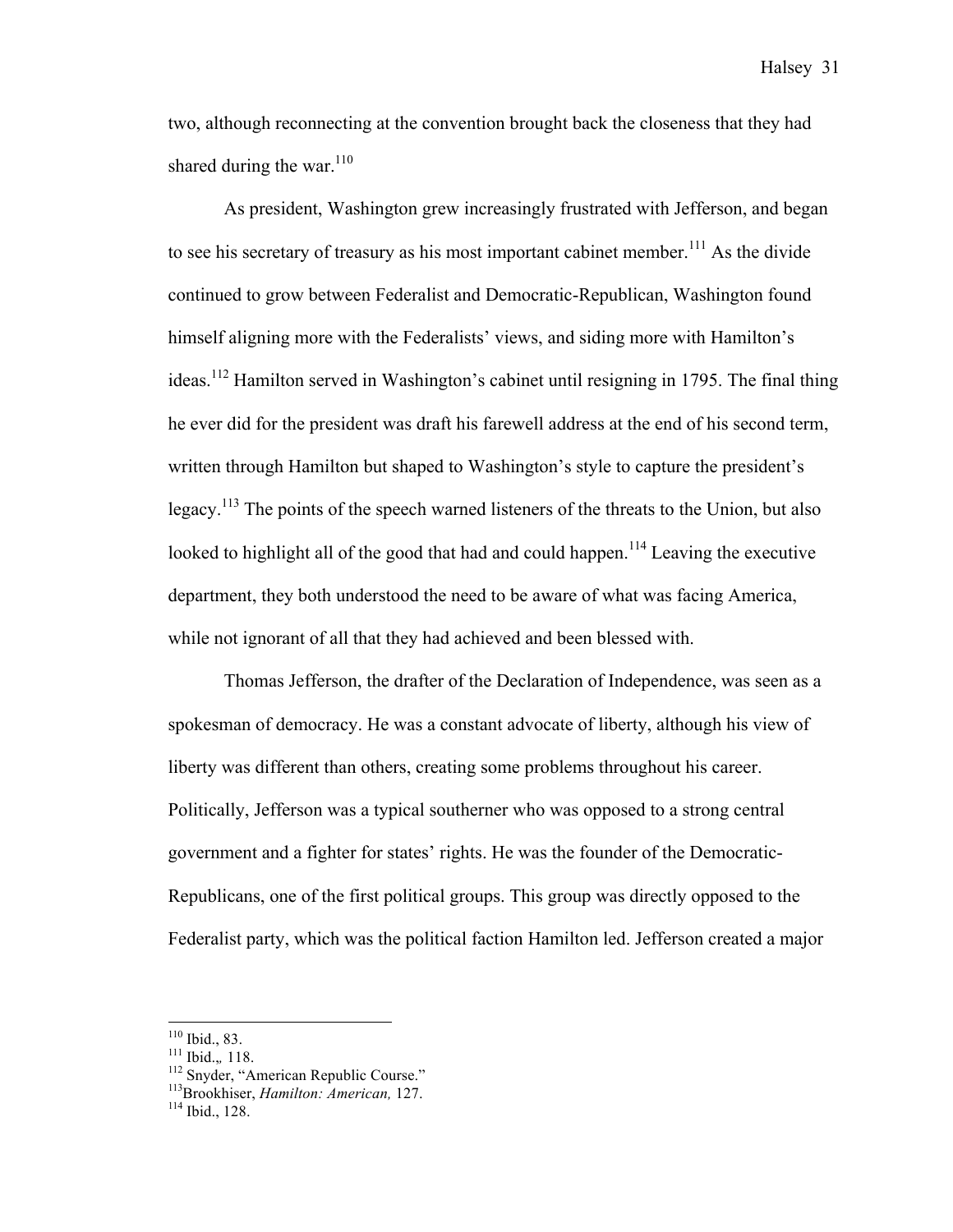two, although reconnecting at the convention brought back the closeness that they had shared during the war.<sup>110</sup>

As president, Washington grew increasingly frustrated with Jefferson, and began to see his secretary of treasury as his most important cabinet member.<sup>111</sup> As the divide continued to grow between Federalist and Democratic-Republican, Washington found himself aligning more with the Federalists' views, and siding more with Hamilton's ideas.112 Hamilton served in Washington's cabinet until resigning in 1795. The final thing he ever did for the president was draft his farewell address at the end of his second term, written through Hamilton but shaped to Washington's style to capture the president's legacy.<sup>113</sup> The points of the speech warned listeners of the threats to the Union, but also looked to highlight all of the good that had and could happen.<sup>114</sup> Leaving the executive department, they both understood the need to be aware of what was facing America, while not ignorant of all that they had achieved and been blessed with.

Thomas Jefferson, the drafter of the Declaration of Independence, was seen as a spokesman of democracy. He was a constant advocate of liberty, although his view of liberty was different than others, creating some problems throughout his career. Politically, Jefferson was a typical southerner who was opposed to a strong central government and a fighter for states' rights. He was the founder of the Democratic-Republicans, one of the first political groups. This group was directly opposed to the Federalist party, which was the political faction Hamilton led. Jefferson created a major

<sup>&</sup>lt;sup>110</sup> Ibid., 83.<br><sup>111</sup> Ibid.,, 118.<br><sup>112</sup> Snyder, "American Republic Course." <sup>113</sup>Brookhiser, *Hamilton: American*, 127.<br><sup>114</sup> Ibid., 128.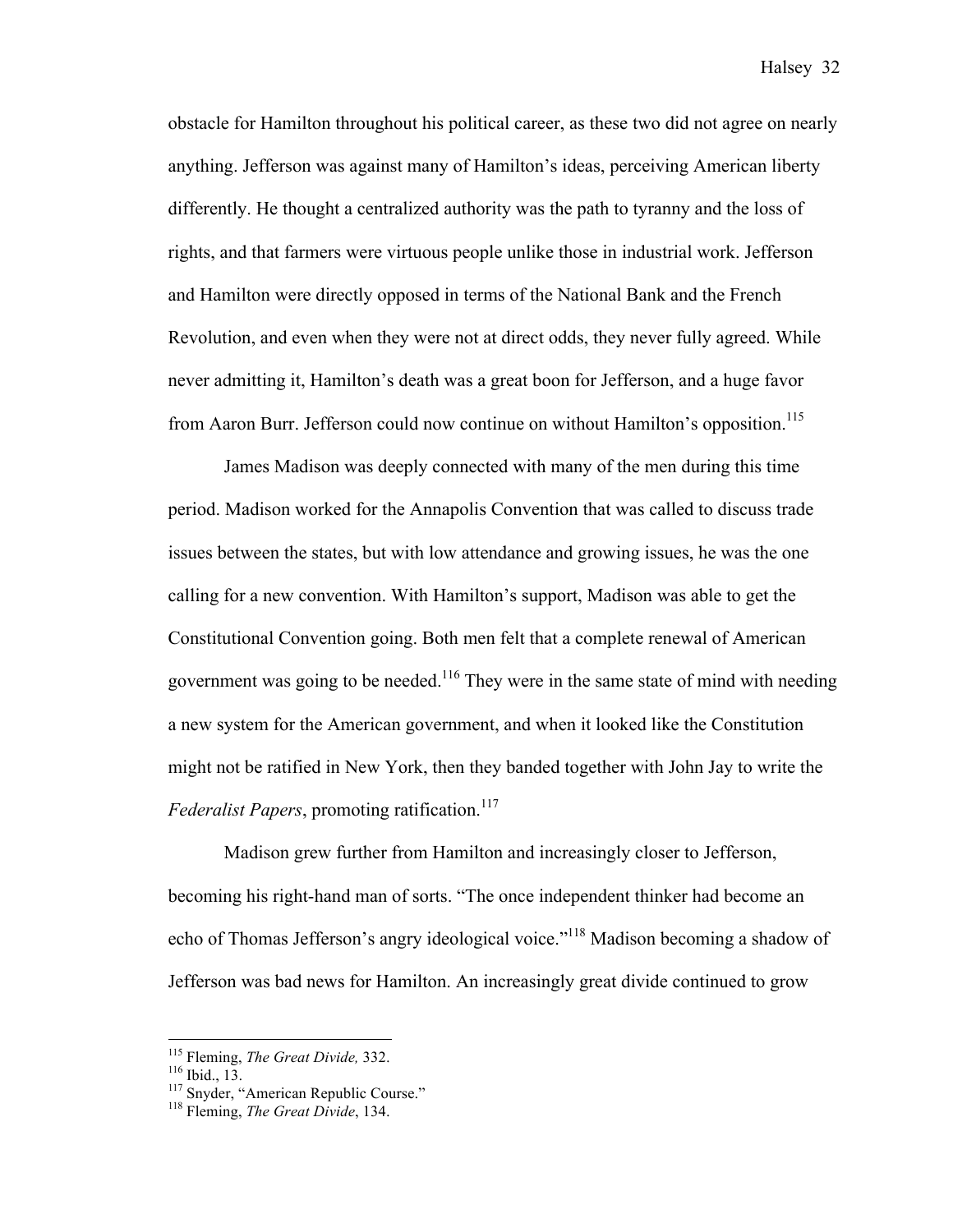obstacle for Hamilton throughout his political career, as these two did not agree on nearly anything. Jefferson was against many of Hamilton's ideas, perceiving American liberty differently. He thought a centralized authority was the path to tyranny and the loss of rights, and that farmers were virtuous people unlike those in industrial work. Jefferson and Hamilton were directly opposed in terms of the National Bank and the French Revolution, and even when they were not at direct odds, they never fully agreed. While never admitting it, Hamilton's death was a great boon for Jefferson, and a huge favor from Aaron Burr. Jefferson could now continue on without Hamilton's opposition.<sup>115</sup>

James Madison was deeply connected with many of the men during this time period. Madison worked for the Annapolis Convention that was called to discuss trade issues between the states, but with low attendance and growing issues, he was the one calling for a new convention. With Hamilton's support, Madison was able to get the Constitutional Convention going. Both men felt that a complete renewal of American government was going to be needed.<sup>116</sup> They were in the same state of mind with needing a new system for the American government, and when it looked like the Constitution might not be ratified in New York, then they banded together with John Jay to write the *Federalist Papers*, promoting ratification.<sup>117</sup>

Madison grew further from Hamilton and increasingly closer to Jefferson, becoming his right-hand man of sorts. "The once independent thinker had become an echo of Thomas Jefferson's angry ideological voice."<sup>118</sup> Madison becoming a shadow of Jefferson was bad news for Hamilton. An increasingly great divide continued to grow

<sup>&</sup>lt;sup>115</sup> Fleming, *The Great Divide*, 332.<br><sup>116</sup> Ibid., 13.<br><sup>117</sup> Snyder, "American Republic Course." <sup>118</sup> Fleming, *The Great Divide*, 134.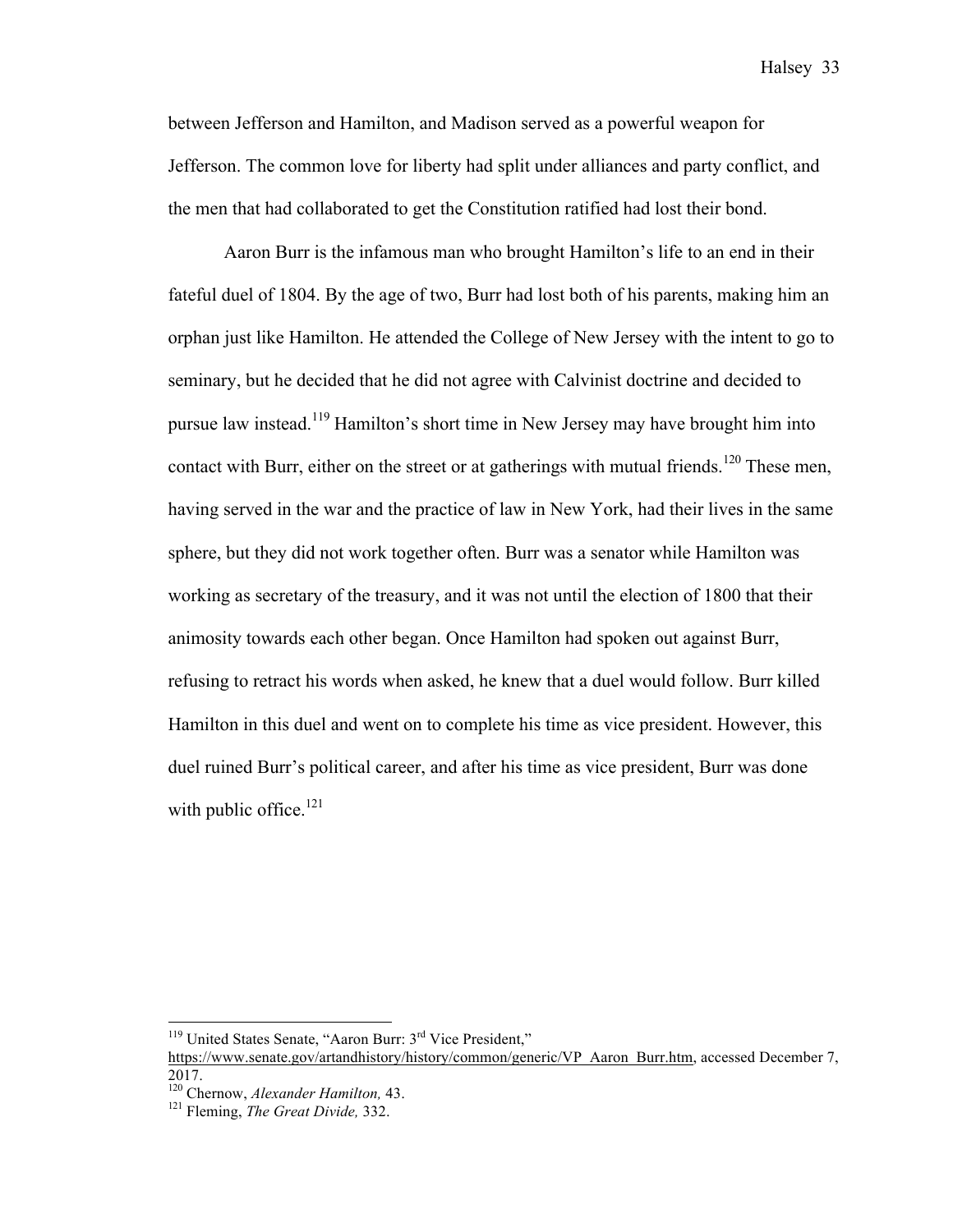between Jefferson and Hamilton, and Madison served as a powerful weapon for Jefferson. The common love for liberty had split under alliances and party conflict, and the men that had collaborated to get the Constitution ratified had lost their bond.

Aaron Burr is the infamous man who brought Hamilton's life to an end in their fateful duel of 1804. By the age of two, Burr had lost both of his parents, making him an orphan just like Hamilton. He attended the College of New Jersey with the intent to go to seminary, but he decided that he did not agree with Calvinist doctrine and decided to pursue law instead.<sup>119</sup> Hamilton's short time in New Jersey may have brought him into contact with Burr, either on the street or at gatherings with mutual friends.<sup>120</sup> These men, having served in the war and the practice of law in New York, had their lives in the same sphere, but they did not work together often. Burr was a senator while Hamilton was working as secretary of the treasury, and it was not until the election of 1800 that their animosity towards each other began. Once Hamilton had spoken out against Burr, refusing to retract his words when asked, he knew that a duel would follow. Burr killed Hamilton in this duel and went on to complete his time as vice president. However, this duel ruined Burr's political career, and after his time as vice president, Burr was done with public office. $121$ 

 $119$  United States Senate, "Aaron Burr:  $3<sup>rd</sup>$  Vice President,"

https://www.senate.gov/artandhistory/history/common/generic/VP\_Aaron\_Burr.htm, accessed December 7, 2017.<br><sup>120</sup> Chernow, Alexander Hamilton, 43.

<sup>&</sup>lt;sup>121</sup> Fleming, *The Great Divide*, 332.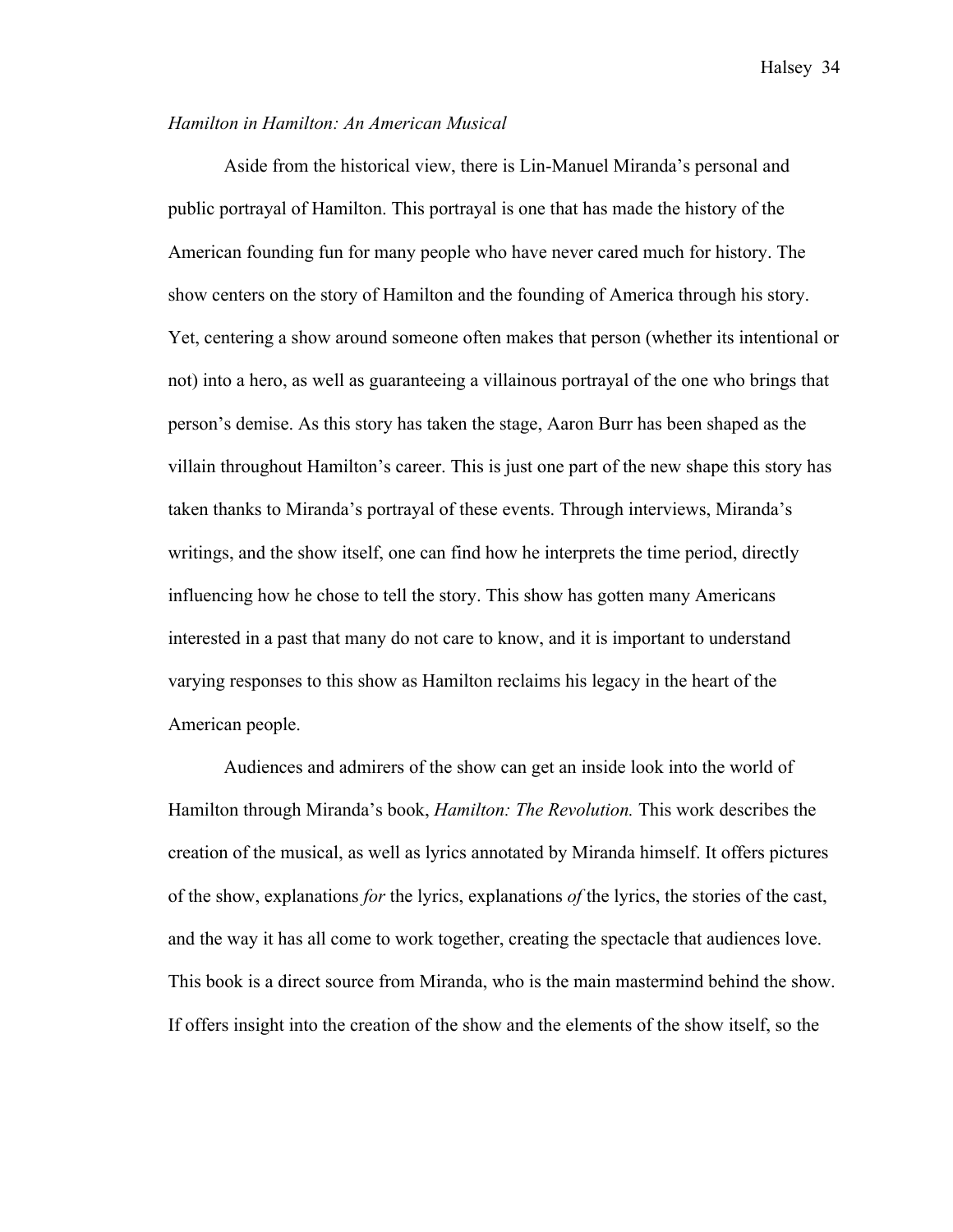#### *Hamilton in Hamilton: An American Musical*

Aside from the historical view, there is Lin-Manuel Miranda's personal and public portrayal of Hamilton. This portrayal is one that has made the history of the American founding fun for many people who have never cared much for history. The show centers on the story of Hamilton and the founding of America through his story. Yet, centering a show around someone often makes that person (whether its intentional or not) into a hero, as well as guaranteeing a villainous portrayal of the one who brings that person's demise. As this story has taken the stage, Aaron Burr has been shaped as the villain throughout Hamilton's career. This is just one part of the new shape this story has taken thanks to Miranda's portrayal of these events. Through interviews, Miranda's writings, and the show itself, one can find how he interprets the time period, directly influencing how he chose to tell the story. This show has gotten many Americans interested in a past that many do not care to know, and it is important to understand varying responses to this show as Hamilton reclaims his legacy in the heart of the American people.

Audiences and admirers of the show can get an inside look into the world of Hamilton through Miranda's book, *Hamilton: The Revolution.* This work describes the creation of the musical, as well as lyrics annotated by Miranda himself. It offers pictures of the show, explanations *for* the lyrics, explanations *of* the lyrics, the stories of the cast, and the way it has all come to work together, creating the spectacle that audiences love. This book is a direct source from Miranda, who is the main mastermind behind the show. If offers insight into the creation of the show and the elements of the show itself, so the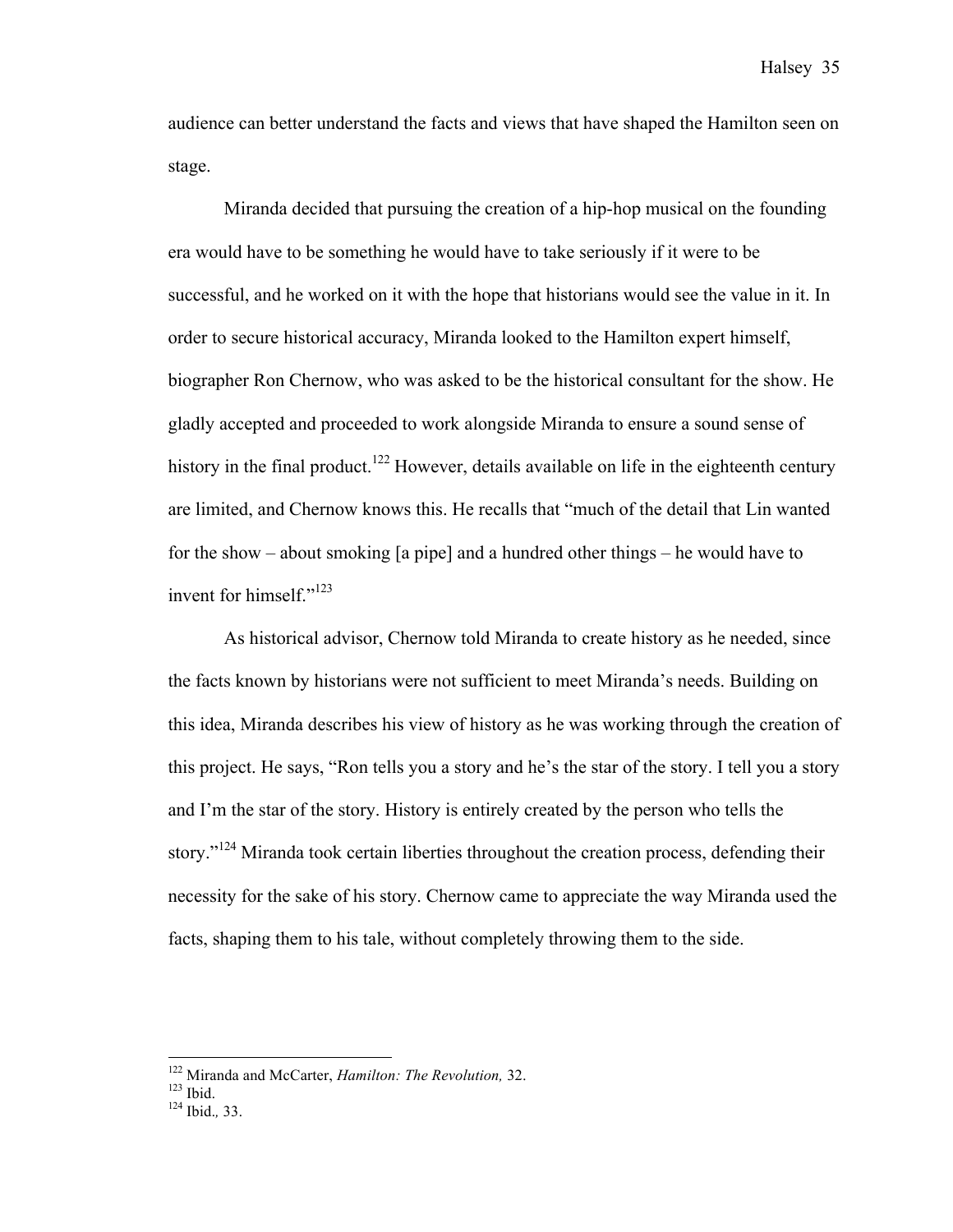audience can better understand the facts and views that have shaped the Hamilton seen on stage.

Miranda decided that pursuing the creation of a hip-hop musical on the founding era would have to be something he would have to take seriously if it were to be successful, and he worked on it with the hope that historians would see the value in it. In order to secure historical accuracy, Miranda looked to the Hamilton expert himself, biographer Ron Chernow, who was asked to be the historical consultant for the show. He gladly accepted and proceeded to work alongside Miranda to ensure a sound sense of history in the final product.<sup>122</sup> However, details available on life in the eighteenth century are limited, and Chernow knows this. He recalls that "much of the detail that Lin wanted for the show – about smoking [a pipe] and a hundred other things – he would have to invent for himself."<sup>123</sup>

As historical advisor, Chernow told Miranda to create history as he needed, since the facts known by historians were not sufficient to meet Miranda's needs. Building on this idea, Miranda describes his view of history as he was working through the creation of this project. He says, "Ron tells you a story and he's the star of the story. I tell you a story and I'm the star of the story. History is entirely created by the person who tells the story."<sup>124</sup> Miranda took certain liberties throughout the creation process, defending their necessity for the sake of his story. Chernow came to appreciate the way Miranda used the facts, shaping them to his tale, without completely throwing them to the side.

<sup>122</sup> Miranda and McCarter, *Hamilton: The Revolution,* 32. 123 Ibid. <sup>124</sup> Ibid.*,* 33.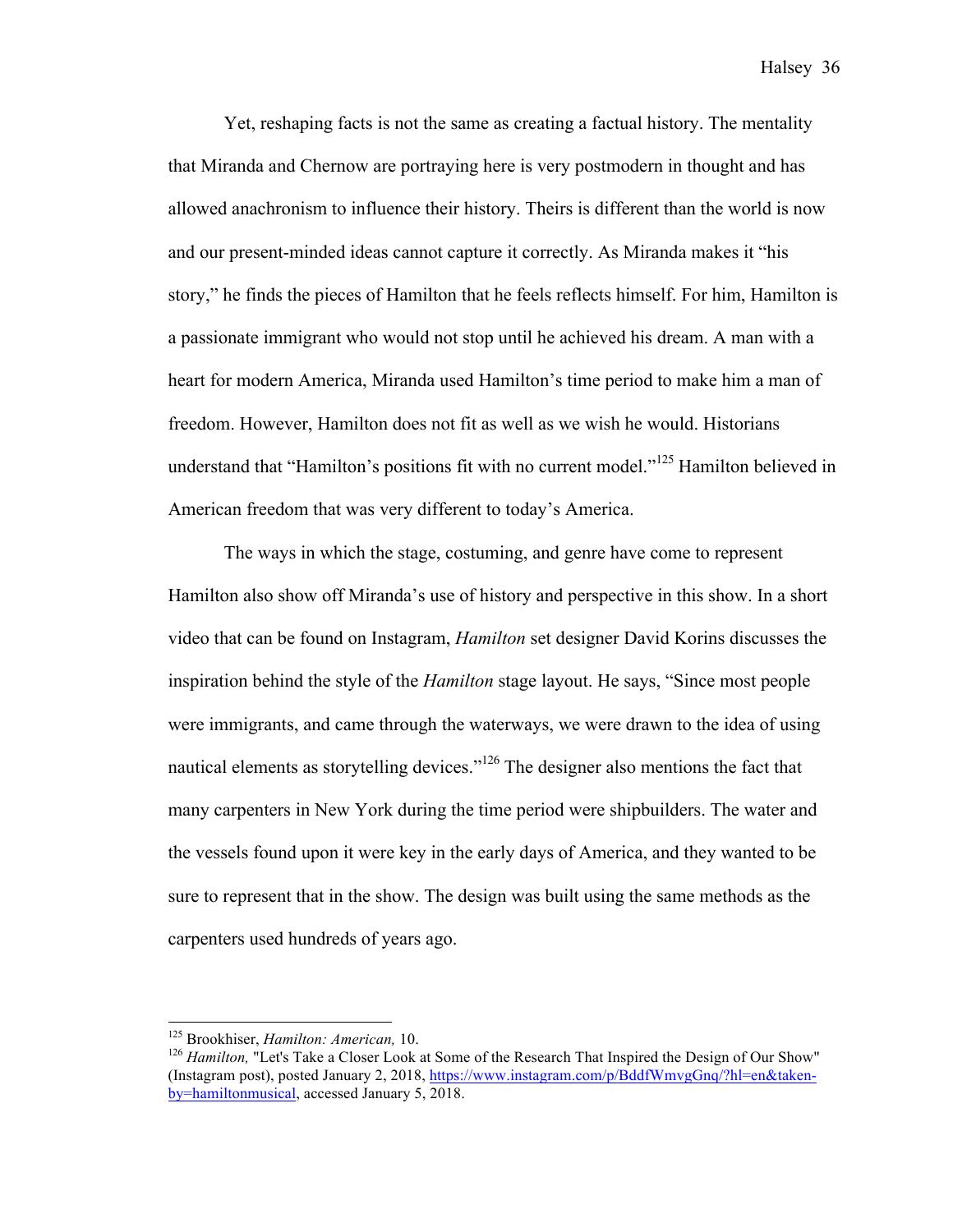Yet, reshaping facts is not the same as creating a factual history. The mentality that Miranda and Chernow are portraying here is very postmodern in thought and has allowed anachronism to influence their history. Theirs is different than the world is now and our present-minded ideas cannot capture it correctly. As Miranda makes it "his story," he finds the pieces of Hamilton that he feels reflects himself. For him, Hamilton is a passionate immigrant who would not stop until he achieved his dream. A man with a heart for modern America, Miranda used Hamilton's time period to make him a man of freedom. However, Hamilton does not fit as well as we wish he would. Historians understand that "Hamilton's positions fit with no current model."<sup>125</sup> Hamilton believed in American freedom that was very different to today's America.

The ways in which the stage, costuming, and genre have come to represent Hamilton also show off Miranda's use of history and perspective in this show. In a short video that can be found on Instagram, *Hamilton* set designer David Korins discusses the inspiration behind the style of the *Hamilton* stage layout. He says, "Since most people were immigrants, and came through the waterways, we were drawn to the idea of using nautical elements as storytelling devices."<sup>126</sup> The designer also mentions the fact that many carpenters in New York during the time period were shipbuilders. The water and the vessels found upon it were key in the early days of America, and they wanted to be sure to represent that in the show. The design was built using the same methods as the carpenters used hundreds of years ago.

<sup>&</sup>lt;sup>125</sup> Brookhiser, *Hamilton: American*, 10.<br><sup>126</sup> *Hamilton*, "Let's Take a Closer Look at Some of the Research That Inspired the Design of Our Show" (Instagram post), posted January 2, 2018, https://www.instagram.com/p/BddfWmvgGnq/?hl=en&takenby=hamiltonmusical, accessed January 5, 2018.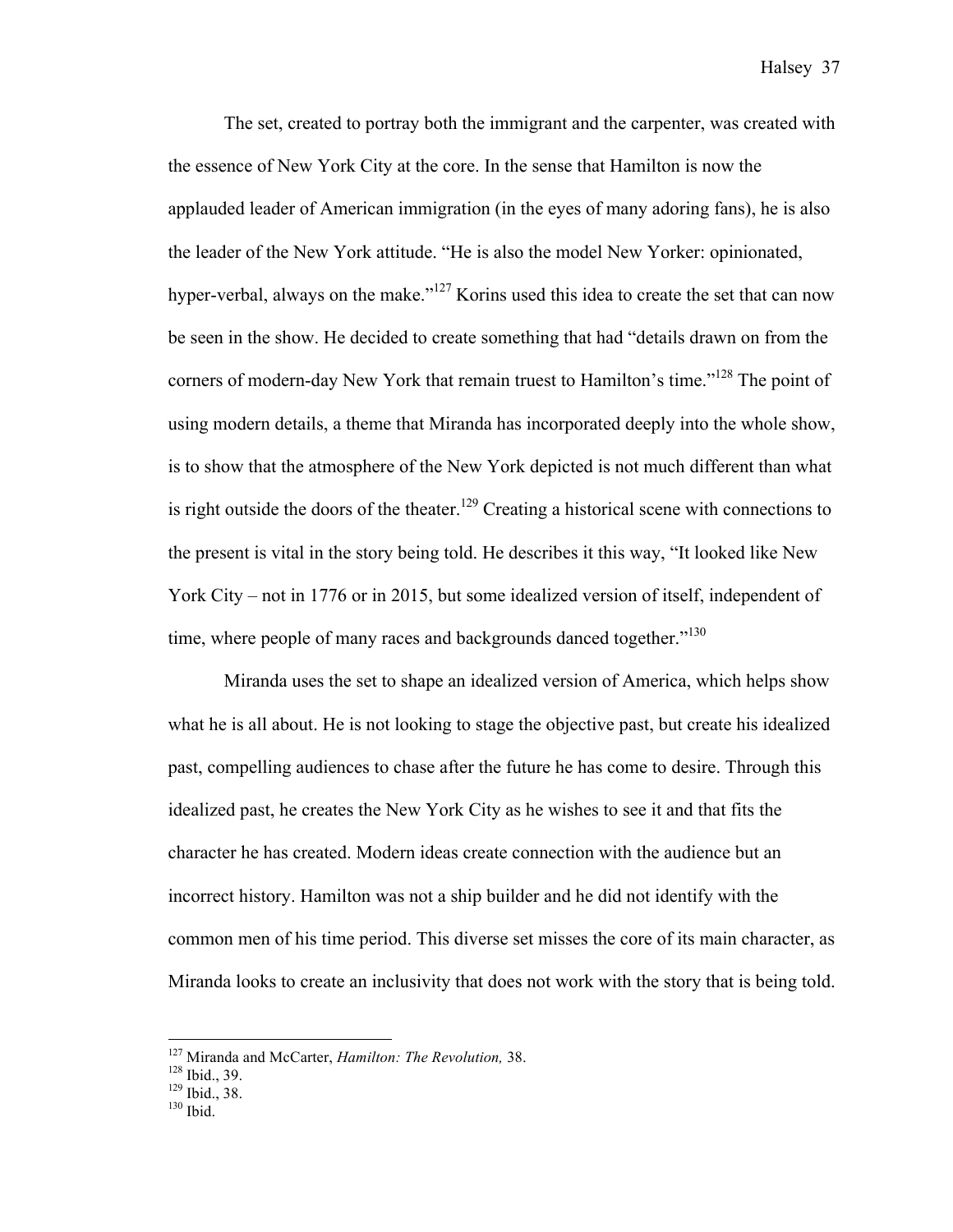The set, created to portray both the immigrant and the carpenter, was created with the essence of New York City at the core. In the sense that Hamilton is now the applauded leader of American immigration (in the eyes of many adoring fans), he is also the leader of the New York attitude. "He is also the model New Yorker: opinionated, hyper-verbal, always on the make."<sup>127</sup> Korins used this idea to create the set that can now be seen in the show. He decided to create something that had "details drawn on from the corners of modern-day New York that remain truest to Hamilton's time."<sup>128</sup> The point of using modern details, a theme that Miranda has incorporated deeply into the whole show, is to show that the atmosphere of the New York depicted is not much different than what is right outside the doors of the theater.<sup>129</sup> Creating a historical scene with connections to the present is vital in the story being told. He describes it this way, "It looked like New York City – not in 1776 or in 2015, but some idealized version of itself, independent of time, where people of many races and backgrounds danced together."<sup>130</sup>

Miranda uses the set to shape an idealized version of America, which helps show what he is all about. He is not looking to stage the objective past, but create his idealized past, compelling audiences to chase after the future he has come to desire. Through this idealized past, he creates the New York City as he wishes to see it and that fits the character he has created. Modern ideas create connection with the audience but an incorrect history. Hamilton was not a ship builder and he did not identify with the common men of his time period. This diverse set misses the core of its main character, as Miranda looks to create an inclusivity that does not work with the story that is being told.

<sup>&</sup>lt;sup>127</sup> Miranda and McCarter, *Hamilton: The Revolution*, 38.<br><sup>128</sup> Ibid., 39.<br><sup>129</sup> Ibid., 38.<br><sup>130</sup> Ibid.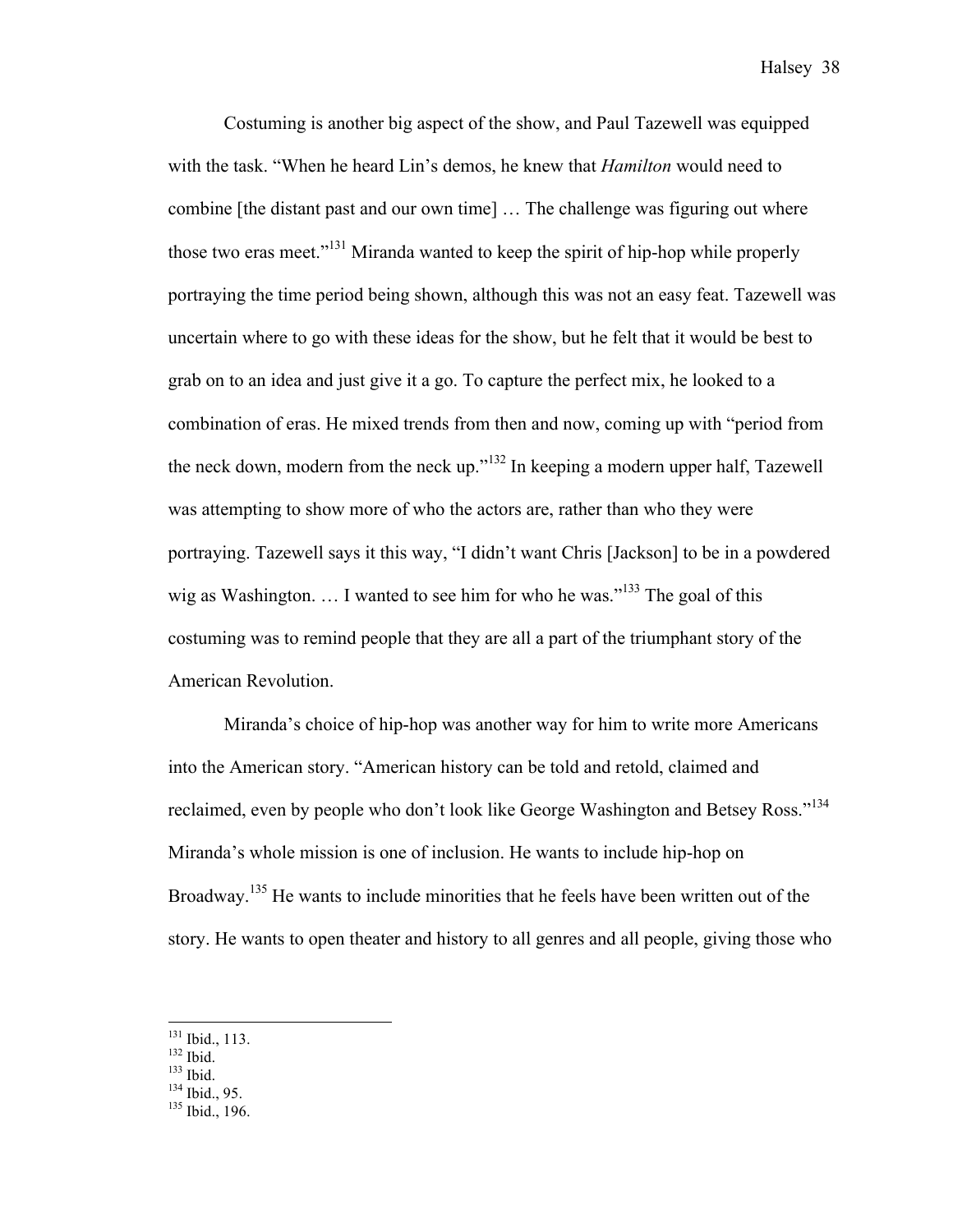Costuming is another big aspect of the show, and Paul Tazewell was equipped with the task. "When he heard Lin's demos, he knew that *Hamilton* would need to combine [the distant past and our own time] … The challenge was figuring out where those two eras meet."131 Miranda wanted to keep the spirit of hip-hop while properly portraying the time period being shown, although this was not an easy feat. Tazewell was uncertain where to go with these ideas for the show, but he felt that it would be best to grab on to an idea and just give it a go. To capture the perfect mix, he looked to a combination of eras. He mixed trends from then and now, coming up with "period from the neck down, modern from the neck up."<sup>132</sup> In keeping a modern upper half, Tazewell was attempting to show more of who the actors are, rather than who they were portraying. Tazewell says it this way, "I didn't want Chris [Jackson] to be in a powdered wig as Washington.  $\dots$  I wanted to see him for who he was."<sup>133</sup> The goal of this costuming was to remind people that they are all a part of the triumphant story of the American Revolution.

Miranda's choice of hip-hop was another way for him to write more Americans into the American story. "American history can be told and retold, claimed and reclaimed, even by people who don't look like George Washington and Betsey Ross."<sup>134</sup> Miranda's whole mission is one of inclusion. He wants to include hip-hop on Broadway.<sup>135</sup> He wants to include minorities that he feels have been written out of the story. He wants to open theater and history to all genres and all people, giving those who

<sup>&</sup>lt;sup>131</sup> Ibid., 113.<br><sup>132</sup> Ibid.<br><sup>133</sup> Ibid., 95.<br><sup>135</sup> Ibid., 196.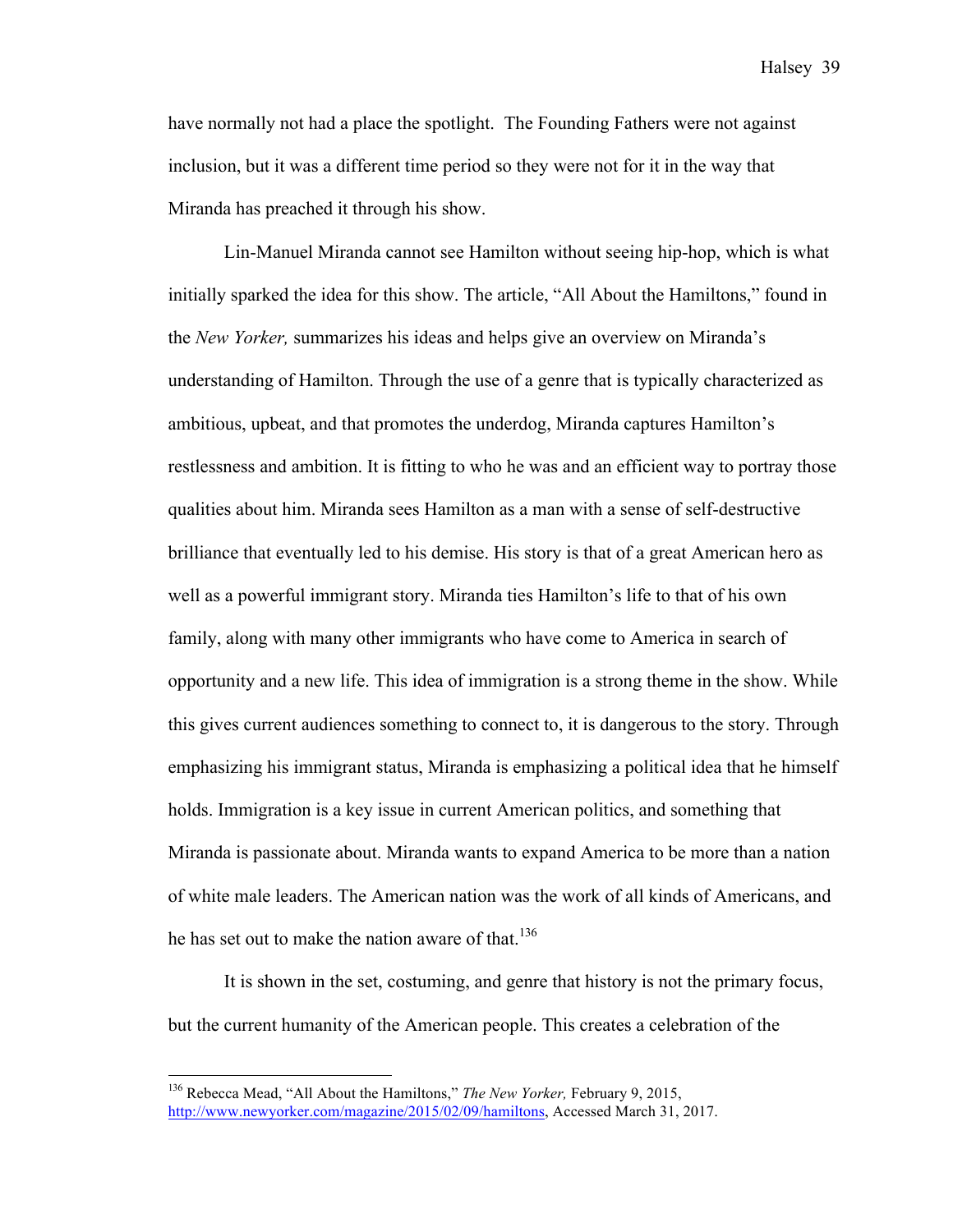have normally not had a place the spotlight. The Founding Fathers were not against inclusion, but it was a different time period so they were not for it in the way that Miranda has preached it through his show.

Lin-Manuel Miranda cannot see Hamilton without seeing hip-hop, which is what initially sparked the idea for this show. The article, "All About the Hamiltons," found in the *New Yorker,* summarizes his ideas and helps give an overview on Miranda's understanding of Hamilton. Through the use of a genre that is typically characterized as ambitious, upbeat, and that promotes the underdog, Miranda captures Hamilton's restlessness and ambition. It is fitting to who he was and an efficient way to portray those qualities about him. Miranda sees Hamilton as a man with a sense of self-destructive brilliance that eventually led to his demise. His story is that of a great American hero as well as a powerful immigrant story. Miranda ties Hamilton's life to that of his own family, along with many other immigrants who have come to America in search of opportunity and a new life. This idea of immigration is a strong theme in the show. While this gives current audiences something to connect to, it is dangerous to the story. Through emphasizing his immigrant status, Miranda is emphasizing a political idea that he himself holds. Immigration is a key issue in current American politics, and something that Miranda is passionate about. Miranda wants to expand America to be more than a nation of white male leaders. The American nation was the work of all kinds of Americans, and he has set out to make the nation aware of that.<sup>136</sup>

It is shown in the set, costuming, and genre that history is not the primary focus, but the current humanity of the American people. This creates a celebration of the

 <sup>136</sup> Rebecca Mead, "All About the Hamiltons," *The New Yorker,* February 9, 2015, http://www.newyorker.com/magazine/2015/02/09/hamiltons, Accessed March 31, 2017.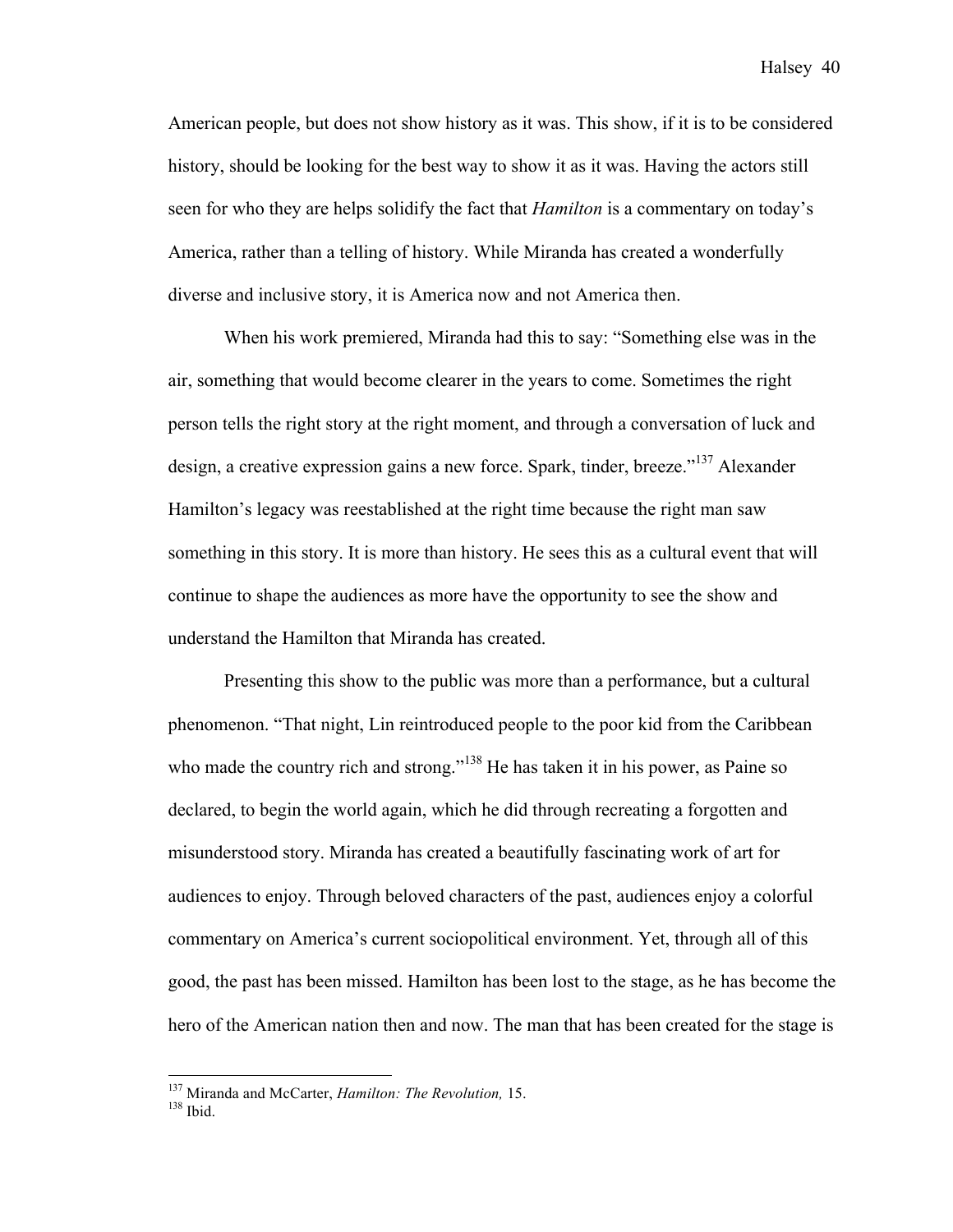American people, but does not show history as it was. This show, if it is to be considered history, should be looking for the best way to show it as it was. Having the actors still seen for who they are helps solidify the fact that *Hamilton* is a commentary on today's America, rather than a telling of history. While Miranda has created a wonderfully diverse and inclusive story, it is America now and not America then.

When his work premiered, Miranda had this to say: "Something else was in the air, something that would become clearer in the years to come. Sometimes the right person tells the right story at the right moment, and through a conversation of luck and design, a creative expression gains a new force. Spark, tinder, breeze."<sup>137</sup> Alexander Hamilton's legacy was reestablished at the right time because the right man saw something in this story. It is more than history. He sees this as a cultural event that will continue to shape the audiences as more have the opportunity to see the show and understand the Hamilton that Miranda has created.

Presenting this show to the public was more than a performance, but a cultural phenomenon. "That night, Lin reintroduced people to the poor kid from the Caribbean who made the country rich and strong."<sup>138</sup> He has taken it in his power, as Paine so declared, to begin the world again, which he did through recreating a forgotten and misunderstood story. Miranda has created a beautifully fascinating work of art for audiences to enjoy. Through beloved characters of the past, audiences enjoy a colorful commentary on America's current sociopolitical environment. Yet, through all of this good, the past has been missed. Hamilton has been lost to the stage, as he has become the hero of the American nation then and now. The man that has been created for the stage is

<sup>&</sup>lt;sup>137</sup> Miranda and McCarter, *Hamilton: The Revolution*, 15.<br><sup>138</sup> Ibid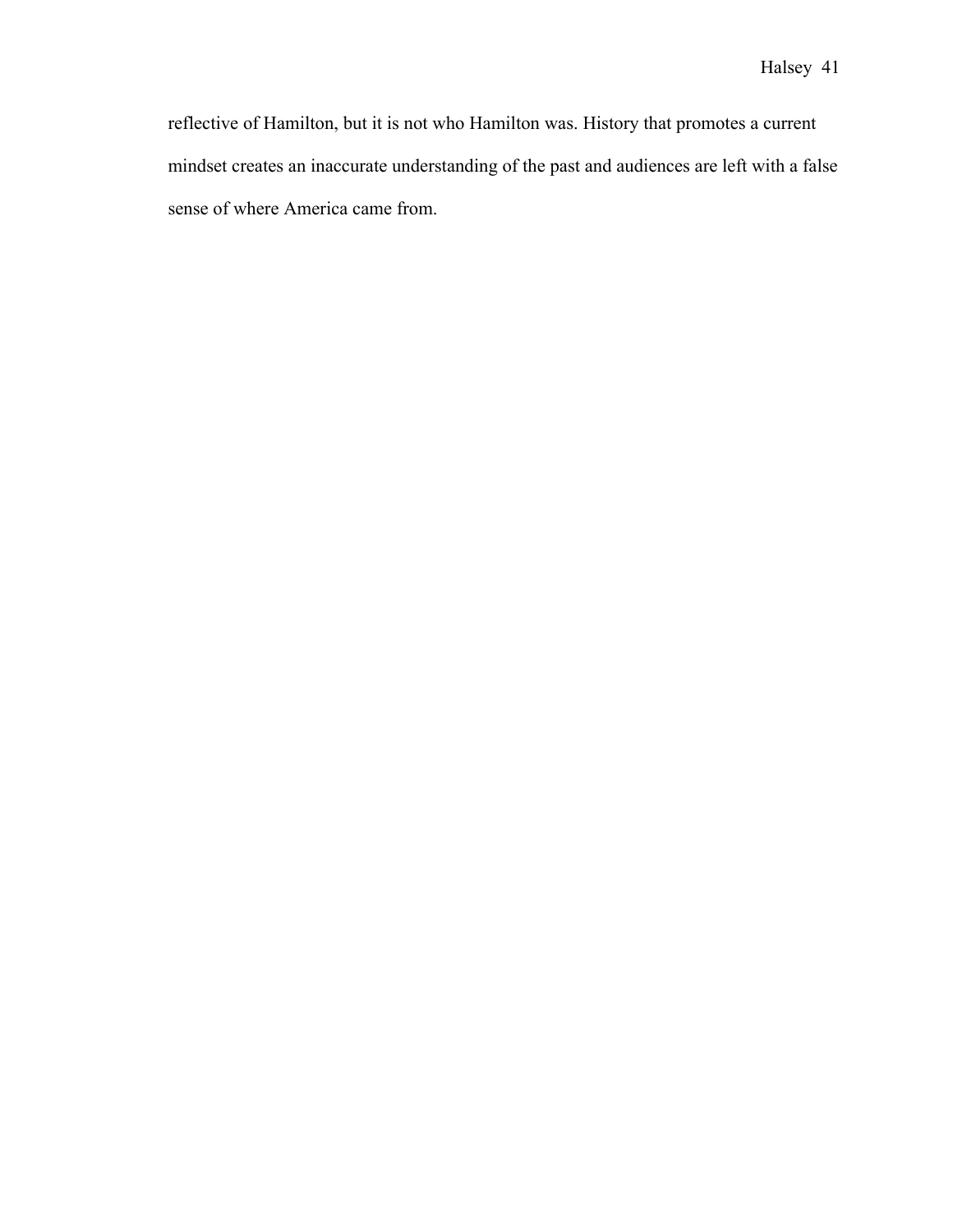reflective of Hamilton, but it is not who Hamilton was. History that promotes a current mindset creates an inaccurate understanding of the past and audiences are left with a false sense of where America came from.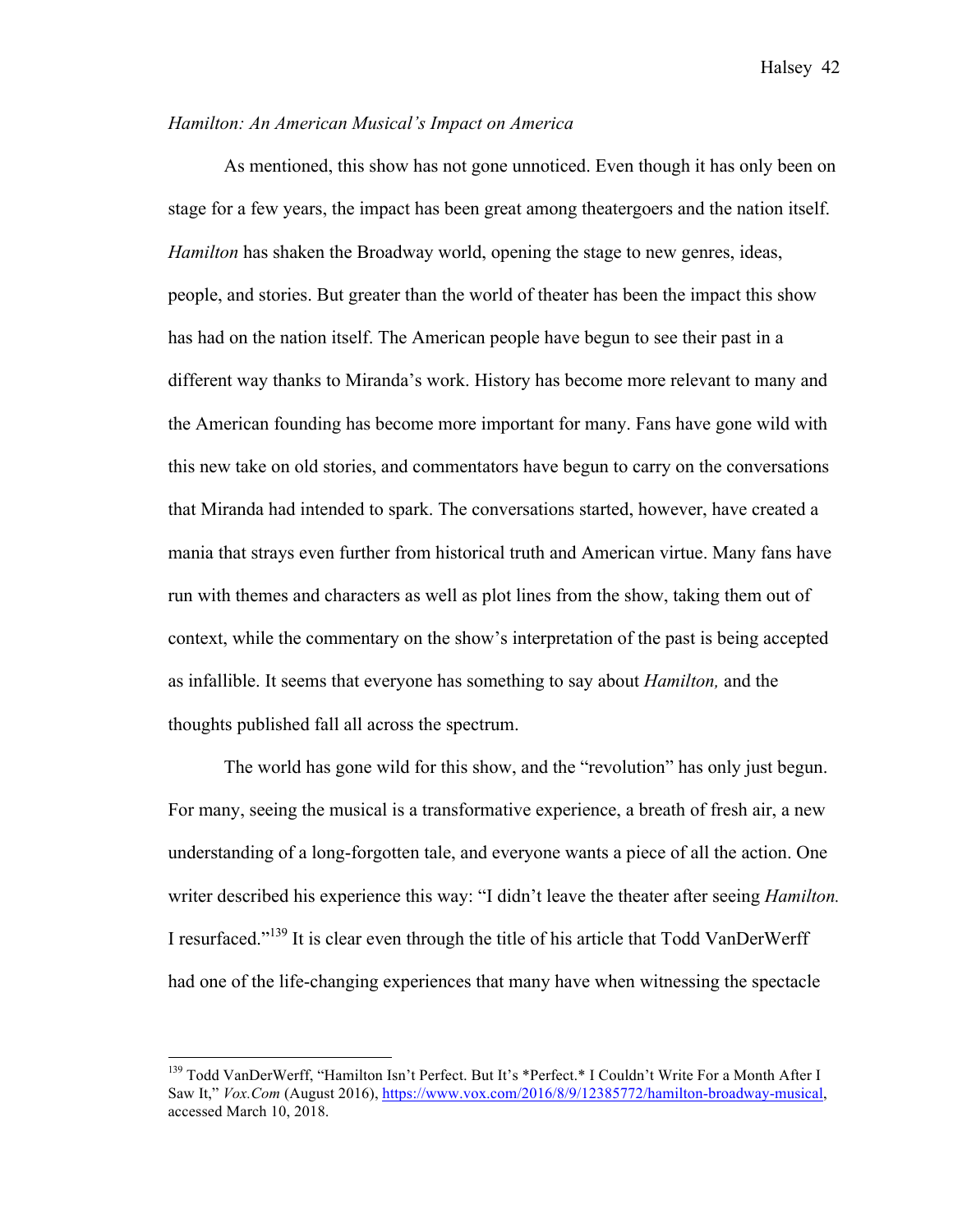#### *Hamilton: An American Musical's Impact on America*

As mentioned, this show has not gone unnoticed. Even though it has only been on stage for a few years, the impact has been great among theatergoers and the nation itself. *Hamilton* has shaken the Broadway world, opening the stage to new genres, ideas, people, and stories. But greater than the world of theater has been the impact this show has had on the nation itself. The American people have begun to see their past in a different way thanks to Miranda's work. History has become more relevant to many and the American founding has become more important for many. Fans have gone wild with this new take on old stories, and commentators have begun to carry on the conversations that Miranda had intended to spark. The conversations started, however, have created a mania that strays even further from historical truth and American virtue. Many fans have run with themes and characters as well as plot lines from the show, taking them out of context, while the commentary on the show's interpretation of the past is being accepted as infallible. It seems that everyone has something to say about *Hamilton,* and the thoughts published fall all across the spectrum.

The world has gone wild for this show, and the "revolution" has only just begun. For many, seeing the musical is a transformative experience, a breath of fresh air, a new understanding of a long-forgotten tale, and everyone wants a piece of all the action. One writer described his experience this way: "I didn't leave the theater after seeing *Hamilton.*  I resurfaced."<sup>139</sup> It is clear even through the title of his article that Todd VanDerWerff had one of the life-changing experiences that many have when witnessing the spectacle

<sup>&</sup>lt;sup>139</sup> Todd VanDerWerff, "Hamilton Isn't Perfect. But It's \*Perfect.\* I Couldn't Write For a Month After I Saw It," *Vox.Com* (August 2016), https://www.vox.com/2016/8/9/12385772/hamilton-broadway-musical. accessed March 10, 2018.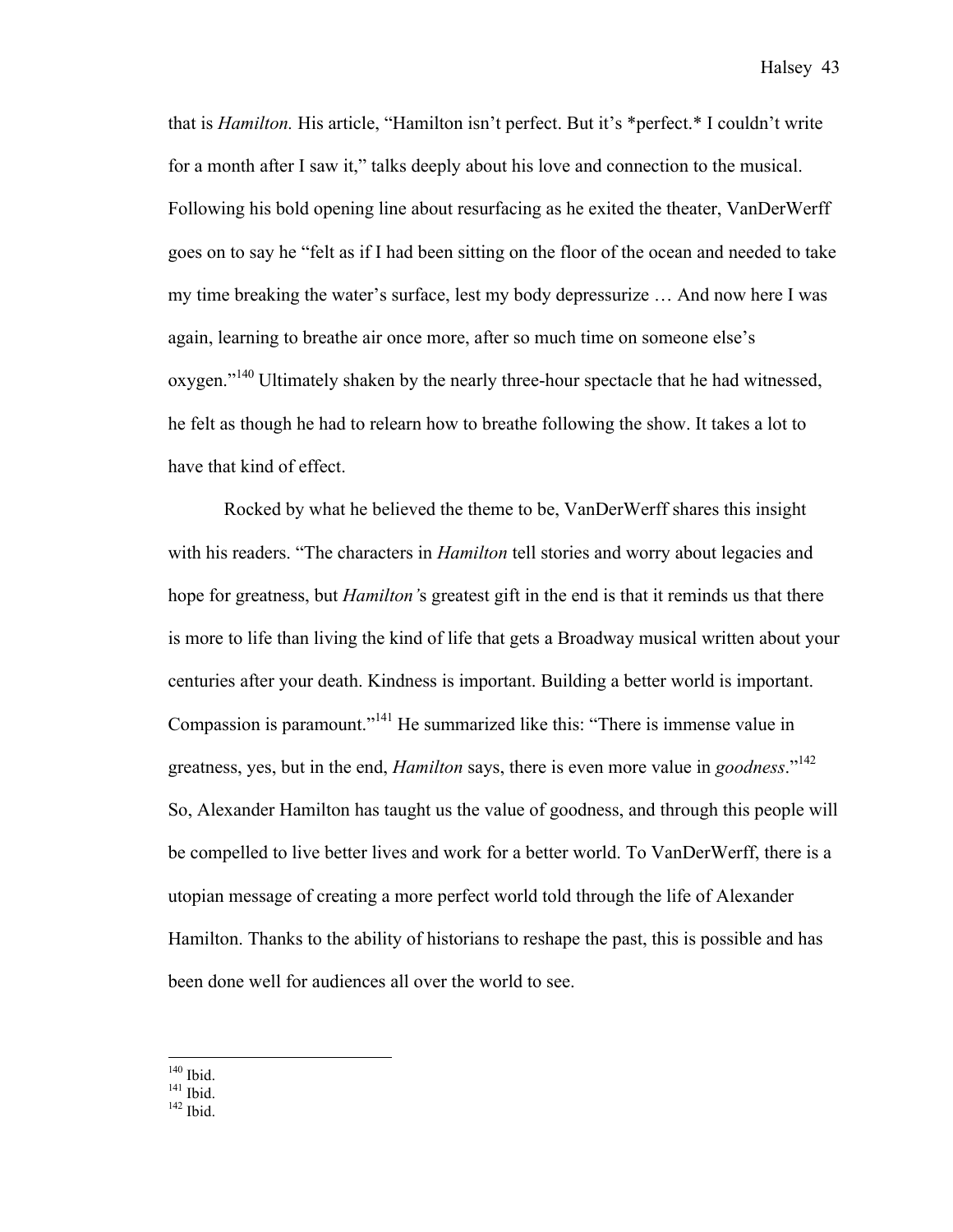that is *Hamilton.* His article, "Hamilton isn't perfect. But it's \*perfect.\* I couldn't write for a month after I saw it," talks deeply about his love and connection to the musical. Following his bold opening line about resurfacing as he exited the theater, VanDerWerff goes on to say he "felt as if I had been sitting on the floor of the ocean and needed to take my time breaking the water's surface, lest my body depressurize … And now here I was again, learning to breathe air once more, after so much time on someone else's oxygen."<sup>140</sup> Ultimately shaken by the nearly three-hour spectacle that he had witnessed, he felt as though he had to relearn how to breathe following the show. It takes a lot to have that kind of effect.

Rocked by what he believed the theme to be, VanDerWerff shares this insight with his readers. "The characters in *Hamilton* tell stories and worry about legacies and hope for greatness, but *Hamilton'*s greatest gift in the end is that it reminds us that there is more to life than living the kind of life that gets a Broadway musical written about your centuries after your death. Kindness is important. Building a better world is important. Compassion is paramount."<sup>141</sup> He summarized like this: "There is immense value in greatness, yes, but in the end, *Hamilton* says, there is even more value in *goodness*."142 So, Alexander Hamilton has taught us the value of goodness, and through this people will be compelled to live better lives and work for a better world. To VanDerWerff, there is a utopian message of creating a more perfect world told through the life of Alexander Hamilton. Thanks to the ability of historians to reshape the past, this is possible and has been done well for audiences all over the world to see.

 $\frac{140}{141}$  Ibid.<br> $\frac{141}{142}$  Ibid.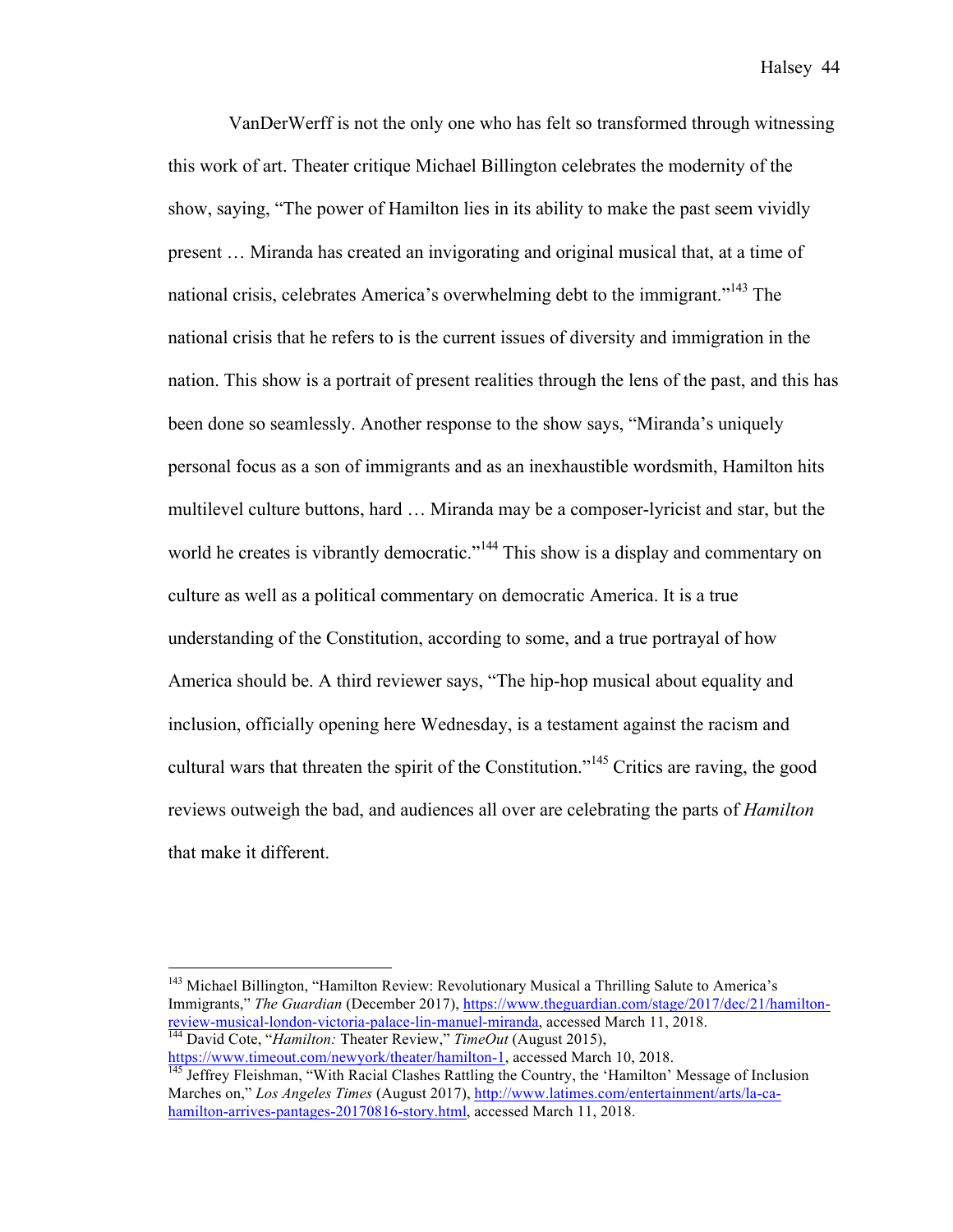VanDerWerff is not the only one who has felt so transformed through witnessing this work of art. Theater critique Michael Billington celebrates the modernity of the show, saying, "The power of Hamilton lies in its ability to make the past seem vividly present … Miranda has created an invigorating and original musical that, at a time of national crisis, celebrates America's overwhelming debt to the immigrant."<sup>143</sup> The national crisis that he refers to is the current issues of diversity and immigration in the nation. This show is a portrait of present realities through the lens of the past, and this has been done so seamlessly. Another response to the show says, "Miranda's uniquely personal focus as a son of immigrants and as an inexhaustible wordsmith, Hamilton hits multilevel culture buttons, hard … Miranda may be a composer-lyricist and star, but the world he creates is vibrantly democratic."<sup>144</sup> This show is a display and commentary on culture as well as a political commentary on democratic America. It is a true understanding of the Constitution, according to some, and a true portrayal of how America should be. A third reviewer says, "The hip-hop musical about equality and inclusion, officially opening here Wednesday, is a testament against the racism and cultural wars that threaten the spirit of the Constitution."<sup>145</sup> Critics are raving, the good reviews outweigh the bad, and audiences all over are celebrating the parts of *Hamilton*  that make it different.

https://www.timeout.com/newyork/theater/hamilton-1, accessed March 10, 2018.<br><sup>145</sup> Jeffrey Fleishman, "With Racial Clashes Rattling the Country, the 'Hamilton' Message of Inclusion

<sup>&</sup>lt;sup>143</sup> Michael Billington, "Hamilton Review: Revolutionary Musical a Thrilling Salute to America's Immigrants," *The Guardian* (December 2017), https://www.theguardian.com/stage/2017/dec/21/hamilton-<br>review-musical-london-victoria-palace-lin-manuel-miranda, accessed March 11, 2018. <sup>144</sup> David Cote, "*Hamilton: Theater Review," TimeOut* (August 2015),

Marches on," *Los Angeles Times* (August 2017), http://www.latimes.com/entertainment/arts/la-cahamilton-arrives-pantages-20170816-story.html, accessed March 11, 2018.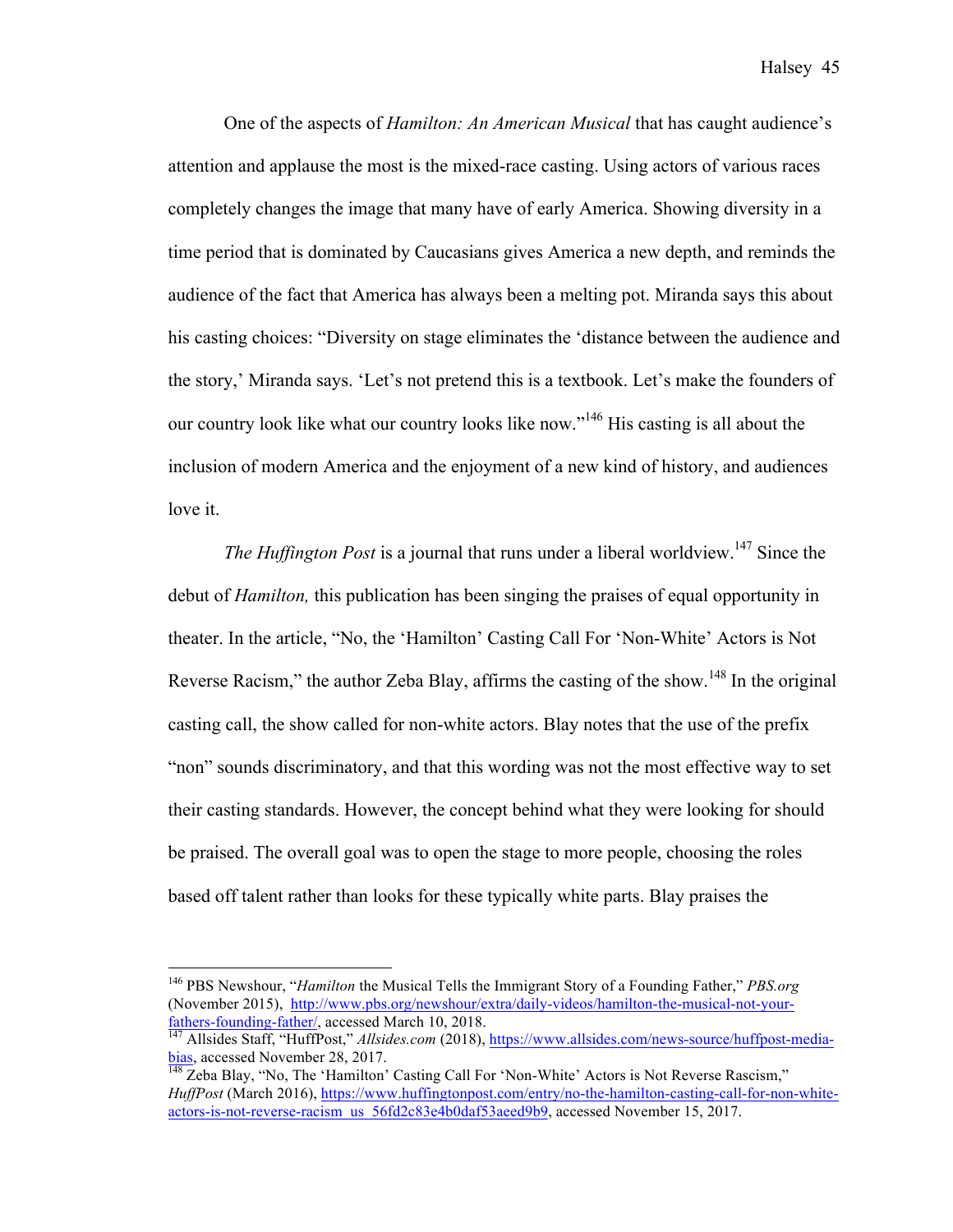One of the aspects of *Hamilton: An American Musical* that has caught audience's attention and applause the most is the mixed-race casting. Using actors of various races completely changes the image that many have of early America. Showing diversity in a time period that is dominated by Caucasians gives America a new depth, and reminds the audience of the fact that America has always been a melting pot. Miranda says this about his casting choices: "Diversity on stage eliminates the 'distance between the audience and the story,' Miranda says. 'Let's not pretend this is a textbook. Let's make the founders of our country look like what our country looks like now."<sup>146</sup> His casting is all about the inclusion of modern America and the enjoyment of a new kind of history, and audiences love it.

*The Huffington Post* is a journal that runs under a liberal worldview.<sup>147</sup> Since the debut of *Hamilton,* this publication has been singing the praises of equal opportunity in theater. In the article, "No, the 'Hamilton' Casting Call For 'Non-White' Actors is Not Reverse Racism," the author Zeba Blay, affirms the casting of the show.<sup>148</sup> In the original casting call, the show called for non-white actors. Blay notes that the use of the prefix "non" sounds discriminatory, and that this wording was not the most effective way to set their casting standards. However, the concept behind what they were looking for should be praised. The overall goal was to open the stage to more people, choosing the roles based off talent rather than looks for these typically white parts. Blay praises the

 <sup>146</sup> PBS Newshour, "*Hamilton* the Musical Tells the Immigrant Story of a Founding Father," *PBS.org*  (November 2015), http://www.pbs.org/newshour/extra/daily-videos/hamilton-the-musical-not-your-<br>fathers-founding-father/, accessed March 10, 2018.

<sup>&</sup>lt;sup>147</sup> Allsides Staff, "HuffPost," *Allsides.com* (2018), https://www.allsides.com/news-source/huffpost-mediabias, accessed November 28, 2017.<br><sup>148</sup> Zeba Blay, "No, The 'Hamilton' Casting Call For 'Non-White' Actors is Not Reverse Rascism,"

*HuffPost* (March 2016), https://www.huffingtonpost.com/entry/no-the-hamilton-casting-call-for-non-whiteactors-is-not-reverse-racism\_us\_56fd2c83e4b0daf53aeed9b9, accessed November 15, 2017.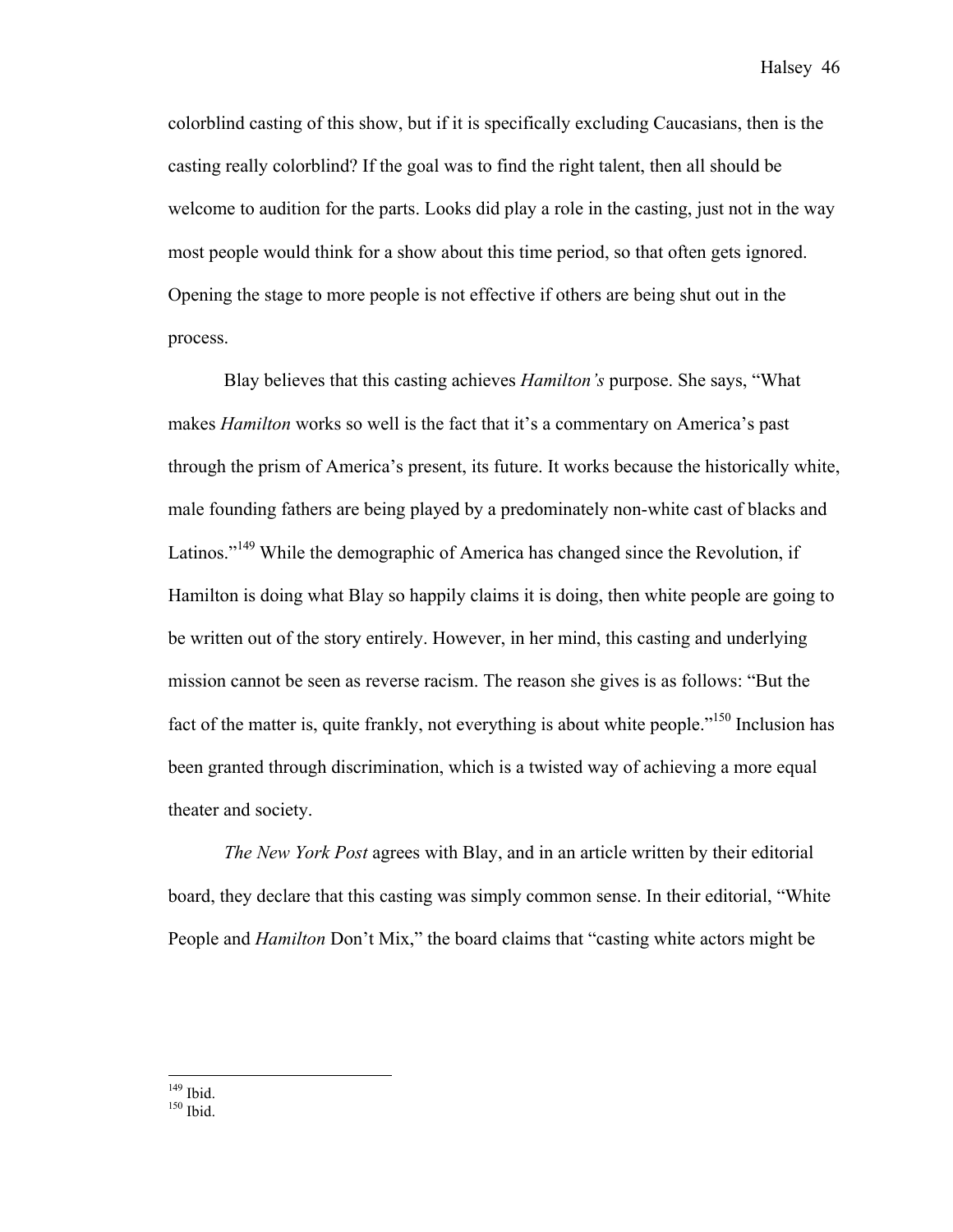colorblind casting of this show, but if it is specifically excluding Caucasians, then is the casting really colorblind? If the goal was to find the right talent, then all should be welcome to audition for the parts. Looks did play a role in the casting, just not in the way most people would think for a show about this time period, so that often gets ignored. Opening the stage to more people is not effective if others are being shut out in the process.

Blay believes that this casting achieves *Hamilton's* purpose. She says, "What makes *Hamilton* works so well is the fact that it's a commentary on America's past through the prism of America's present, its future. It works because the historically white, male founding fathers are being played by a predominately non-white cast of blacks and Latinos."<sup>149</sup> While the demographic of America has changed since the Revolution, if Hamilton is doing what Blay so happily claims it is doing, then white people are going to be written out of the story entirely. However, in her mind, this casting and underlying mission cannot be seen as reverse racism. The reason she gives is as follows: "But the fact of the matter is, quite frankly, not everything is about white people."<sup>150</sup> Inclusion has been granted through discrimination, which is a twisted way of achieving a more equal theater and society.

*The New York Post* agrees with Blay, and in an article written by their editorial board, they declare that this casting was simply common sense. In their editorial, "White People and *Hamilton* Don't Mix," the board claims that "casting white actors might be

 $149$  Ibid.<br> $150$  Ibid.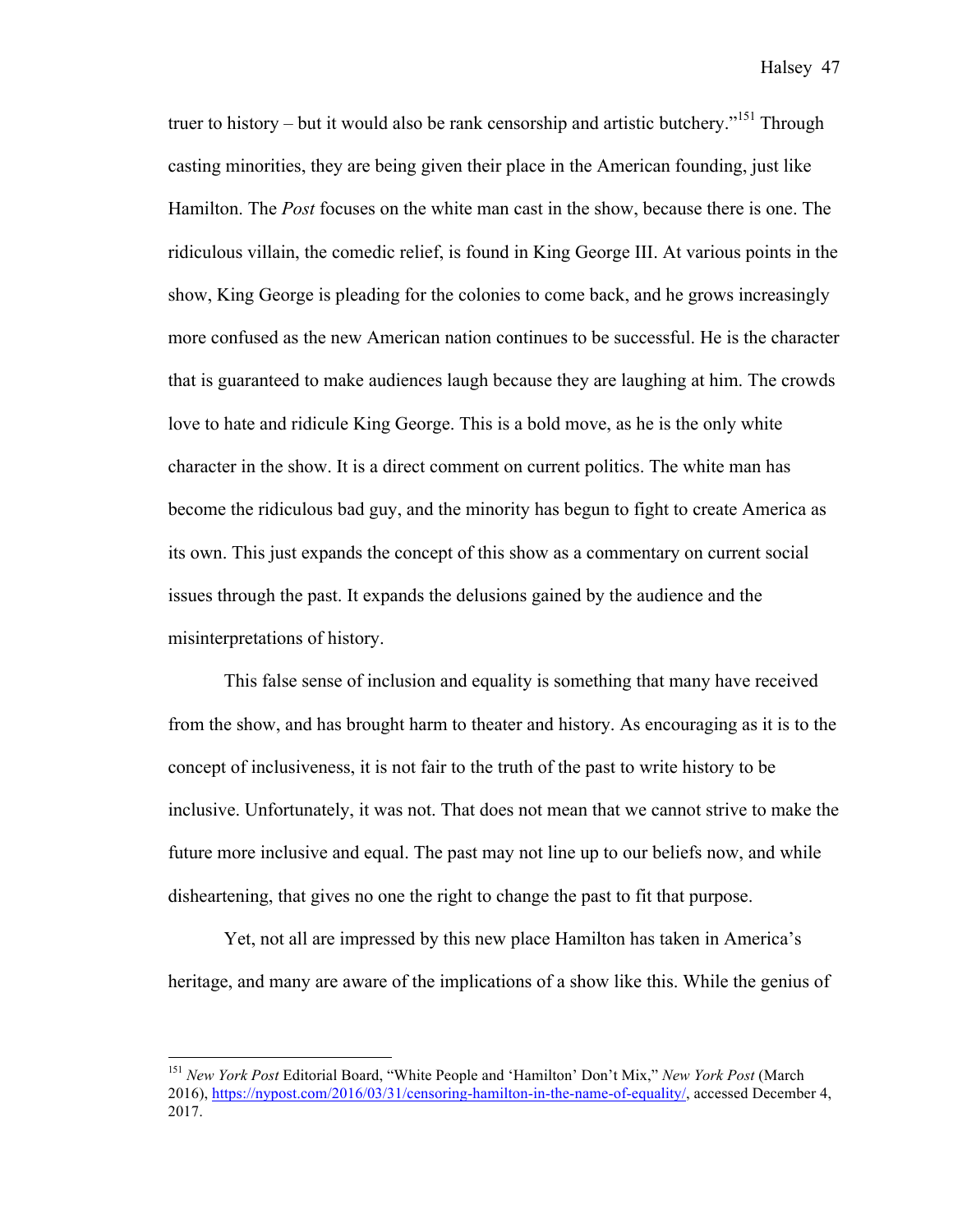truer to history – but it would also be rank censorship and artistic butchery."<sup>151</sup> Through casting minorities, they are being given their place in the American founding, just like Hamilton. The *Post* focuses on the white man cast in the show, because there is one. The ridiculous villain, the comedic relief, is found in King George III. At various points in the show, King George is pleading for the colonies to come back, and he grows increasingly more confused as the new American nation continues to be successful. He is the character that is guaranteed to make audiences laugh because they are laughing at him. The crowds love to hate and ridicule King George. This is a bold move, as he is the only white character in the show. It is a direct comment on current politics. The white man has become the ridiculous bad guy, and the minority has begun to fight to create America as its own. This just expands the concept of this show as a commentary on current social issues through the past. It expands the delusions gained by the audience and the misinterpretations of history.

This false sense of inclusion and equality is something that many have received from the show, and has brought harm to theater and history. As encouraging as it is to the concept of inclusiveness, it is not fair to the truth of the past to write history to be inclusive. Unfortunately, it was not. That does not mean that we cannot strive to make the future more inclusive and equal. The past may not line up to our beliefs now, and while disheartening, that gives no one the right to change the past to fit that purpose.

Yet, not all are impressed by this new place Hamilton has taken in America's heritage, and many are aware of the implications of a show like this. While the genius of

 <sup>151</sup> *New York Post* Editorial Board, "White People and 'Hamilton' Don't Mix," *New York Post* (March 2016), https://nypost.com/2016/03/31/censoring-hamilton-in-the-name-of-equality/, accessed December 4, 2017.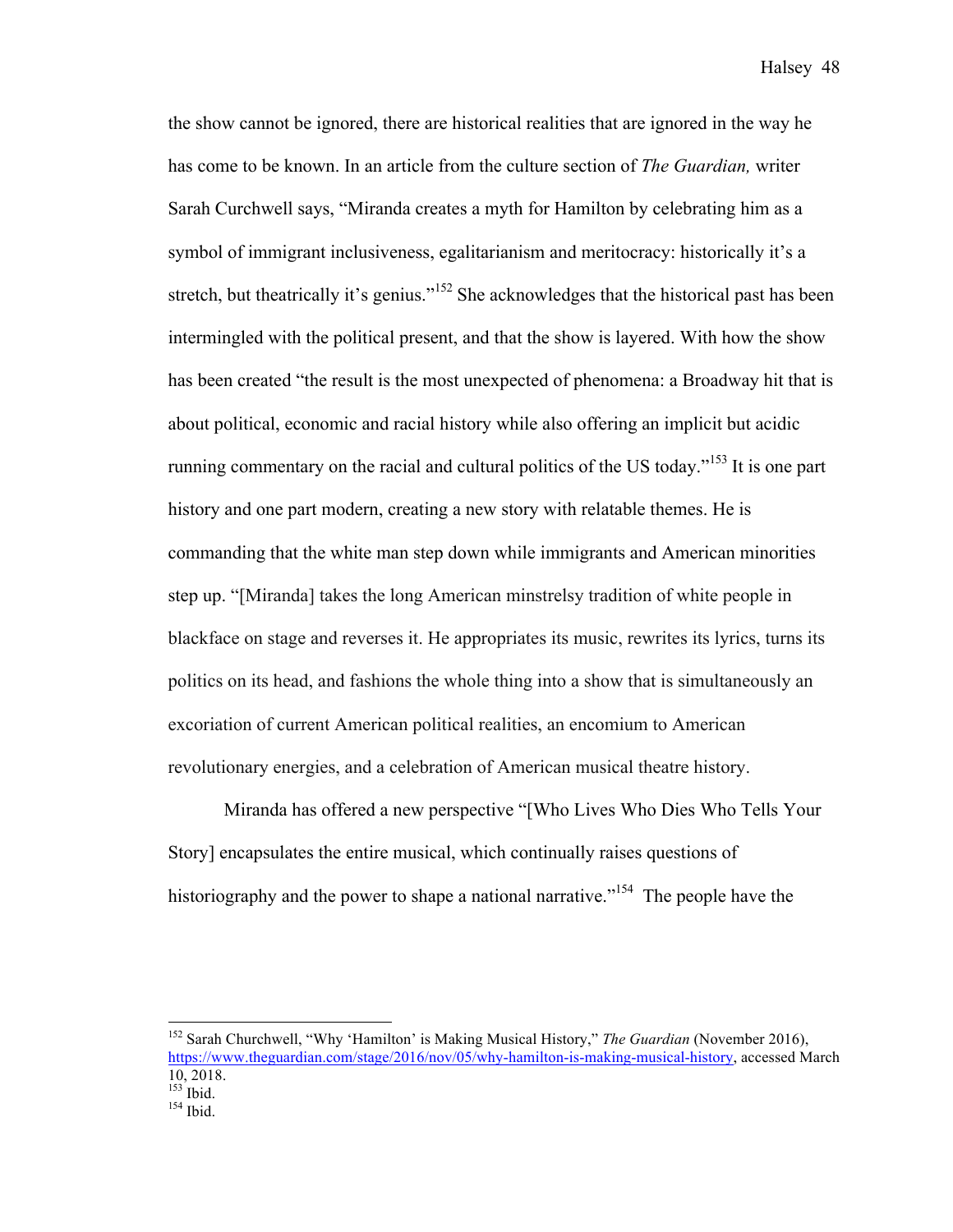the show cannot be ignored, there are historical realities that are ignored in the way he has come to be known. In an article from the culture section of *The Guardian,* writer Sarah Curchwell says, "Miranda creates a myth for Hamilton by celebrating him as a symbol of immigrant inclusiveness, egalitarianism and meritocracy: historically it's a stretch, but theatrically it's genius."<sup>152</sup> She acknowledges that the historical past has been intermingled with the political present, and that the show is layered. With how the show has been created "the result is the most unexpected of phenomena: a Broadway hit that is about political, economic and racial history while also offering an implicit but acidic running commentary on the racial and cultural politics of the US today."<sup>153</sup> It is one part history and one part modern, creating a new story with relatable themes. He is commanding that the white man step down while immigrants and American minorities step up. "[Miranda] takes the long American minstrelsy tradition of white people in blackface on stage and reverses it. He appropriates its music, rewrites its lyrics, turns its politics on its head, and fashions the whole thing into a show that is simultaneously an excoriation of current American political realities, an encomium to American revolutionary energies, and a celebration of American musical theatre history.

Miranda has offered a new perspective "[Who Lives Who Dies Who Tells Your Story] encapsulates the entire musical, which continually raises questions of historiography and the power to shape a national narrative."<sup>154</sup> The people have the

 <sup>152</sup> Sarah Churchwell, "Why 'Hamilton' is Making Musical History," *The Guardian* (November 2016), https://www.theguardian.com/stage/2016/nov/05/why-hamilton-is-making-musical-history, accessed March  $10, 2018.$ <br> $153$  Ibid.  $154$  Ibid.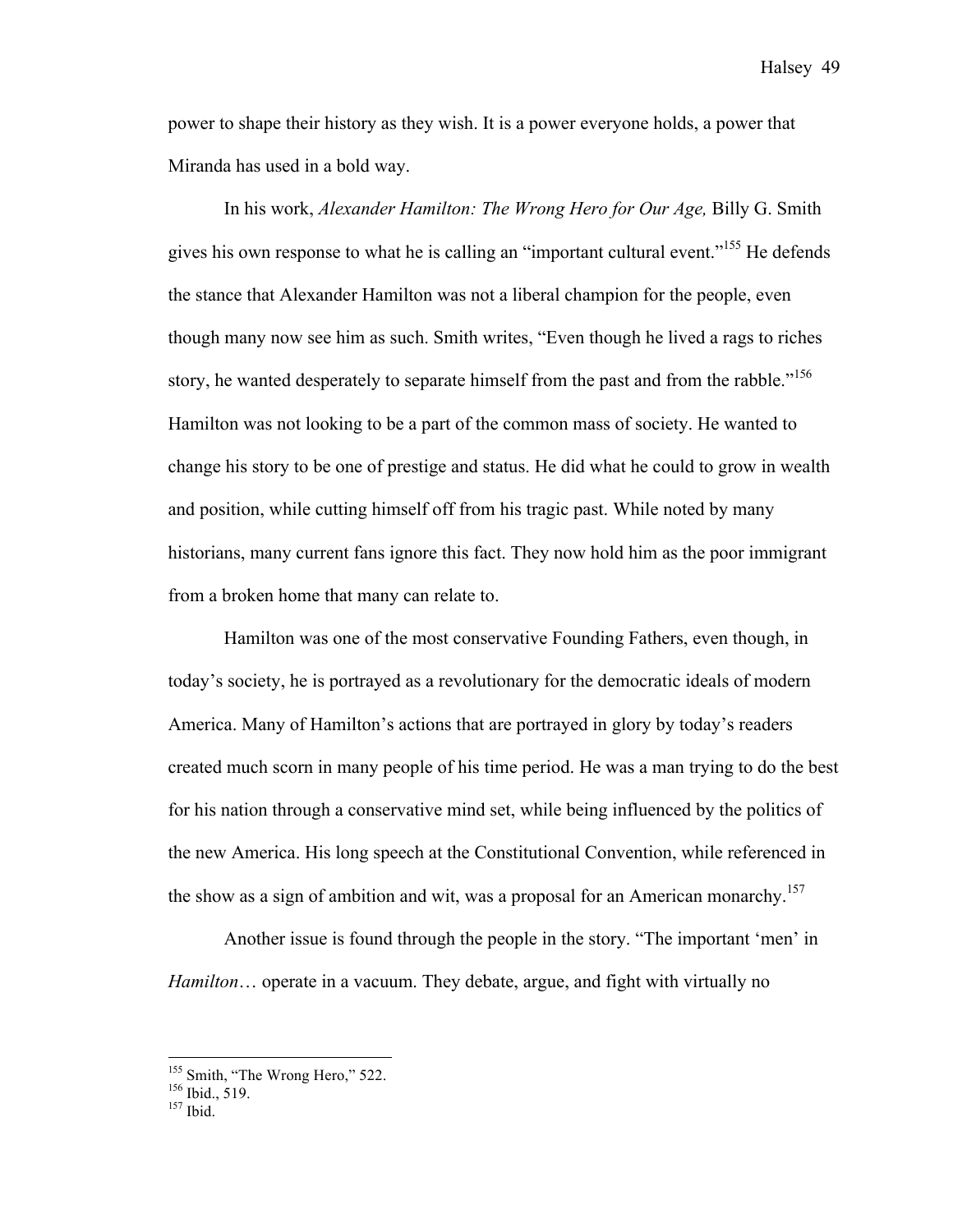power to shape their history as they wish. It is a power everyone holds, a power that Miranda has used in a bold way.

In his work, *Alexander Hamilton: The Wrong Hero for Our Age,* Billy G. Smith gives his own response to what he is calling an "important cultural event."155 He defends the stance that Alexander Hamilton was not a liberal champion for the people, even though many now see him as such. Smith writes, "Even though he lived a rags to riches story, he wanted desperately to separate himself from the past and from the rabble."<sup>156</sup> Hamilton was not looking to be a part of the common mass of society. He wanted to change his story to be one of prestige and status. He did what he could to grow in wealth and position, while cutting himself off from his tragic past. While noted by many historians, many current fans ignore this fact. They now hold him as the poor immigrant from a broken home that many can relate to.

Hamilton was one of the most conservative Founding Fathers, even though, in today's society, he is portrayed as a revolutionary for the democratic ideals of modern America. Many of Hamilton's actions that are portrayed in glory by today's readers created much scorn in many people of his time period. He was a man trying to do the best for his nation through a conservative mind set, while being influenced by the politics of the new America. His long speech at the Constitutional Convention, while referenced in the show as a sign of ambition and wit, was a proposal for an American monarchy.<sup>157</sup>

Another issue is found through the people in the story. "The important 'men' in *Hamilton*… operate in a vacuum. They debate, argue, and fight with virtually no

<sup>&</sup>lt;sup>155</sup> Smith, "The Wrong Hero," 522.<br><sup>156</sup> Ibid., 519.<br><sup>157</sup> Ibid.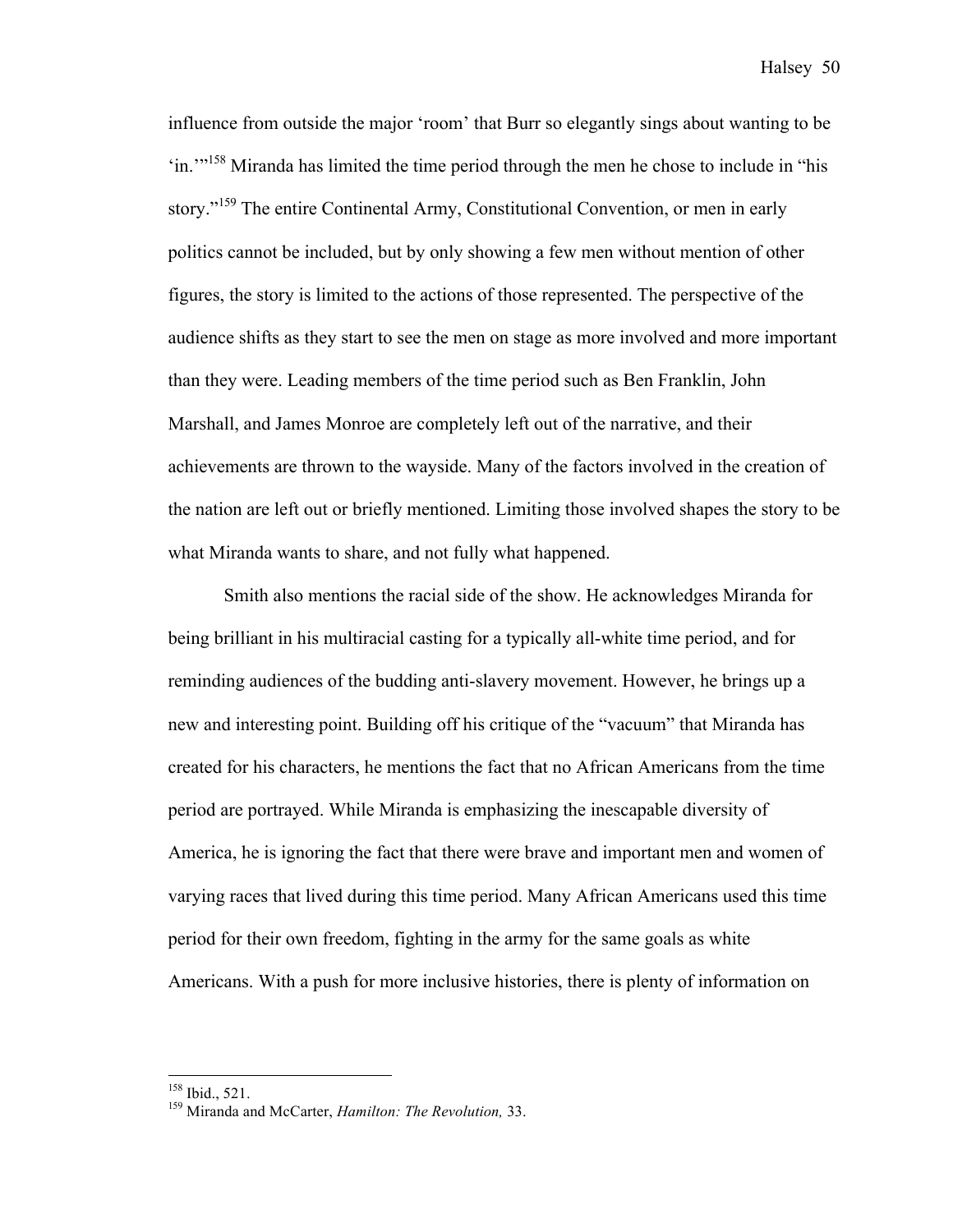influence from outside the major 'room' that Burr so elegantly sings about wanting to be 'in.'"<sup>158</sup> Miranda has limited the time period through the men he chose to include in "his story."<sup>159</sup> The entire Continental Army, Constitutional Convention, or men in early politics cannot be included, but by only showing a few men without mention of other figures, the story is limited to the actions of those represented. The perspective of the audience shifts as they start to see the men on stage as more involved and more important than they were. Leading members of the time period such as Ben Franklin, John Marshall, and James Monroe are completely left out of the narrative, and their achievements are thrown to the wayside. Many of the factors involved in the creation of the nation are left out or briefly mentioned. Limiting those involved shapes the story to be what Miranda wants to share, and not fully what happened.

Smith also mentions the racial side of the show. He acknowledges Miranda for being brilliant in his multiracial casting for a typically all-white time period, and for reminding audiences of the budding anti-slavery movement. However, he brings up a new and interesting point. Building off his critique of the "vacuum" that Miranda has created for his characters, he mentions the fact that no African Americans from the time period are portrayed. While Miranda is emphasizing the inescapable diversity of America, he is ignoring the fact that there were brave and important men and women of varying races that lived during this time period. Many African Americans used this time period for their own freedom, fighting in the army for the same goals as white Americans. With a push for more inclusive histories, there is plenty of information on

<sup>&</sup>lt;sup>158</sup> Ibid., 521.<br><sup>159</sup> Miranda and McCarter, *Hamilton: The Revolution*, 33.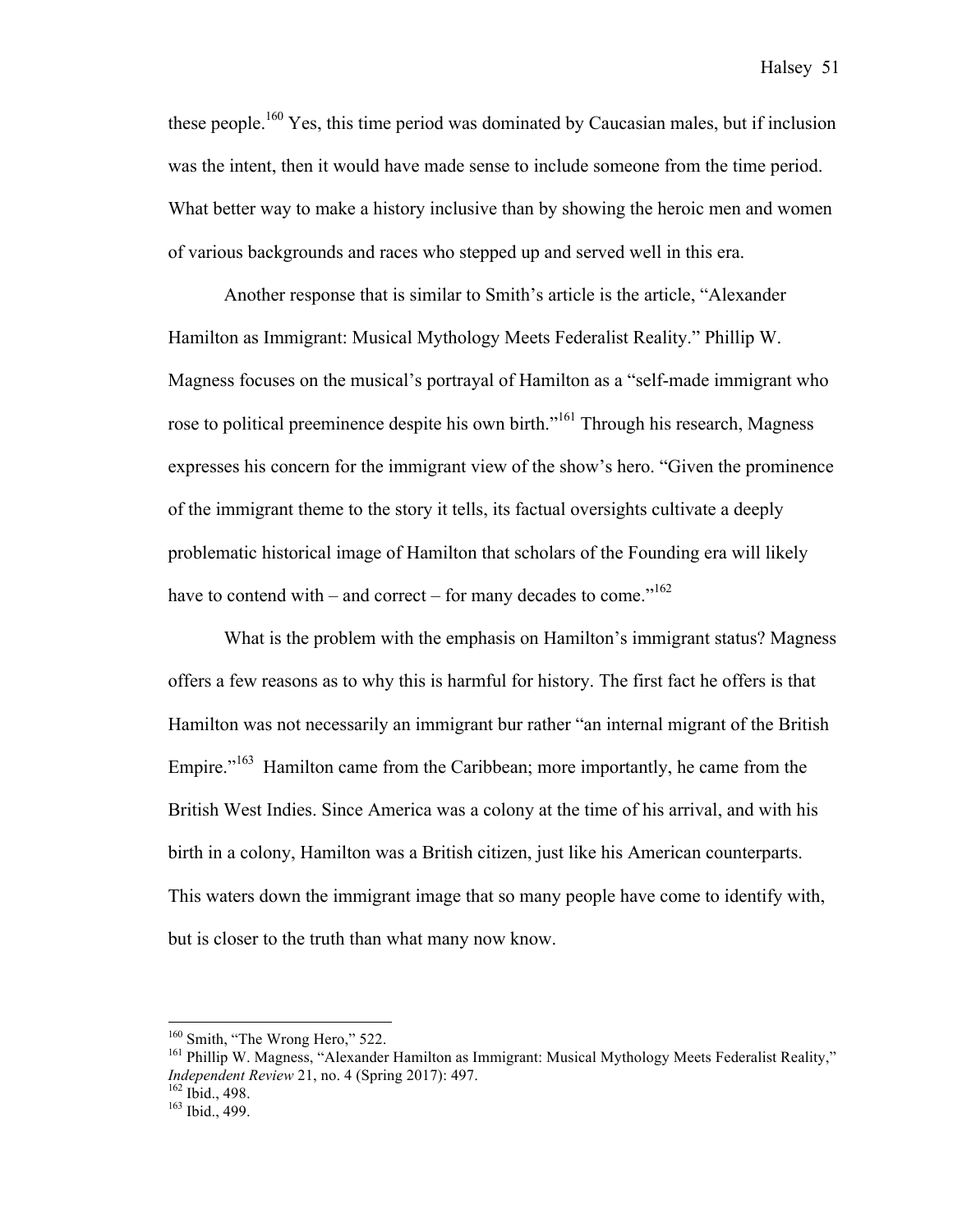these people.<sup>160</sup> Yes, this time period was dominated by Caucasian males, but if inclusion was the intent, then it would have made sense to include someone from the time period. What better way to make a history inclusive than by showing the heroic men and women of various backgrounds and races who stepped up and served well in this era.

Another response that is similar to Smith's article is the article, "Alexander Hamilton as Immigrant: Musical Mythology Meets Federalist Reality." Phillip W. Magness focuses on the musical's portrayal of Hamilton as a "self-made immigrant who rose to political preeminence despite his own birth."<sup>161</sup> Through his research, Magness expresses his concern for the immigrant view of the show's hero. "Given the prominence of the immigrant theme to the story it tells, its factual oversights cultivate a deeply problematic historical image of Hamilton that scholars of the Founding era will likely have to contend with – and correct – for many decades to come."<sup>162</sup>

What is the problem with the emphasis on Hamilton's immigrant status? Magness offers a few reasons as to why this is harmful for history. The first fact he offers is that Hamilton was not necessarily an immigrant bur rather "an internal migrant of the British Empire."<sup>163</sup> Hamilton came from the Caribbean; more importantly, he came from the British West Indies. Since America was a colony at the time of his arrival, and with his birth in a colony, Hamilton was a British citizen, just like his American counterparts. This waters down the immigrant image that so many people have come to identify with, but is closer to the truth than what many now know.

<sup>&</sup>lt;sup>160</sup> Smith, "The Wrong Hero," 522.<br><sup>161</sup> Phillip W. Magness, "Alexander Hamilton as Immigrant: Musical Mythology Meets Federalist Reality," *Independent Review* 21, no. 4 (Spring 2017): 497.<br><sup>162</sup> Ibid., 498.<br><sup>163</sup> Ibid., 499.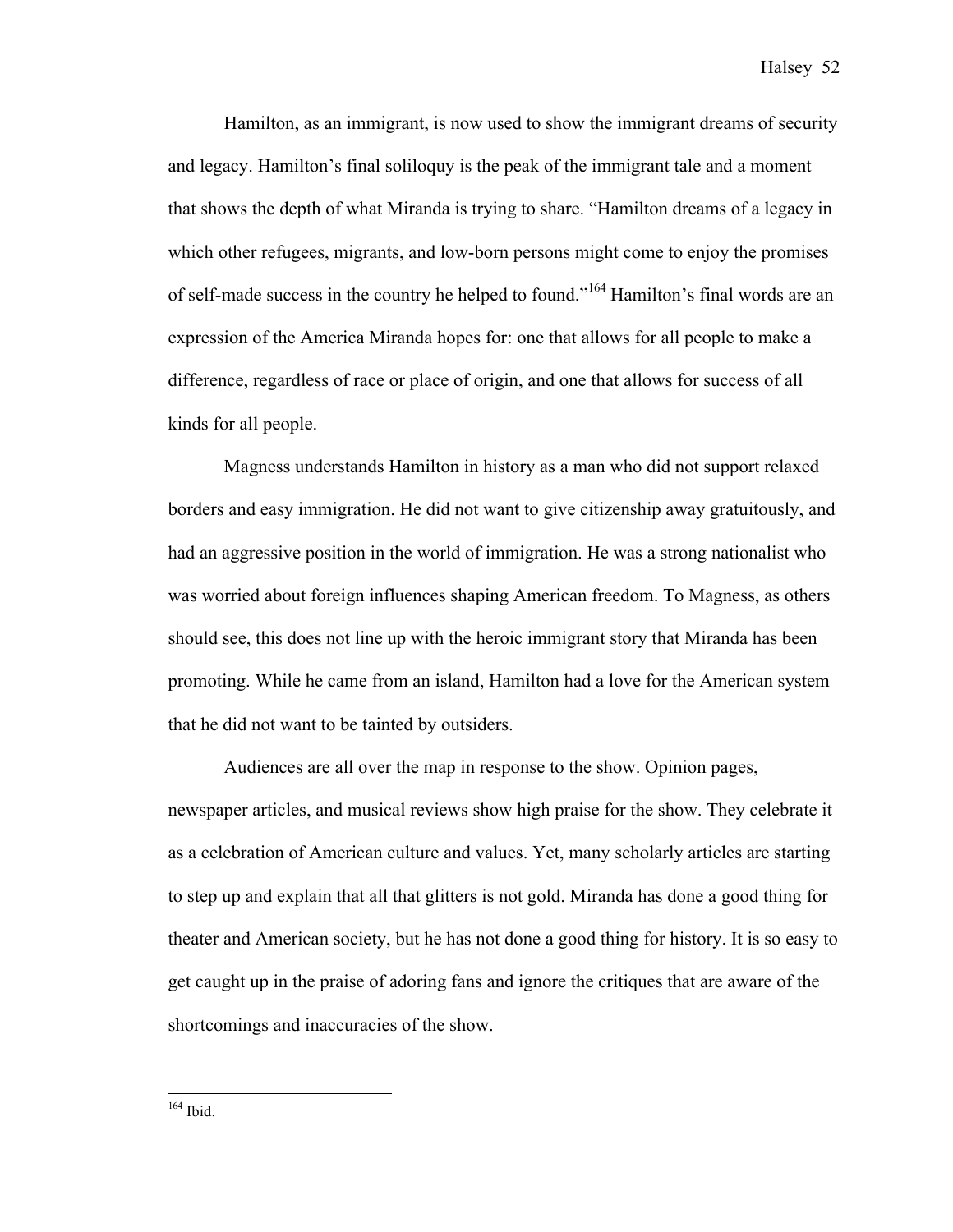Hamilton, as an immigrant, is now used to show the immigrant dreams of security and legacy. Hamilton's final soliloquy is the peak of the immigrant tale and a moment that shows the depth of what Miranda is trying to share. "Hamilton dreams of a legacy in which other refugees, migrants, and low-born persons might come to enjoy the promises of self-made success in the country he helped to found."<sup>164</sup> Hamilton's final words are an expression of the America Miranda hopes for: one that allows for all people to make a difference, regardless of race or place of origin, and one that allows for success of all kinds for all people.

Magness understands Hamilton in history as a man who did not support relaxed borders and easy immigration. He did not want to give citizenship away gratuitously, and had an aggressive position in the world of immigration. He was a strong nationalist who was worried about foreign influences shaping American freedom. To Magness, as others should see, this does not line up with the heroic immigrant story that Miranda has been promoting. While he came from an island, Hamilton had a love for the American system that he did not want to be tainted by outsiders.

Audiences are all over the map in response to the show. Opinion pages, newspaper articles, and musical reviews show high praise for the show. They celebrate it as a celebration of American culture and values. Yet, many scholarly articles are starting to step up and explain that all that glitters is not gold. Miranda has done a good thing for theater and American society, but he has not done a good thing for history. It is so easy to get caught up in the praise of adoring fans and ignore the critiques that are aware of the shortcomings and inaccuracies of the show.

164 Ibid.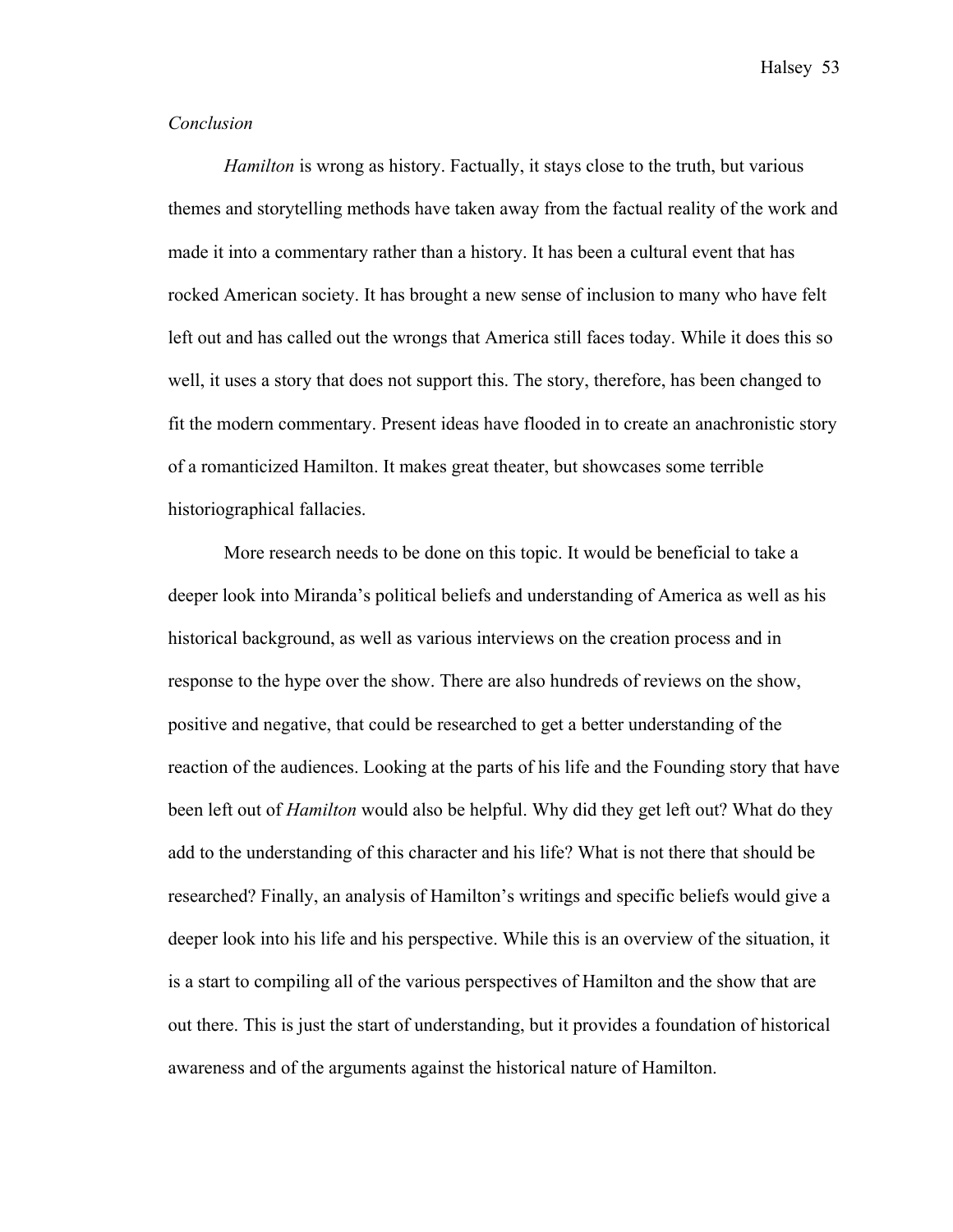#### *Conclusion*

*Hamilton* is wrong as history. Factually, it stays close to the truth, but various themes and storytelling methods have taken away from the factual reality of the work and made it into a commentary rather than a history. It has been a cultural event that has rocked American society. It has brought a new sense of inclusion to many who have felt left out and has called out the wrongs that America still faces today. While it does this so well, it uses a story that does not support this. The story, therefore, has been changed to fit the modern commentary. Present ideas have flooded in to create an anachronistic story of a romanticized Hamilton. It makes great theater, but showcases some terrible historiographical fallacies.

More research needs to be done on this topic. It would be beneficial to take a deeper look into Miranda's political beliefs and understanding of America as well as his historical background, as well as various interviews on the creation process and in response to the hype over the show. There are also hundreds of reviews on the show, positive and negative, that could be researched to get a better understanding of the reaction of the audiences. Looking at the parts of his life and the Founding story that have been left out of *Hamilton* would also be helpful. Why did they get left out? What do they add to the understanding of this character and his life? What is not there that should be researched? Finally, an analysis of Hamilton's writings and specific beliefs would give a deeper look into his life and his perspective. While this is an overview of the situation, it is a start to compiling all of the various perspectives of Hamilton and the show that are out there. This is just the start of understanding, but it provides a foundation of historical awareness and of the arguments against the historical nature of Hamilton.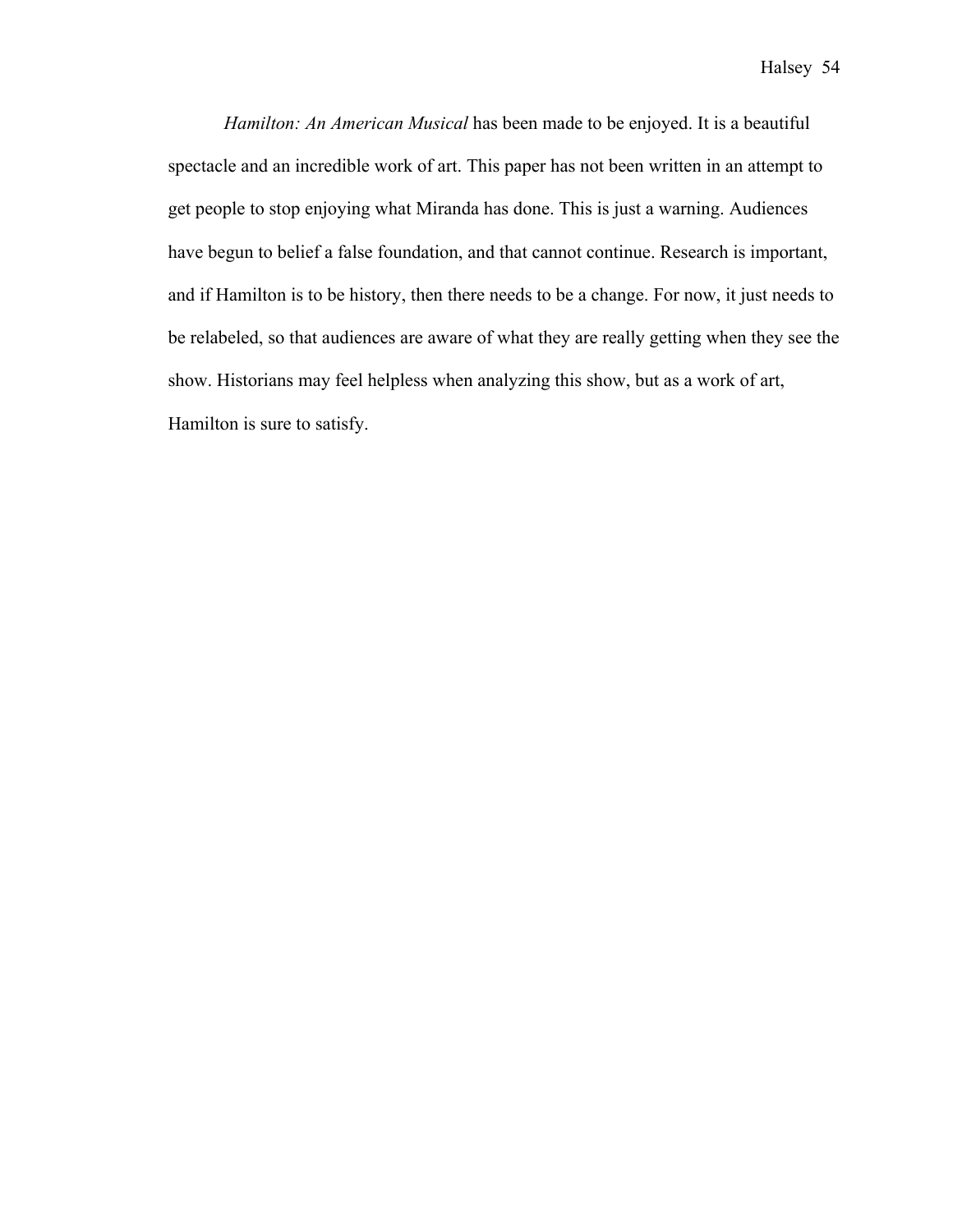*Hamilton: An American Musical* has been made to be enjoyed. It is a beautiful spectacle and an incredible work of art. This paper has not been written in an attempt to get people to stop enjoying what Miranda has done. This is just a warning. Audiences have begun to belief a false foundation, and that cannot continue. Research is important, and if Hamilton is to be history, then there needs to be a change. For now, it just needs to be relabeled, so that audiences are aware of what they are really getting when they see the show. Historians may feel helpless when analyzing this show, but as a work of art, Hamilton is sure to satisfy.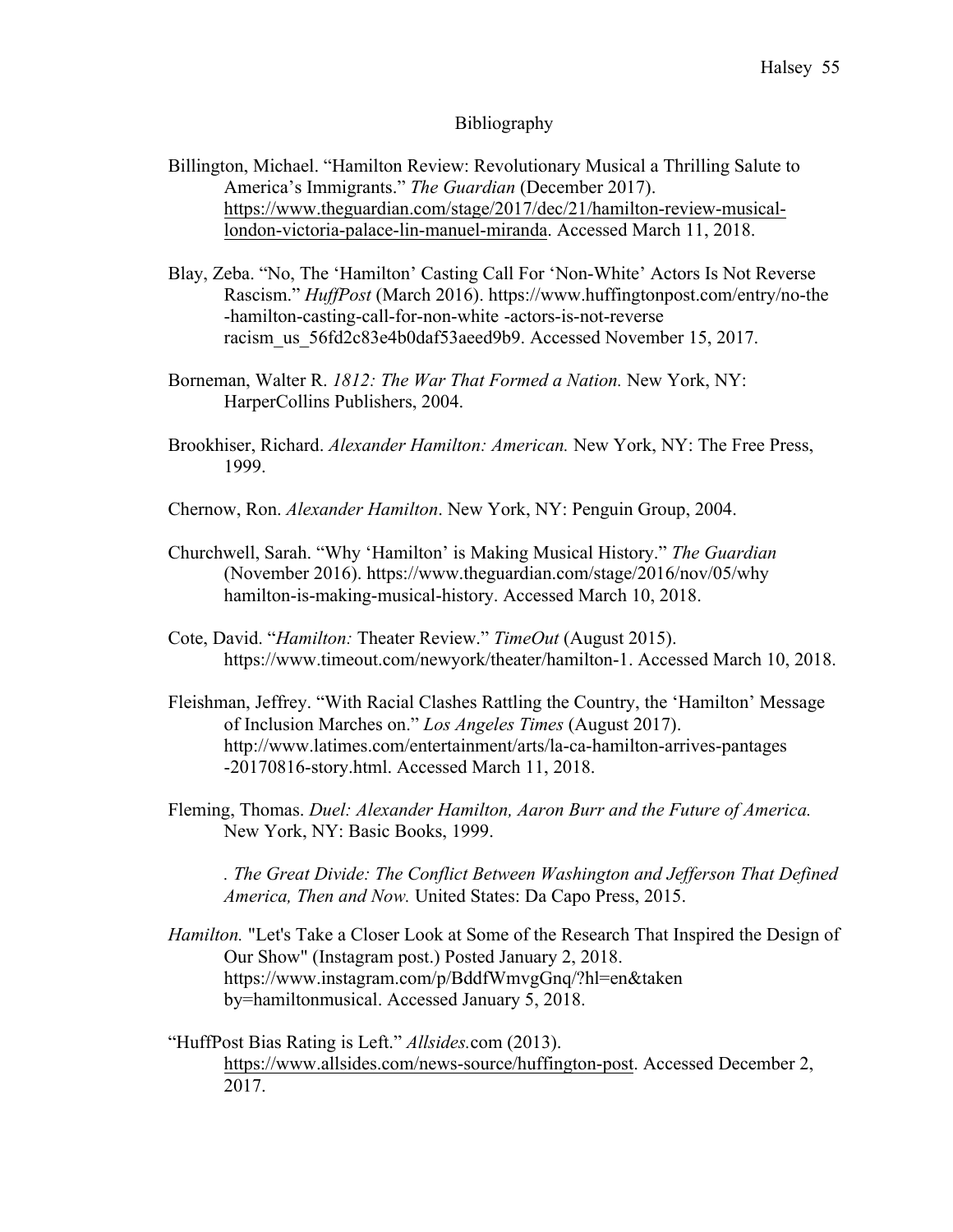#### Bibliography

- Billington, Michael. "Hamilton Review: Revolutionary Musical a Thrilling Salute to America's Immigrants." *The Guardian* (December 2017). https://www.theguardian.com/stage/2017/dec/21/hamilton-review-musicallondon-victoria-palace-lin-manuel-miranda. Accessed March 11, 2018.
- Blay, Zeba. "No, The 'Hamilton' Casting Call For 'Non-White' Actors Is Not Reverse Rascism." *HuffPost* (March 2016). https://www.huffingtonpost.com/entry/no-the -hamilton-casting-call-for-non-white -actors-is-not-reverse racism\_us\_56fd2c83e4b0daf53aeed9b9. Accessed November 15, 2017.
- Borneman, Walter R. *1812: The War That Formed a Nation.* New York, NY: HarperCollins Publishers, 2004.
- Brookhiser, Richard. *Alexander Hamilton: American.* New York, NY: The Free Press, 1999.
- Chernow, Ron. *Alexander Hamilton*. New York, NY: Penguin Group, 2004.
- Churchwell, Sarah. "Why 'Hamilton' is Making Musical History." *The Guardian* (November 2016). https://www.theguardian.com/stage/2016/nov/05/why hamilton-is-making-musical-history. Accessed March 10, 2018.
- Cote, David. "*Hamilton:* Theater Review." *TimeOut* (August 2015). https://www.timeout.com/newyork/theater/hamilton-1. Accessed March 10, 2018.
- Fleishman, Jeffrey. "With Racial Clashes Rattling the Country, the 'Hamilton' Message of Inclusion Marches on." *Los Angeles Times* (August 2017). http://www.latimes.com/entertainment/arts/la-ca-hamilton-arrives-pantages -20170816-story.html. Accessed March 11, 2018.
- Fleming, Thomas. *Duel: Alexander Hamilton, Aaron Burr and the Future of America.* New York, NY: Basic Books, 1999.

*. The Great Divide: The Conflict Between Washington and Jefferson That Defined America, Then and Now.* United States: Da Capo Press, 2015.

- *Hamilton.* "Let's Take a Closer Look at Some of the Research That Inspired the Design of Our Show" (Instagram post.) Posted January 2, 2018. https://www.instagram.com/p/BddfWmvgGnq/?hl=en&taken by=hamiltonmusical. Accessed January 5, 2018.
- "HuffPost Bias Rating is Left." *Allsides.*com (2013). https://www.allsides.com/news-source/huffington-post. Accessed December 2, 2017.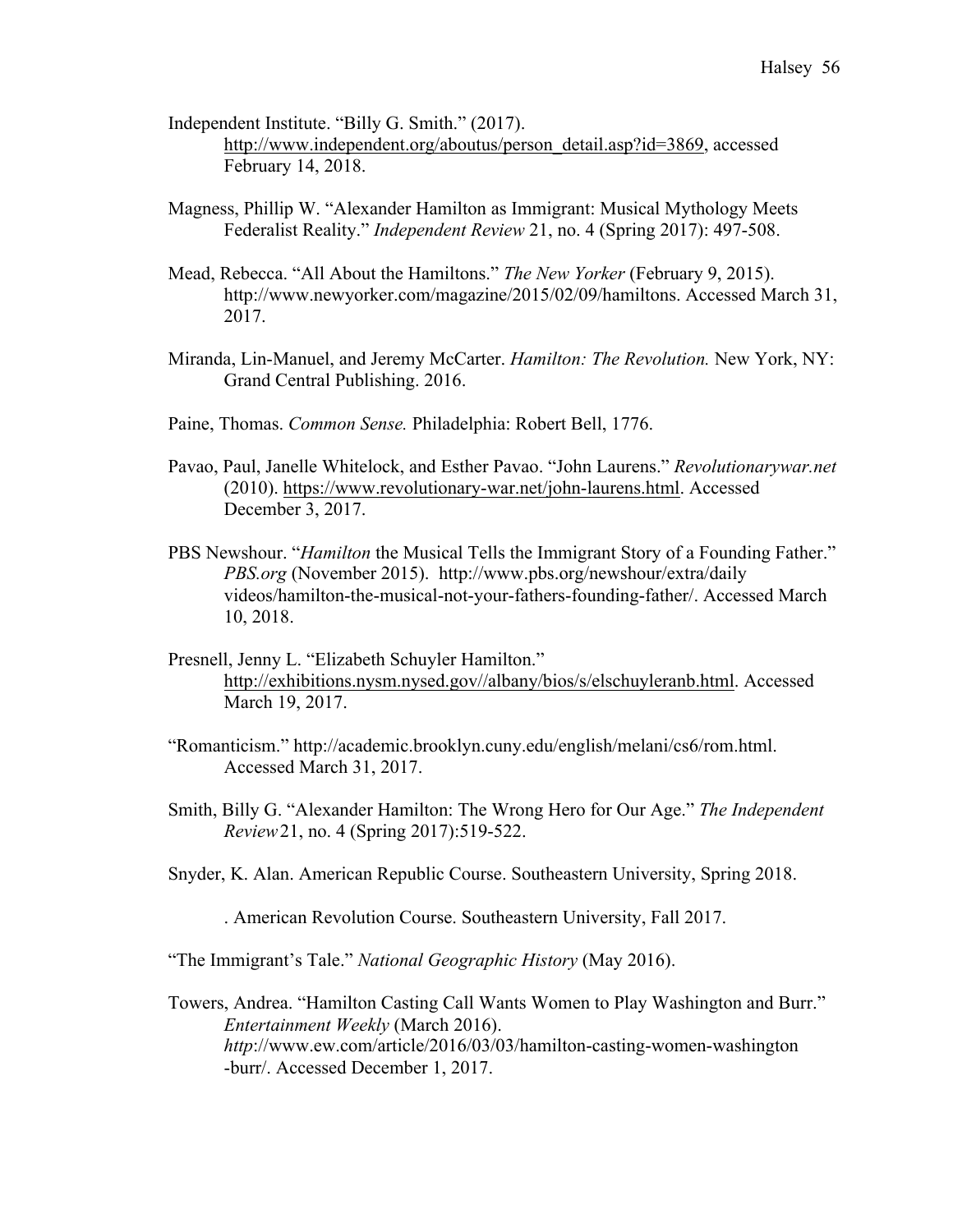- Independent Institute. "Billy G. Smith." (2017). http://www.independent.org/aboutus/person\_detail.asp?id=3869, accessed February 14, 2018.
- Magness, Phillip W. "Alexander Hamilton as Immigrant: Musical Mythology Meets Federalist Reality." *Independent Review* 21, no. 4 (Spring 2017): 497-508.
- Mead, Rebecca. "All About the Hamiltons." *The New Yorker* (February 9, 2015). http://www.newyorker.com/magazine/2015/02/09/hamiltons. Accessed March 31, 2017.
- Miranda, Lin-Manuel, and Jeremy McCarter. *Hamilton: The Revolution.* New York, NY: Grand Central Publishing. 2016.
- Paine, Thomas. *Common Sense.* Philadelphia: Robert Bell, 1776.
- Pavao, Paul, Janelle Whitelock, and Esther Pavao. "John Laurens." *Revolutionarywar.net* (2010). https://www.revolutionary-war.net/john-laurens.html. Accessed December 3, 2017.
- PBS Newshour. "*Hamilton* the Musical Tells the Immigrant Story of a Founding Father." *PBS.org* (November 2015). http://www.pbs.org/newshour/extra/daily videos/hamilton-the-musical-not-your-fathers-founding-father/. Accessed March 10, 2018.
- Presnell, Jenny L. "Elizabeth Schuyler Hamilton." http://exhibitions.nysm.nysed.gov//albany/bios/s/elschuyleranb.html. Accessed March 19, 2017.
- "Romanticism." http://academic.brooklyn.cuny.edu/english/melani/cs6/rom.html. Accessed March 31, 2017.
- Smith, Billy G. "Alexander Hamilton: The Wrong Hero for Our Age." *The Independent Review*21, no. 4 (Spring 2017):519-522.
- Snyder, K. Alan. American Republic Course. Southeastern University, Spring 2018.
	- . American Revolution Course. Southeastern University, Fall 2017.

"The Immigrant's Tale." *National Geographic History* (May 2016).

Towers, Andrea. "Hamilton Casting Call Wants Women to Play Washington and Burr." *Entertainment Weekly* (March 2016). *http*://www.ew.com/article/2016/03/03/hamilton-casting-women-washington -burr/. Accessed December 1, 2017.